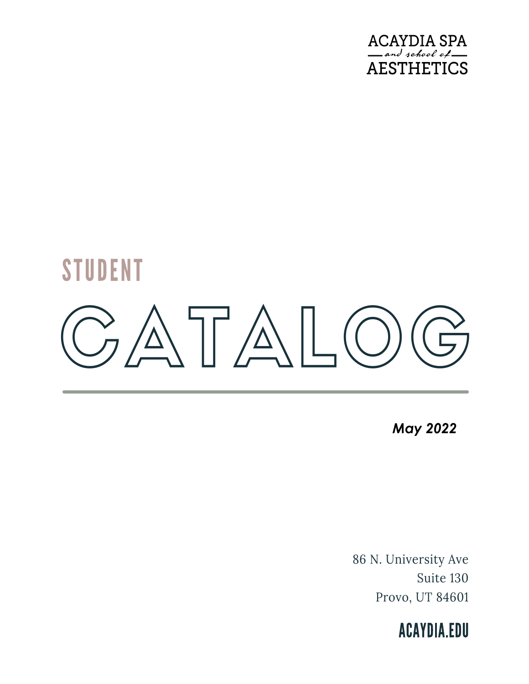

# **STUDENT**  $\Delta T\Delta L$

*May 2022*

86 N. University Ave Suite 130 Provo, UT 84601

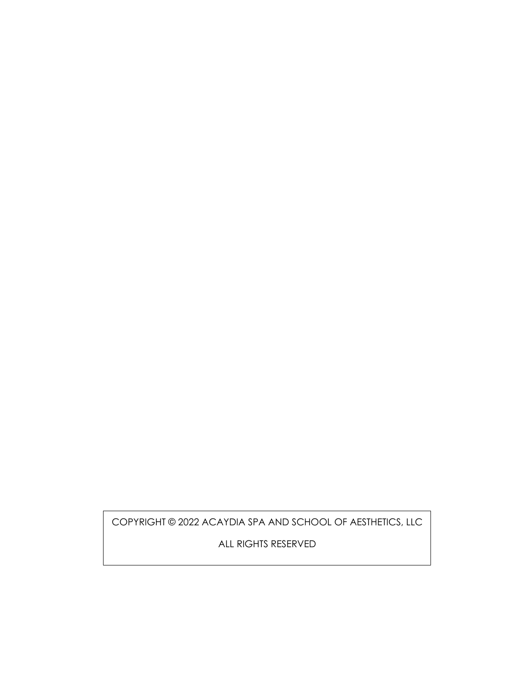COPYRIGHT © 2022 ACAYDIA SPA AND SCHOOL OF AESTHETICS, LLC

ALL RIGHTS RESERVED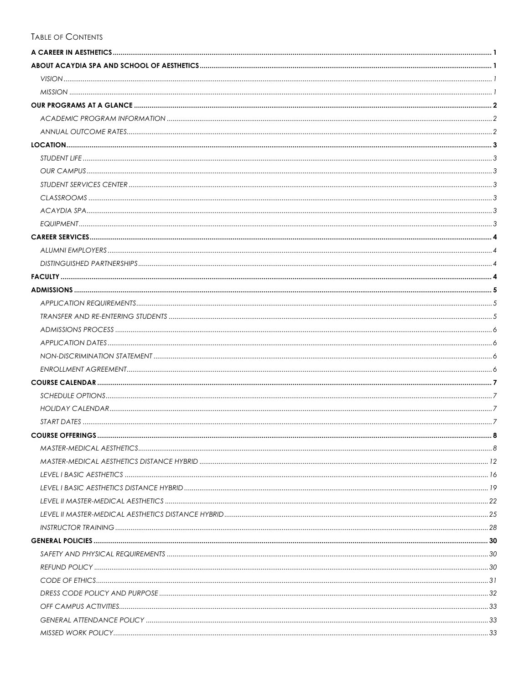# TABLE OF CONTENTS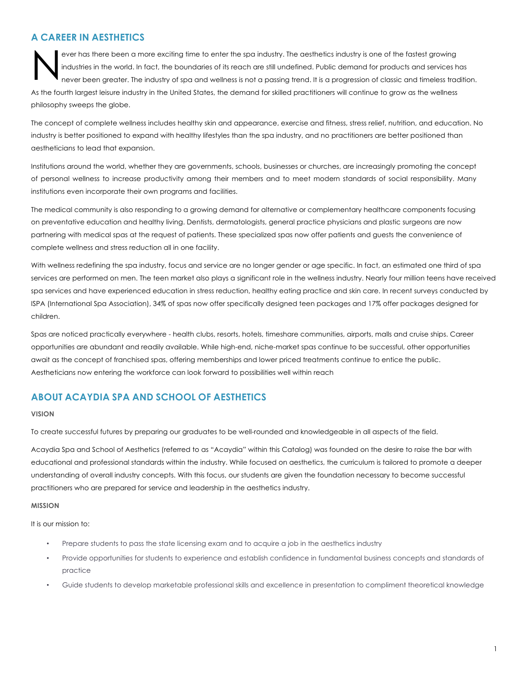# **A CAREER IN AESTHETICS**

ever has there been a more exciting time to enter the spa industry. The aesthetics industry is one of the fastest growing industries in the world. In fact, the boundaries of its reach are still undefined. Public demand for products and services has never been greater. The industry of spa and wellness is not a passing trend. It is a progression of classic and timeless tradition. As the fourth largest leisure industry in the United States, the demand for skilled practitioners will continue to grow as the wellness philosophy sweeps the globe. N

The concept of complete wellness includes healthy skin and appearance, exercise and fitness, stress relief, nutrition, and education. No industry is better positioned to expand with healthy lifestyles than the spa industry, and no practitioners are better positioned than aestheticians to lead that expansion.

Institutions around the world, whether they are governments, schools, businesses or churches, are increasingly promoting the concept of personal wellness to increase productivity among their members and to meet modern standards of social responsibility. Many institutions even incorporate their own programs and facilities.

The medical community is also responding to a growing demand for alternative or complementary healthcare components focusing on preventative education and healthy living. Dentists, dermatologists, general practice physicians and plastic surgeons are now partnering with medical spas at the request of patients. These specialized spas now offer patients and guests the convenience of complete wellness and stress reduction all in one facility.

With wellness redefining the spa industry, focus and service are no longer gender or age specific. In fact, an estimated one third of spa services are performed on men. The teen market also plays a significant role in the wellness industry. Nearly four million teens have received spa services and have experienced education in stress reduction, healthy eating practice and skin care. In recent surveys conducted by ISPA (International Spa Association), 34% of spas now offer specifically designed teen packages and 17% offer packages designed for children.

Spas are noticed practically everywhere - health clubs, resorts, hotels, timeshare communities, airports, malls and cruise ships. Career opportunities are abundant and readily available. While high-end, niche-market spas continue to be successful, other opportunities await as the concept of franchised spas, offering memberships and lower priced treatments continue to entice the public. Aestheticians now entering the workforce can look forward to possibilities well within reach

# **ABOUT ACAYDIA SPA AND SCHOOL OF AESTHETICS**

#### **VISION**

To create successful futures by preparing our graduates to be well-rounded and knowledgeable in all aspects of the field.

Acaydia Spa and School of Aesthetics (referred to as "Acaydia" within this Catalog) was founded on the desire to raise the bar with educational and professional standards within the industry. While focused on aesthetics, the curriculum is tailored to promote a deeper understanding of overall industry concepts. With this focus, our students are given the foundation necessary to become successful practitioners who are prepared for service and leadership in the aesthetics industry.

#### **MISSION**

It is our mission to:

- Prepare students to pass the state licensing exam and to acquire a job in the aesthetics industry
- ! Provide opportunities for students to experience and establish confidence in fundamental business concepts and standards of practice
- Guide students to develop marketable professional skills and excellence in presentation to compliment theoretical knowledge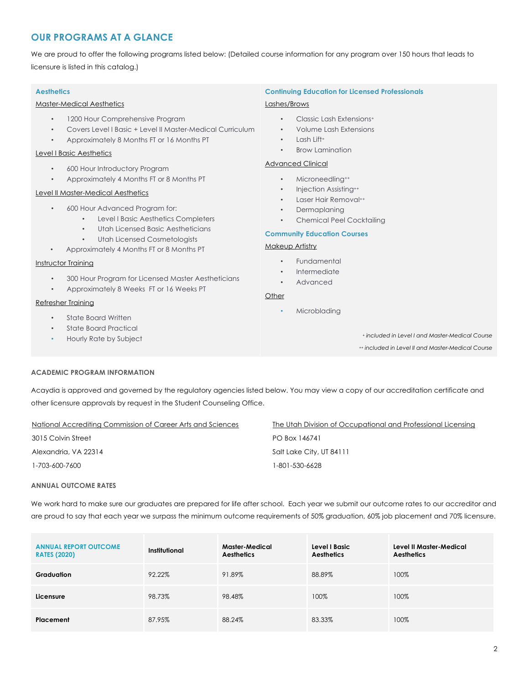# **OUR PROGRAMS AT A GLANCE**

We are proud to offer the following programs listed below: (Detailed course information for any program over 150 hours that leads to licensure is listed in this catalog.)

#### **Aesthetics**

# Master-Medical Aesthetics

- $\cdot$  1200 Hour Comprehensive Program
- ! Covers Level I Basic + Level II Master-Medical Curriculum
- ! Approximately 8 Months FT or 16 Months PT

#### Level I Basic Aesthetics

- 600 Hour Introductory Program
	- ! Approximately 4 Months FT or 8 Months PT

#### Level II Master-Medical Aesthetics

- ! 600 Hour Advanced Program for:
	- ! Level I Basic Aesthetics Completers
	- **Utah Licensed Basic Aestheticians**
	- Utah Licensed Cosmetologists
- ! Approximately 4 Months FT or 8 Months PT

#### Instructor Training

- ! 300 Hour Program for Licensed Master Aestheticians
- ! Approximately 8 Weeks FT or 16 Weeks PT

#### Refresher Training

- ! State Board Written
- State Board Practical
- **Hourly Rate by Subject**

#### **Continuing Education for Licensed Professionals** Lashes/Brows

- Classic Lash Extensions+
- **Volume Lash Extensions**
- Lash Lift+
- **Brow Lamination**

### Advanced Clinical

- Microneedling++
- ! Injection Assisting++
- Laser Hair Removal<sup>++</sup>
- **Dermaplaning**
- ! Chemical Peel Cocktailing

#### **Community Education Courses**

#### Makeup Artistry

- ! Fundamental
- **Intermediate**
- ! Advanced

### **Other**

- **Microblading**
- *<sup>+</sup> included in Level I and Master-Medical Course ++ included in Level II and Master-Medical Course*

#### **ACADEMIC PROGRAM INFORMATION**

Acaydia is approved and governed by the regulatory agencies listed below. You may view a copy of our accreditation certificate and other licensure approvals by request in the Student Counseling Office.

| National Accrediting Commission of Career Arts and Sciences | The Utah Division of Occupational and Professional Licensing |
|-------------------------------------------------------------|--------------------------------------------------------------|
| 3015 Colvin Street                                          | PO Box 146741                                                |
| Alexandria, VA 22314                                        | Salt Lake City, UT 84111                                     |
| 1-703-600-7600                                              | 1-801-530-6628                                               |

#### **ANNUAL OUTCOME RATES**

We work hard to make sure our graduates are prepared for life after school. Each year we submit our outcome rates to our accreditor and are proud to say that each year we surpass the minimum outcome requirements of 50% graduation, 60% job placement and 70% licensure.

| <b>ANNUAL REPORT OUTCOME</b><br><b>RATES (2020)</b> | Institutional | Master-Medical<br><b>Aesthetics</b> | Level I Basic<br><b>Aesthetics</b> | Level II Master-Medical<br><b>Aesthetics</b> |
|-----------------------------------------------------|---------------|-------------------------------------|------------------------------------|----------------------------------------------|
| Graduation                                          | 92.22%        | 91.89%                              | 88.89%                             | 100%                                         |
| Licensure                                           | 98.73%        | 98.48%                              | 100%                               | 100%                                         |
| Placement                                           | 87.95%        | 88.24%                              | 83.33%                             | 100%                                         |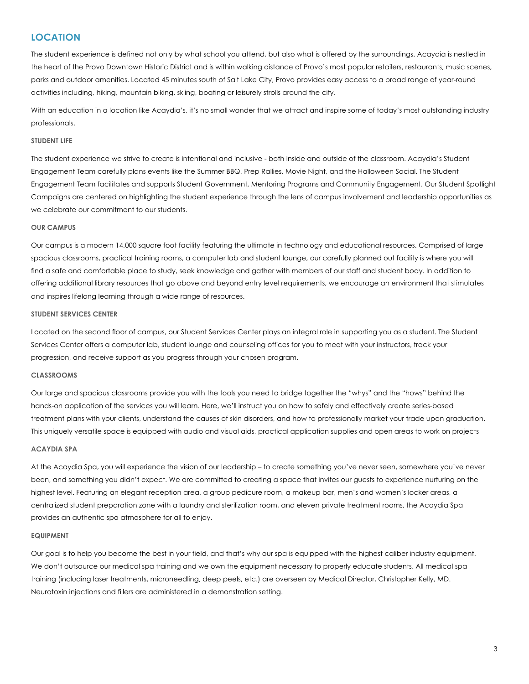# **LOCATION**

The student experience is defined not only by what school you attend, but also what is offered by the surroundings. Acaydia is nestled in the heart of the Provo Downtown Historic District and is within walking distance of Provo's most popular retailers, restaurants, music scenes, parks and outdoor amenities. Located 45 minutes south of Salt Lake City, Provo provides easy access to a broad range of year-round activities including, hiking, mountain biking, skiing, boating or leisurely strolls around the city.

With an education in a location like Acaydia's, it's no small wonder that we attract and inspire some of today's most outstanding industry professionals.

#### **STUDENT LIFE**

The student experience we strive to create is intentional and inclusive - both inside and outside of the classroom. Acaydia's Student Engagement Team carefully plans events like the Summer BBQ, Prep Rallies, Movie Night, and the Halloween Social. The Student Engagement Team facilitates and supports Student Government, Mentoring Programs and Community Engagement. Our Student Spotlight Campaigns are centered on highlighting the student experience through the lens of campus involvement and leadership opportunities as we celebrate our commitment to our students.

#### **OUR CAMPUS**

Our campus is a modern 14,000 square foot facility featuring the ultimate in technology and educational resources. Comprised of large spacious classrooms, practical training rooms, a computer lab and student lounge, our carefully planned out facility is where you will find a safe and comfortable place to study, seek knowledge and gather with members of our staff and student body. In addition to offering additional library resources that go above and beyond entry level requirements, we encourage an environment that stimulates and inspires lifelong learning through a wide range of resources.

#### **STUDENT SERVICES CENTER**

Located on the second floor of campus, our Student Services Center plays an integral role in supporting you as a student. The Student Services Center offers a computer lab, student lounge and counseling offices for you to meet with your instructors, track your progression, and receive support as you progress through your chosen program.

#### **CLASSROOMS**

Our large and spacious classrooms provide you with the tools you need to bridge together the "whys" and the "hows" behind the hands-on application of the services you will learn. Here, we'll instruct you on how to safely and effectively create series-based treatment plans with your clients, understand the causes of skin disorders, and how to professionally market your trade upon graduation. This uniquely versatile space is equipped with audio and visual aids, practical application supplies and open areas to work on projects

#### **ACAYDIA SPA**

At the Acaydia Spa, you will experience the vision of our leadership – to create something you've never seen, somewhere you've never been, and something you didn't expect. We are committed to creating a space that invites our guests to experience nurturing on the highest level. Featuring an elegant reception area, a group pedicure room, a makeup bar, men's and women's locker areas, a centralized student preparation zone with a laundry and sterilization room, and eleven private treatment rooms, the Acaydia Spa provides an authentic spa atmosphere for all to enjoy.

#### **EQUIPMENT**

Our goal is to help you become the best in your field, and that's why our spa is equipped with the highest caliber industry equipment. We don't outsource our medical spa training and we own the equipment necessary to properly educate students. All medical spa training (including laser treatments, microneedling, deep peels, etc.) are overseen by Medical Director, Christopher Kelly, MD. Neurotoxin injections and fillers are administered in a demonstration setting.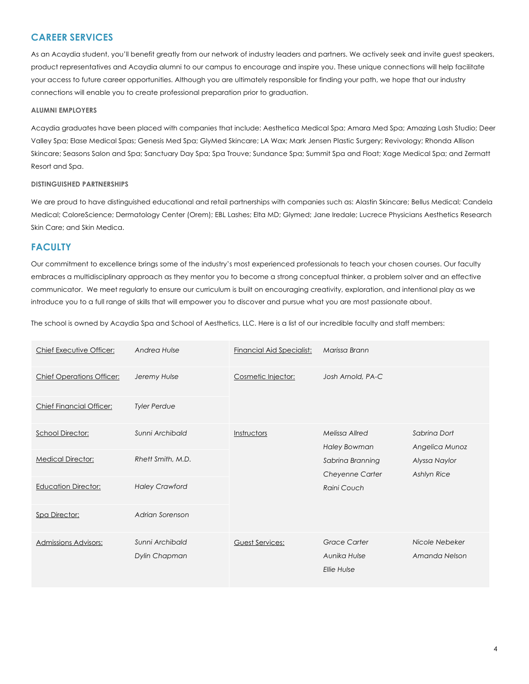# **CAREER SERVICES**

As an Acaydia student, you'll benefit greatly from our network of industry leaders and partners. We actively seek and invite guest speakers, product representatives and Acaydia alumni to our campus to encourage and inspire you. These unique connections will help facilitate your access to future career opportunities. Although you are ultimately responsible for finding your path, we hope that our industry connections will enable you to create professional preparation prior to graduation.

#### **ALUMNI EMPLOYERS**

Acaydia graduates have been placed with companies that include: Aesthetica Medical Spa; Amara Med Spa; Amazing Lash Studio; Deer Valley Spa; Elase Medical Spas; Genesis Med Spa; GlyMed Skincare; LA Wax; Mark Jensen Plastic Surgery; Revivology; Rhonda Allison Skincare; Seasons Salon and Spa; Sanctuary Day Spa; Spa Trouve; Sundance Spa; Summit Spa and Float; Xage Medical Spa; and Zermatt Resort and Spa.

#### **DISTINGUISHED PARTNERSHIPS**

We are proud to have distinguished educational and retail partnerships with companies such as: Alastin Skincare; Bellus Medical; Candela Medical; ColoreScience; Dermatology Center (Orem); EBL Lashes; Elta MD; Glymed; Jane Iredale; Lucrece Physicians Aesthetics Research Skin Care; and Skin Medica.

# **FACULTY**

Our commitment to excellence brings some of the industry's most experienced professionals to teach your chosen courses. Our faculty embraces a multidisciplinary approach as they mentor you to become a strong conceptual thinker, a problem solver and an effective communicator. We meet regularly to ensure our curriculum is built on encouraging creativity, exploration, and intentional play as we introduce you to a full range of skills that will empower you to discover and pursue what you are most passionate about.

The school is owned by Acaydia Spa and School of Aesthetics, LLC. Here is a list of our incredible faculty and staff members:

| Chief Executive Officer:         | Andrea Hulse                     | <b>Financial Aid Specialist:</b> | Marissa Brann                                             |                                     |
|----------------------------------|----------------------------------|----------------------------------|-----------------------------------------------------------|-------------------------------------|
| <b>Chief Operations Officer:</b> | Jeremy Hulse                     | Cosmetic Injector:               | Josh Arnold, PA-C                                         |                                     |
| <b>Chief Financial Officer:</b>  | <b>Tyler Perdue</b>              |                                  |                                                           |                                     |
| <b>School Director:</b>          | Sunni Archibald                  | Instructors                      | Melissa Allred<br><b>Haley Bowman</b>                     | Sabrina Dort<br>Angelica Munoz      |
| <b>Medical Director:</b>         | Rhett Smith, M.D.                |                                  | Sabrina Branning<br><b>Cheyenne Carter</b><br>Raini Couch | Alyssa Naylor<br><b>Ashlyn Rice</b> |
| <b>Education Director:</b>       | <b>Haley Crawford</b>            |                                  |                                                           |                                     |
| Spa Director:                    | Adrian Sorenson                  |                                  |                                                           |                                     |
| <b>Admissions Advisors:</b>      | Sunni Archibald<br>Dylin Chapman | Guest Services:                  | Grace Carter<br>Aunika Hulse<br>Ellie Hulse               | Nicole Nebeker<br>Amanda Nelson     |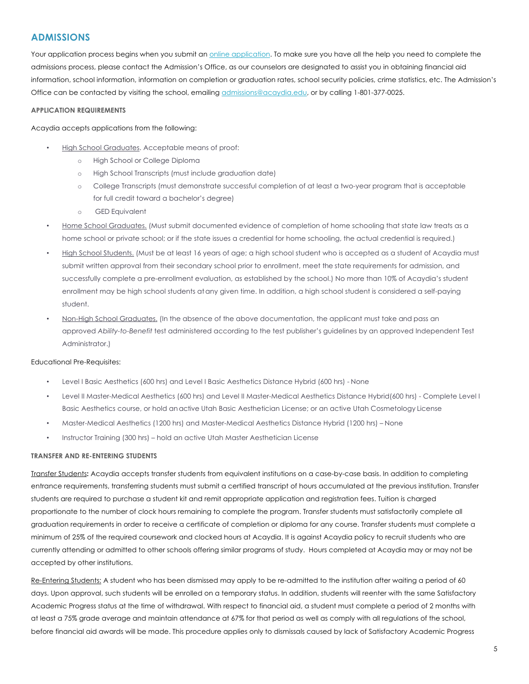# **ADMISSIONS**

Your application process begins when you submit an online application. To make sure you have all the help you need to complete the admissions process, please contact the Admission's Office, as our counselors are designated to assist you in obtaining financial aid information, school information, information on completion or graduation rates, school security policies, crime statistics, etc. The Admission's Office can be contacted by visiting the school, emailing admissions@acaydia.edu, or by calling 1-801-377-0025.

#### **APPLICATION REQUIREMENTS**

#### Acaydia accepts applications from the following:

- High School Graduates. Acceptable means of proof:
	- o High School or College Diploma
	- o High School Transcripts (must include graduation date)
	- o College Transcripts (must demonstrate successful completion of at least a two-year program that is acceptable for full credit toward a bachelor's degree)
	- o GED Equivalent
- Home School Graduates. (Must submit documented evidence of completion of home schooling that state law treats as a home school or private school; or if the state issues a credential for home schooling, the actual credential is required.)
- High School Students. (Must be at least 16 years of age; a high school student who is accepted as a student of Acaydia must submit written approval from their secondary school prior to enrollment, meet the state requirements for admission, and successfully complete a pre-enrollment evaluation, as established by the school.) No more than 10% of Acaydia's student enrollment may be high school students atany given time. In addition, a high school student is considered a self-paying student.
- Non-High School Graduates. (In the absence of the above documentation, the applicant must take and pass an approved *Ability-to-Benefit* test administered according to the test publisher's guidelines by an approved Independent Test Administrator.)

#### Educational Pre-Requisites:

- Level I Basic Aesthetics (600 hrs) and Level I Basic Aesthetics Distance Hybrid (600 hrs) None
- ! Level II Master-Medical Aesthetics (600 hrs) and Level II Master-Medical Aesthetics Distance Hybrid(600 hrs) Complete Level I Basic Aesthetics course, or hold anactive Utah Basic Aesthetician License; or an active Utah Cosmetology License
- ! Master-Medical Aesthetics (1200 hrs) and Master-Medical Aesthetics Distance Hybrid (1200 hrs) None
- ! Instructor Training (300 hrs) hold an active Utah Master Aesthetician License

#### **TRANSFER AND RE-ENTERING STUDENTS**

Transfer Students**:** Acaydia accepts transfer students from equivalent institutions on a case-by-case basis. In addition to completing entrance requirements, transferring students must submit a certified transcript of hours accumulated at the previous institution. Transfer students are required to purchase a student kit and remit appropriate application and registration fees. Tuition is charged proportionate to the number of clock hours remaining to complete the program. Transfer students must satisfactorily complete all graduation requirements in order to receive a certificate of completion or diploma for any course. Transfer students must complete a minimum of 25% of the required coursework and clocked hours at Acaydia. It is against Acaydia policy to recruit students who are currently attending or admitted to other schools offering similar programs of study. Hours completed at Acaydia may or may not be accepted by other institutions.

Re-Entering Students: A student who has been dismissed may apply to be re-admitted to the institution after waiting a period of 60 days. Upon approval, such students will be enrolled on a temporary status. In addition, students will reenter with the same Satisfactory Academic Progress status at the time of withdrawal. With respect to financial aid, a student must complete a period of 2 months with at least a 75% grade average and maintain attendance at 67% for that period as well as comply with all regulations of the school, before financial aid awards will be made. This procedure applies only to dismissals caused by lack of Satisfactory Academic Progress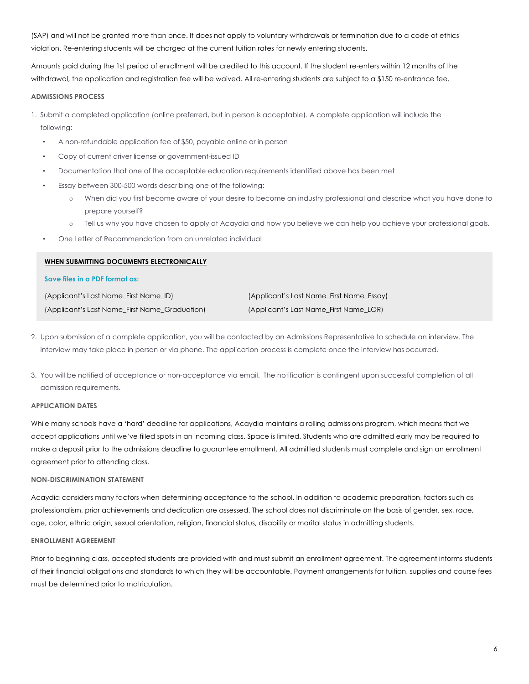(SAP) and will not be granted more than once. It does not apply to voluntary withdrawals or termination due to a code of ethics violation. Re-entering students will be charged at the current tuition rates for newly entering students.

Amounts paid during the 1st period of enrollment will be credited to this account. If the student re-enters within 12 months of the withdrawal, the application and registration fee will be waived. All re-entering students are subject to a \$150 re-entrance fee.

#### **ADMISSIONS PROCESS**

- 1. Submit a completed application (online preferred, but in person is acceptable). A complete application will include the following:
	- A non-refundable application fee of \$50, payable online or in person
	- ! Copy of current driver license or government-issued ID
	- ! Documentation that one of the acceptable education requirements identified above has been met
	- Essay between 300-500 words describing one of the following:
		- o When did you first become aware of your desire to become an industry professional and describe what you have done to prepare yourself?
		- o Tell us why you have chosen to apply at Acaydia and how you believe we can help you achieve your professional goals.
	- ! One Letter of Recommendation from an unrelated individual

| WHEN SUBMITTING DOCUMENTS ELECTRONICALLY      |                                          |
|-----------------------------------------------|------------------------------------------|
| Save files in a PDF format as:                |                                          |
| (Applicant's Last Name_First Name_ID)         | (Applicant's Last Name_First Name_Essay) |
| (Applicant's Last Name_First Name_Graduation) | (Applicant's Last Name_First Name_LOR)   |
|                                               |                                          |

- 2. Upon submission of a complete application, you will be contacted by an Admissions Representative to schedule an interview. The interview may take place in person or via phone. The application process is complete once the interview has occurred.
- 3. You will be notified of acceptance or non-acceptance via email. The notification is contingent upon successful completion of all admission requirements.

#### **APPLICATION DATES**

While many schools have a 'hard' deadline for applications, Acaydia maintains a rolling admissions program, which means that we accept applications until we've filled spots in an incoming class. Space is limited. Students who are admitted early may be required to make a deposit prior to the admissions deadline to guarantee enrollment. All admitted students must complete and sign an enrollment agreement prior to attending class.

#### **NON-DISCRIMINATION STATEMENT**

Acaydia considers many factors when determining acceptance to the school. In addition to academic preparation, factors such as professionalism, prior achievements and dedication are assessed. The school does not discriminate on the basis of gender, sex, race, age, color, ethnic origin, sexual orientation, religion, financial status, disability or marital status in admitting students.

#### **ENROLLMENT AGREEMENT**

Prior to beginning class, accepted students are provided with and must submit an enrollment agreement. The agreement informs students of their financial obligations and standards to which they will be accountable. Payment arrangements for tuition, supplies and course fees must be determined prior to matriculation.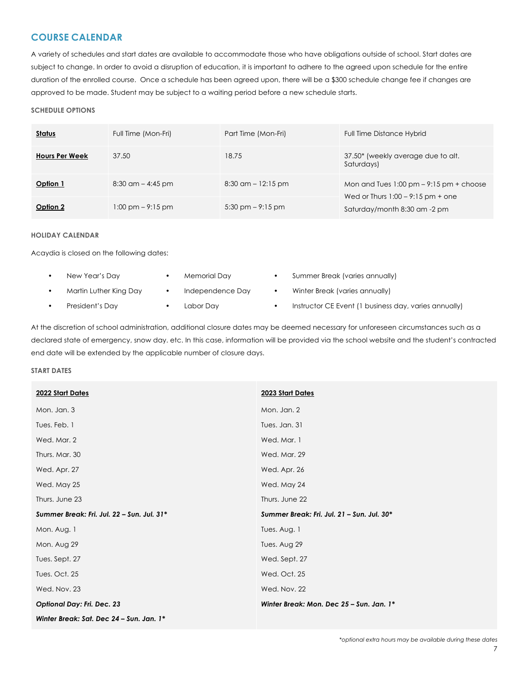# **COURSE CALENDAR**

A variety of schedules and start dates are available to accommodate those who have obligations outside of school. Start dates are subject to change. In order to avoid a disruption of education, it is important to adhere to the agreed upon schedule for the entire duration of the enrolled course. Once a schedule has been agreed upon, there will be a \$300 schedule change fee if changes are approved to be made. Student may be subject to a waiting period before a new schedule starts.

### **SCHEDULE OPTIONS**

| Status                | Full Time (Mon-Fri)                 | Part Time (Mon-Fri)                 | Full Time Distance Hybrid                                                          |
|-----------------------|-------------------------------------|-------------------------------------|------------------------------------------------------------------------------------|
| <b>Hours Per Week</b> | 37.50                               | 18.75                               | 37.50* (weekly average due to alt.<br>Saturdays)                                   |
| Option 1              | $8:30$ am $-4:45$ pm                | $8:30$ am $-12:15$ pm               | Mon and Tues 1:00 pm $-$ 9:15 pm $+$ choose<br>Wed or Thurs $1:00 - 9:15$ pm + one |
| Option 2              | $1:00 \text{ pm} - 9:15 \text{ pm}$ | $5:30 \text{ pm} - 9:15 \text{ pm}$ | Saturday/month 8:30 am -2 pm                                                       |

#### **HOLIDAY CALENDAR**

Acaydia is closed on the following dates:

• New Year's Day

• President's Day

- Martin Luther King Day
	- Labor Day

• Memorial Day

• Independence Day

- Summer Break (varies annually)
- Winter Break (varies annually)
- Instructor CE Event (1 business day, varies annually)

At the discretion of school administration, additional closure dates may be deemed necessary for unforeseen circumstances such as a declared state of emergency, snow day. etc. In this case, information will be provided via the school website and the student's contracted end date will be extended by the applicable number of closure days.

#### **START DATES**

| 2022 Start Dates                           | 2023 Start Dates                           |
|--------------------------------------------|--------------------------------------------|
| Mon. Jan. 3                                | Mon. Jan. 2                                |
| Tues. Feb. 1                               | Tues. Jan. 31                              |
| Wed. Mar. 2                                | Wed. Mar. 1                                |
| Thurs. Mar. 30                             | Wed. Mar. 29                               |
| Wed. Apr. 27                               | Wed. Apr. 26                               |
| Wed. May 25                                | Wed. May 24                                |
| Thurs. June 23                             | Thurs. June 22                             |
| Summer Break: Fri. Jul. 22 - Sun. Jul. 31* | Summer Break: Fri. Jul. 21 - Sun. Jul. 30* |
|                                            |                                            |
| Mon. Aug. 1                                | Tues. Aug. 1                               |
| Mon. Aug 29                                | Tues. Aug 29                               |
| Tues. Sept. 27                             | Wed. Sept. 27                              |
| Tues. Oct. 25                              | Wed. Oct. 25                               |
| Wed. Nov. 23                               | Wed. Nov. 22                               |
| <b>Optional Day: Fri. Dec. 23</b>          | Winter Break: Mon. Dec 25 - Sun. Jan. 1*   |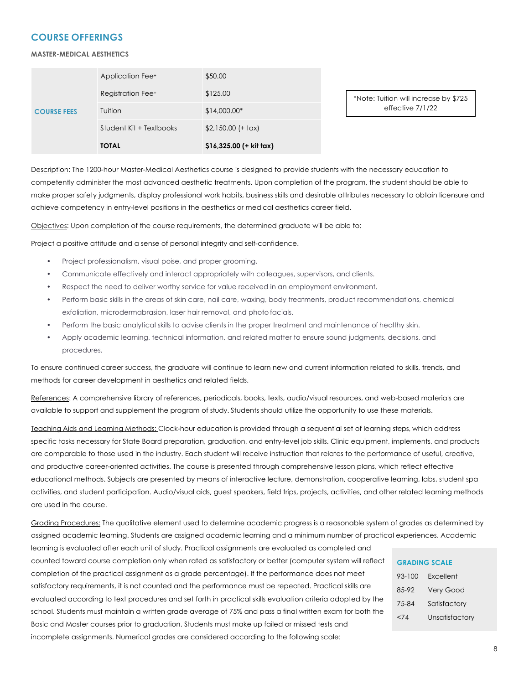# **COURSE OFFERINGS**

**MASTER-MEDICAL AESTHETICS**

|                    | Application Fee <sup>+</sup>  | \$50.00                  |
|--------------------|-------------------------------|--------------------------|
| <b>COURSE FEES</b> | Registration Fee <sup>+</sup> | \$125.00                 |
|                    | Tuition                       | $$14,000.00*$            |
|                    | Student Kit + Textbooks       | $$2,150.00 (+ tax)$      |
|                    | <b>TOTAL</b>                  | $$16,325.00$ (+ kit tax) |

\*Note: Tuition will increase by \$725 effective 7/1/22

Description: The 1200-hour Master-Medical Aesthetics course is designed to provide students with the necessary education to competently administer the most advanced aesthetic treatments. Upon completion of the program, the student should be able to make proper safety judgments, display professional work habits, business skills and desirable attributes necessary to obtain licensure and achieve competency in entry-level positions in the aesthetics or medical aesthetics career field.

Objectives: Upon completion of the course requirements, the determined graduate will be able to:

Project a positive attitude and a sense of personal integrity and self-confidence.

- Project professionalism, visual poise, and proper grooming.
- Communicate effectively and interact appropriately with colleagues, supervisors, and clients.
- Respect the need to deliver worthy service for value received in an employment environment.
- Perform basic skills in the areas of skin care, nail care, waxing, body treatments, product recommendations, chemical exfoliation, microdermabrasion, laser hair removal, and photo facials.
- Perform the basic analytical skills to advise clients in the proper treatment and maintenance of healthy skin.
- Apply academic learning, technical information, and related matter to ensure sound judgments, decisions, and procedures.

To ensure continued career success, the graduate will continue to learn new and current information related to skills, trends, and methods for career development in aesthetics and related fields.

References: A comprehensive library of references, periodicals, books, texts, audio/visual resources, and web-based materials are available to support and supplement the program of study. Students should utilize the opportunity to use these materials.

Teaching Aids and Learning Methods: Clock-hour education is provided through a sequential set of learning steps, which address specific tasks necessary for State Board preparation, graduation, and entry-level job skills. Clinic equipment, implements, and products are comparable to those used in the industry. Each student will receive instruction that relates to the performance of useful, creative, and productive career-oriented activities. The course is presented through comprehensive lesson plans, which reflect effective educational methods. Subjects are presented by means of interactive lecture, demonstration, cooperative learning, labs, student spa activities, and student participation. Audio/visual aids, guest speakers, field trips, projects, activities, and other related learning methods are used in the course.

Grading Procedures: The qualitative element used to determine academic progress is a reasonable system of grades as determined by assigned academic learning. Students are assigned academic learning and a minimum number of practical experiences. Academic

learning is evaluated after each unit of study. Practical assignments are evaluated as completed and counted toward course completion only when rated as satisfactory or better (computer system will reflect completion of the practical assignment as a grade percentage). If the performance does not meet satisfactory requirements, it is not counted and the performance must be repeated. Practical skills are evaluated according to text procedures and set forth in practical skills evaluation criteria adopted by the school. Students must maintain a written grade average of 75% and pass a final written exam for both the Basic and Master courses prior to graduation. Students must make up failed or missed tests and incomplete assignments. Numerical grades are considered according to the following scale:

| <b>GRADING SCALE</b> |                  |  |  |  |
|----------------------|------------------|--|--|--|
| 93-100               | Excellent        |  |  |  |
| 85-92                | <b>Very Good</b> |  |  |  |
| 75-84                | Satisfactory     |  |  |  |
| 374                  | Unsatisfactory   |  |  |  |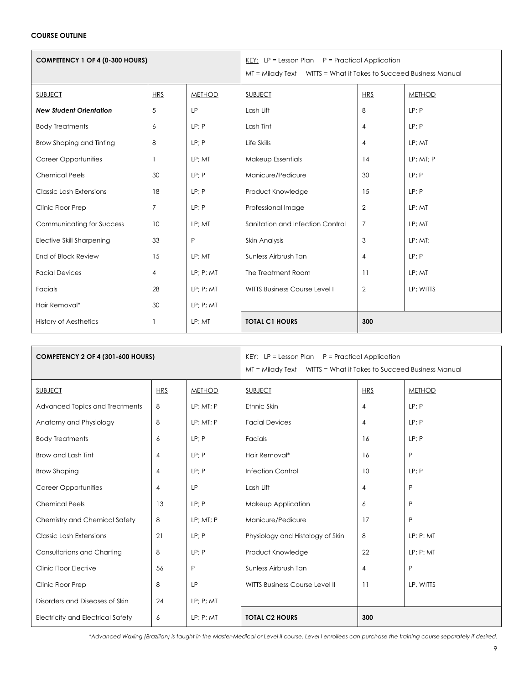# **COURSE OUTLINE**

| <b>COMPETENCY 1 OF 4 (0-300 HOURS)</b> |                | <u>KEY:</u> LP = Lesson Plan $P =$ Practical Application<br>WITTS = What it Takes to Succeed Business Manual<br>$MT = Midody$ Text |                                      |                |               |
|----------------------------------------|----------------|------------------------------------------------------------------------------------------------------------------------------------|--------------------------------------|----------------|---------------|
| <b>SUBJECT</b>                         | <b>HRS</b>     | <b>METHOD</b>                                                                                                                      | <b>SUBJECT</b>                       | <b>HRS</b>     | <b>METHOD</b> |
| <b>New Student Orientation</b>         | 5              | <b>LP</b>                                                                                                                          | Lash Lift                            | 8              | LP; P         |
| <b>Body Treatments</b>                 | 6              | LP; P                                                                                                                              | Lash Tint                            | $\overline{4}$ | LP; P         |
| Brow Shaping and Tinting               | 8              | LP; P                                                                                                                              | Life Skills                          | $\overline{4}$ | LP; MT        |
| <b>Career Opportunities</b>            |                | LP; MT                                                                                                                             | Makeup Essentials                    | 14             | LP; MT; P     |
| <b>Chemical Peels</b>                  | 30             | LP; P                                                                                                                              | Manicure/Pedicure                    | 30             | LP; P         |
| <b>Classic Lash Extensions</b>         | 18             | LP; P                                                                                                                              | Product Knowledge                    | 15             | LP; P         |
| Clinic Floor Prep                      | $\overline{7}$ | LP: P                                                                                                                              | Professional Image                   | $\overline{2}$ | LP: MT        |
| Communicating for Success              | 10             | LP: MT                                                                                                                             | Sanitation and Infection Control     | $\overline{7}$ | LP; MT        |
| <b>Elective Skill Sharpening</b>       | 33             | P                                                                                                                                  | Skin Analysis                        | 3              | $LP$ ; MT;    |
| End of Block Review                    | 15             | LP: MT                                                                                                                             | Sunless Airbrush Tan                 | $\overline{4}$ | LP; P         |
| <b>Facial Devices</b>                  | 4              | $LP$ ; $P$ ; $MT$                                                                                                                  | The Treatment Room                   | 11             | LP; MT        |
| Facials                                | 28             | LP; P; MT                                                                                                                          | <b>WITTS Business Course Level I</b> | $\overline{2}$ | LP; WITTS     |
| Hair Removal*                          | 30             | $LP$ ; $P$ ; $MT$                                                                                                                  |                                      |                |               |
| <b>History of Aesthetics</b>           |                | LP: MT                                                                                                                             | <b>TOTAL C1 HOURS</b>                | 300            |               |

| COMPETENCY 2 OF 4 (301-600 HOURS)        |                | KEY: LP = Lesson Plan $P =$ Practical Application<br>WITTS = What it Takes to Succeed Business Manual<br>$MT = Midody$ Text |                                  |                |               |
|------------------------------------------|----------------|-----------------------------------------------------------------------------------------------------------------------------|----------------------------------|----------------|---------------|
| <b>SUBJECT</b>                           | <b>HRS</b>     | <b>METHOD</b>                                                                                                               | <b>SUBJECT</b>                   | <b>HRS</b>     | <b>METHOD</b> |
| Advanced Topics and Treatments           | 8              | LP: MT; P                                                                                                                   | Ethnic Skin                      | 4              | LP; P         |
| Anatomy and Physiology                   | 8              | LP: MT: P                                                                                                                   | <b>Facial Devices</b>            | $\overline{4}$ | LP: P         |
| <b>Body Treatments</b>                   | 6              | LP; P                                                                                                                       | Facials                          | 16             | LP; P         |
| Brow and Lash Tint                       | $\overline{4}$ | LP; P                                                                                                                       | Hair Removal*                    | 16             | P             |
| <b>Brow Shaping</b>                      | $\overline{4}$ | LP; P                                                                                                                       | <b>Infection Control</b>         | 10             | LP; P         |
| <b>Career Opportunities</b>              | $\overline{4}$ | <b>LP</b>                                                                                                                   | Lash Lift                        | $\overline{4}$ | P             |
| <b>Chemical Peels</b>                    | 13             | LP; P                                                                                                                       | Makeup Application               | 6              | P             |
| Chemistry and Chemical Safety            | 8              | LP; MT; P                                                                                                                   | Manicure/Pedicure                | 17             | P             |
| <b>Classic Lash Extensions</b>           | 21             | LP; P                                                                                                                       | Physiology and Histology of Skin | 8              | LP: P: MT     |
| Consultations and Charting               | 8              | LP: P                                                                                                                       | Product Knowledge                | 22             | LP: P: MT     |
| Clinic Floor Elective                    | 56             | P                                                                                                                           | Sunless Airbrush Tan             | $\overline{4}$ | P             |
| Clinic Floor Prep                        | 8              | <b>LP</b>                                                                                                                   | WITTS Business Course Level II   | 11             | LP, WITTS     |
| Disorders and Diseases of Skin           | 24             | $LP$ ; $P$ ; $MT$                                                                                                           |                                  |                |               |
| <b>Electricity and Electrical Safety</b> | 6              | $LP$ ; $P$ ; $MT$                                                                                                           | <b>TOTAL C2 HOURS</b>            | 300            |               |

\*Advanced Waxing (Brazilian) is taught in the Master-Medical or Level II course. Level I enrollees can purchase the training course separately if desired.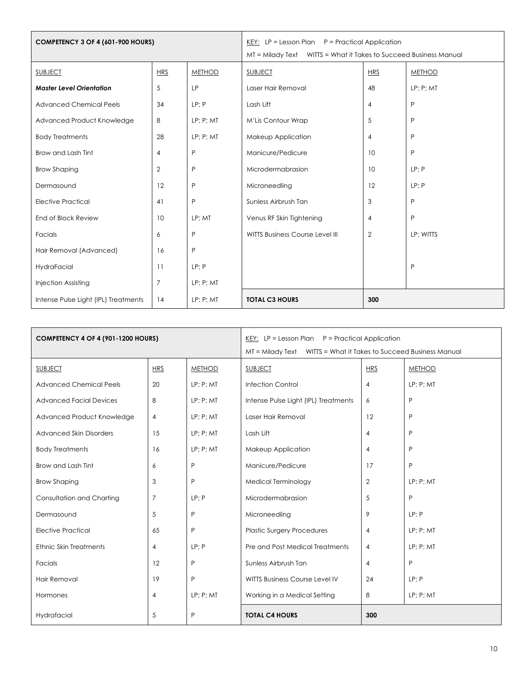| <b>COMPETENCY 3 OF 4 (601-900 HOURS)</b> |                 | KEY: LP = Lesson Plan $P =$ Practical Application<br>WITTS = What it Takes to Succeed Business Manual<br>$MT = Midody$ Text |                                        |                |                   |
|------------------------------------------|-----------------|-----------------------------------------------------------------------------------------------------------------------------|----------------------------------------|----------------|-------------------|
| <b>SUBJECT</b>                           | <b>HRS</b>      | <b>METHOD</b>                                                                                                               | <b>SUBJECT</b>                         | <b>HRS</b>     | <b>METHOD</b>     |
| <b>Master Level Orientation</b>          | 5               | <b>LP</b>                                                                                                                   | Laser Hair Removal                     | 48             | $LP$ ; $P$ ; $MT$ |
| <b>Advanced Chemical Peels</b>           | 34              | LP; P                                                                                                                       | Lash Lift                              | 4              | P                 |
| Advanced Product Knowledge               | 8               | $LP$ ; $P$ ; $MT$                                                                                                           | M'Lis Contour Wrap                     | 5              | P                 |
| <b>Body Treatments</b>                   | 28              | $LP$ ; $P$ ; $MT$                                                                                                           | Makeup Application                     | 4              | P                 |
| Brow and Lash Tint                       | 4               | P                                                                                                                           | Manicure/Pedicure                      | 10             | P                 |
| <b>Brow Shaping</b>                      | $\overline{2}$  | P                                                                                                                           | Microdermabrasion                      | 10             | LP; P             |
| Dermasound                               | 12              | P                                                                                                                           | Microneedling                          | 12             | LP; P             |
| <b>Elective Practical</b>                | 41              | P                                                                                                                           | Sunless Airbrush Tan                   | 3              | P                 |
| End of Block Review                      | 10              | LP: MT                                                                                                                      | Venus RF Skin Tightening               | $\overline{4}$ | P                 |
| Facials                                  | 6               | P                                                                                                                           | <b>WITTS Business Course Level III</b> | $\overline{2}$ | LP; WITTS         |
| Hair Removal (Advanced)                  | 16              | P                                                                                                                           |                                        |                |                   |
| HydraFacial                              | $\overline{11}$ | LP; P                                                                                                                       |                                        |                | P                 |
| <b>Injection Assisting</b>               | $\overline{7}$  | LP; P; MT                                                                                                                   |                                        |                |                   |
| Intense Pulse Light (IPL) Treatments     | 14              | LP; P; MT                                                                                                                   | <b>TOTAL C3 HOURS</b>                  | 300            |                   |

| <b>COMPETENCY 4 OF 4 (901-1200 HOURS)</b> |                | <u>KEY:</u> LP = Lesson Plan $P =$ Practical Application<br>WITTS = What it Takes to Succeed Business Manual<br>$MT = Midody$ Text |                                       |                |                   |
|-------------------------------------------|----------------|------------------------------------------------------------------------------------------------------------------------------------|---------------------------------------|----------------|-------------------|
| <b>SUBJECT</b>                            | <b>HRS</b>     | <b>METHOD</b>                                                                                                                      | <b>SUBJECT</b>                        | <b>HRS</b>     | <b>METHOD</b>     |
| <b>Advanced Chemical Peels</b>            | 20             | $LP$ ; $P$ ; $MT$                                                                                                                  | <b>Infection Control</b>              | 4              | $LP$ ; $P$ ; $MT$ |
| <b>Advanced Facial Devices</b>            | 8              | $LP$ ; $P$ ; $MT$                                                                                                                  | Intense Pulse Light (IPL) Treatments  | 6              | P                 |
| Advanced Product Knowledge                | $\overline{4}$ | $LP$ ; $P$ ; $MT$                                                                                                                  | Laser Hair Removal                    | 12             | P                 |
| Advanced Skin Disorders                   | 15             | $LP$ ; $P$ ; $MT$                                                                                                                  | Lash Lift                             | ⊿              | P                 |
| <b>Body Treatments</b>                    | 16             | $LP$ ; $P$ ; $MT$                                                                                                                  | Makeup Application                    | 4              | P                 |
| Brow and Lash Tint                        | 6              | P                                                                                                                                  | Manicure/Pedicure                     | 17             | P                 |
| <b>Brow Shaping</b>                       | 3              | P                                                                                                                                  | Medical Terminology                   | $\overline{2}$ | $LP$ ; $P$ ; $MT$ |
| Consultation and Charting                 | $\overline{7}$ | LP: P                                                                                                                              | Microdermabrasion                     | 5              | P                 |
| Dermasound                                | 5              | P                                                                                                                                  | Microneedling                         | 9              | LP: P             |
| <b>Elective Practical</b>                 | 65             | P                                                                                                                                  | <b>Plastic Surgery Procedures</b>     | $\overline{4}$ | LP; P; MT         |
| <b>Ethnic Skin Treatments</b>             | 4              | LP; P                                                                                                                              | Pre and Post Medical Treatments       | $\overline{4}$ | LP; P; MT         |
| Facials                                   | 12             | P                                                                                                                                  | Sunless Airbrush Tan                  | $\overline{4}$ | P                 |
| Hair Removal                              | 19             | P                                                                                                                                  | <b>WITTS Business Course Level IV</b> | 24             | LP; P             |
| Hormones                                  | 4              | $LP$ ; $P$ ; $MT$                                                                                                                  | Working in a Medical Setting          | 8              | LP; P; MT         |
| Hydrafacial                               | 5              | P                                                                                                                                  | <b>TOTAL C4 HOURS</b>                 | 300            |                   |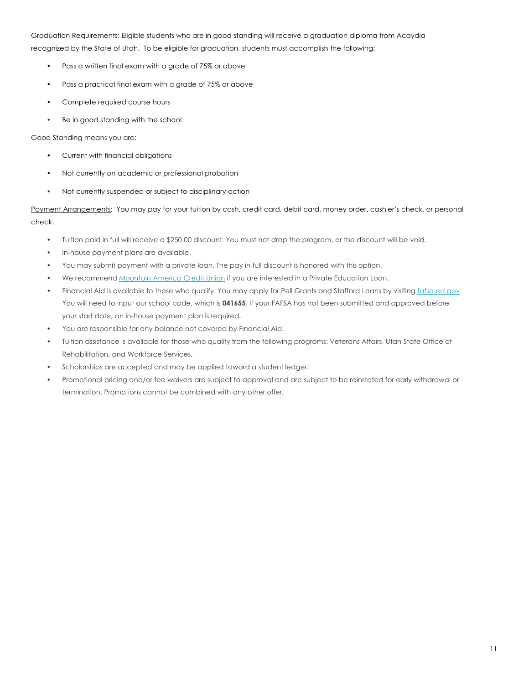Graduation Requirements: Eligible students who are in good standing will receive a graduation diploma from Acaydia recognized by the State of Utah. To be eligible for graduation, students must accomplish the following:

- Pass a written final exam with a grade of 75% or above
- Pass a practical final exam with a grade of 75% or above
- Complete required course hours
- Be in good standing with the school

Good Standing means you are:

- Current with financial obligations
- Not currently on academic or professional probation
- Not currently suspended or subject to disciplinary action

Payment Arrangements: You may pay for your tuition by cash, credit card, debit card, money order, cashier's check, or personal check.

- Tuition paid in full will receive a \$250.00 discount. You must not drop the program, or the discount will be void.
- In-house payment plans are available.
- You may submit payment with a private loan. The pay in full discount is honored with this option.
- We recommend Mountain America Credit Union if you are interested in a Private Education Loan.
- Financial Aid is available to those who qualify. You may apply for Pell Grants and Stafford Loans by visiting fafsa.ed.gov. You will need to input our school code, which is **041655**. If your FAFSA has not been submitted and approved before your start date, an in-house payment plan is required.
- You are responsible for any balance not covered by Financial Aid.
- Tuition assistance is available for those who qualify from the following programs: Veterans Affairs, Utah State Office of Rehabilitation, and Workforce Services.
- Scholarships are accepted and may be applied toward a student ledger.
- Promotional pricing and/or fee waivers are subject to approval and are subject to be reinstated for early withdrawal or termination. Promotions cannot be combined with any other offer.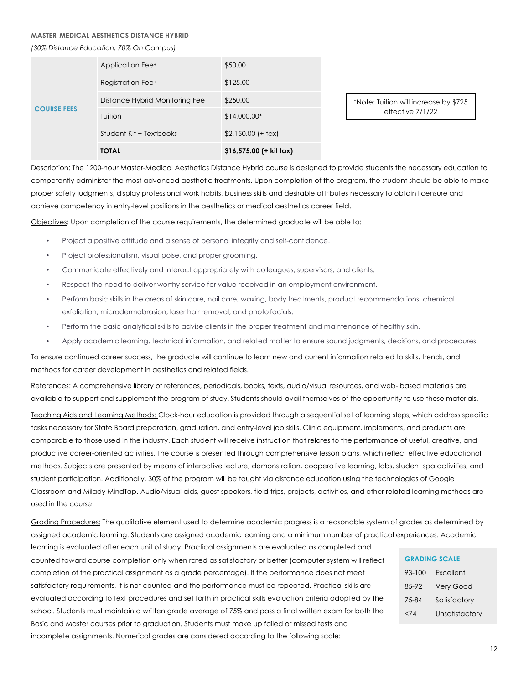#### **MASTER-MEDICAL AESTHETICS DISTANCE HYBRID**

*(30% Distance Education, 70% On Campus)*

|                    | Application Fee <sup>+</sup>   | \$50.00                  |
|--------------------|--------------------------------|--------------------------|
|                    | Registration Fee <sup>+</sup>  | \$125.00                 |
|                    | Distance Hybrid Monitoring Fee | \$250.00                 |
| <b>COURSE FEES</b> | Tuition                        | $$14,000.00*$            |
|                    | Student Kit + Textbooks        | $$2,150.00 (+ tax)$      |
|                    | <b>TOTAL</b>                   | $$16,575.00 (+ kit tax)$ |

\*Note: Tuition will increase by \$725 effective 7/1/22

Description: The 1200-hour Master-Medical Aesthetics Distance Hybrid course is designed to provide students the necessary education to competently administer the most advanced aesthetic treatments. Upon completion of the program, the student should be able to make proper safety judgments, display professional work habits, business skills and desirable attributes necessary to obtain licensure and achieve competency in entry-level positions in the aesthetics or medical aesthetics career field.

Objectives: Upon completion of the course requirements, the determined graduate will be able to:

- ! Project a positive attitude and a sense of personal integrity and self-confidence.
- Project professionalism, visual poise, and proper grooming.
- Communicate effectively and interact appropriately with colleagues, supervisors, and clients.
- Respect the need to deliver worthy service for value received in an employment environment.
- Perform basic skills in the areas of skin care, nail care, waxing, body treatments, product recommendations, chemical exfoliation, microdermabrasion, laser hair removal, and photo facials.
- Perform the basic analytical skills to advise clients in the proper treatment and maintenance of healthy skin.
- Apply academic learning, technical information, and related matter to ensure sound judgments, decisions, and procedures.

To ensure continued career success, the graduate will continue to learn new and current information related to skills, trends, and methods for career development in aesthetics and related fields.

References: A comprehensive library of references, periodicals, books, texts, audio/visual resources, and web- based materials are available to support and supplement the program of study. Students should avail themselves of the opportunity to use these materials.

Teaching Aids and Learning Methods: Clock-hour education is provided through a sequential set of learning steps, which address specific tasks necessary for State Board preparation, graduation, and entry-level job skills. Clinic equipment, implements, and products are comparable to those used in the industry. Each student will receive instruction that relates to the performance of useful, creative, and productive career-oriented activities. The course is presented through comprehensive lesson plans, which reflect effective educational methods. Subjects are presented by means of interactive lecture, demonstration, cooperative learning, labs, student spa activities, and student participation. Additionally, 30% of the program will be taught via distance education using the technologies of Google Classroom and Milady MindTap. Audio/visual aids, guest speakers, field trips, projects, activities, and other related learning methods are used in the course.

Grading Procedures: The qualitative element used to determine academic progress is a reasonable system of grades as determined by assigned academic learning. Students are assigned academic learning and a minimum number of practical experiences. Academic

learning is evaluated after each unit of study. Practical assignments are evaluated as completed and counted toward course completion only when rated as satisfactory or better (computer system will reflect completion of the practical assignment as a grade percentage). If the performance does not meet satisfactory requirements, it is not counted and the performance must be repeated. Practical skills are evaluated according to text procedures and set forth in practical skills evaluation criteria adopted by the school. Students must maintain a written grade average of 75% and pass a final written exam for both the Basic and Master courses prior to graduation. Students must make up failed or missed tests and incomplete assignments. Numerical grades are considered according to the following scale:

| <b>GRADING SCALE</b> |           |
|----------------------|-----------|
| $93 - 100$<br>÷      | Excellent |

85-92 Very Good 75-84 Satisfactory <74 Unsatisfactory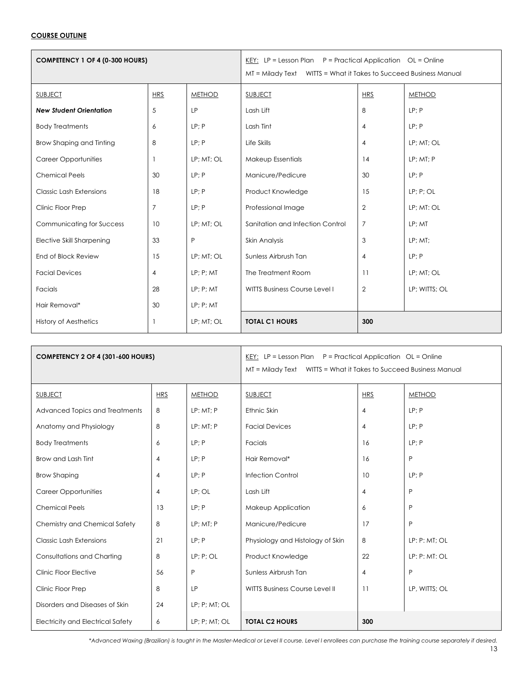# **COURSE OUTLINE**

| <b>COMPETENCY 1 OF 4 (0-300 HOURS)</b> |                | <u>KEY:</u> LP = Lesson Plan  P = Practical Application  OL = Online<br>WITTS = What it Takes to Succeed Business Manual<br>$MT = Midody$ Text |                                      |                |                   |
|----------------------------------------|----------------|------------------------------------------------------------------------------------------------------------------------------------------------|--------------------------------------|----------------|-------------------|
| <b>SUBJECT</b>                         | <b>HRS</b>     | <b>METHOD</b>                                                                                                                                  | <b>SUBJECT</b>                       | <b>HRS</b>     | <b>METHOD</b>     |
| <b>New Student Orientation</b>         | 5              | <b>LP</b>                                                                                                                                      | Lash Lift                            | 8              | LP; P             |
| <b>Body Treatments</b>                 | 6              | LP; P                                                                                                                                          | Lash Tint                            | $\overline{4}$ | LP: P             |
| Brow Shaping and Tinting               | 8              | LP; P                                                                                                                                          | Life Skills                          | $\overline{4}$ | LP; MT; OL        |
| <b>Career Opportunities</b>            |                | LP; MT; OL                                                                                                                                     | Makeup Essentials                    | 14             | LP; MT; P         |
| <b>Chemical Peels</b>                  | 30             | LP: P                                                                                                                                          | Manicure/Pedicure                    | 30             | LP: P             |
| <b>Classic Lash Extensions</b>         | 18             | LP; P                                                                                                                                          | Product Knowledge                    | 15             | $LP$ ; $P$ ; $OL$ |
| Clinic Floor Prep                      | $\overline{7}$ | LP; P                                                                                                                                          | Professional Image                   | $\overline{2}$ | LP: MT: OL        |
| Communicating for Success              | 10             | LP: MT: OL                                                                                                                                     | Sanitation and Infection Control     | $\overline{7}$ | LP; MT            |
| <b>Elective Skill Sharpening</b>       | 33             | P                                                                                                                                              | Skin Analysis                        | 3              | $LP$ ; MT;        |
| End of Block Review                    | 15             | LP; MT; OL                                                                                                                                     | Sunless Airbrush Tan                 | $\overline{4}$ | LP; P             |
| <b>Facial Devices</b>                  | $\overline{4}$ | $LP$ ; $P$ ; $MT$                                                                                                                              | The Treatment Room                   | 11             | LP; MT; OL        |
| Facials                                | 28             | $LP$ ; $P$ ; $MT$                                                                                                                              | <b>WITTS Business Course Level I</b> | $\mathbf{2}$   | LP; WITTS; OL     |
| Hair Removal*                          | 30             | $LP$ ; $P$ ; $MT$                                                                                                                              |                                      |                |                   |
| <b>History of Aesthetics</b>           |                | LP; MT; OL                                                                                                                                     | <b>TOTAL C1 HOURS</b>                | 300            |                   |

| <b>COMPETENCY 2 OF 4 (301-600 HOURS)</b> |                | KEY: LP = Lesson Plan $P =$ Practical Application $OL = Online$<br>WITTS = What it Takes to Succeed Business Manual<br>MT = Milady Text |                                       |                |               |
|------------------------------------------|----------------|-----------------------------------------------------------------------------------------------------------------------------------------|---------------------------------------|----------------|---------------|
| <b>SUBJECT</b>                           | <b>HRS</b>     | <b>METHOD</b>                                                                                                                           | <b>SUBJECT</b>                        | <b>HRS</b>     | <b>METHOD</b> |
| Advanced Topics and Treatments           | 8              | LP: MT; P                                                                                                                               | Ethnic Skin                           | $\overline{4}$ | LP; P         |
| Anatomy and Physiology                   | 8              | LP: MT: P                                                                                                                               | <b>Facial Devices</b>                 | $\overline{4}$ | LP: P         |
| <b>Body Treatments</b>                   | 6              | LP: P                                                                                                                                   | Facials                               | 16             | LP; P         |
| Brow and Lash Tint                       | $\overline{4}$ | LP; P                                                                                                                                   | Hair Removal*                         | 16             | P             |
| <b>Brow Shaping</b>                      | $\overline{4}$ | LP: P                                                                                                                                   | Infection Control                     | 10             | LP: P         |
| <b>Career Opportunities</b>              | $\overline{4}$ | LP; OL                                                                                                                                  | Lash Lift                             | $\overline{4}$ | P             |
| <b>Chemical Peels</b>                    | 13             | LP; P                                                                                                                                   | Makeup Application                    | 6              | P             |
| Chemistry and Chemical Safety            | 8              | LP: MT: P                                                                                                                               | Manicure/Pedicure                     | 17             | P             |
| <b>Classic Lash Extensions</b>           | 21             | LP; P                                                                                                                                   | Physiology and Histology of Skin      | 8              | LP: P: MT; OL |
| Consultations and Charting               | 8              | LP: P: OL                                                                                                                               | Product Knowledge                     | 22             | LP: P: MT: OL |
| Clinic Floor Elective                    | 56             | P                                                                                                                                       | Sunless Airbrush Tan                  | $\overline{4}$ | P             |
| Clinic Floor Prep                        | 8              | LP                                                                                                                                      | <b>WITTS Business Course Level II</b> | 11             | LP, WITTS; OL |
| Disorders and Diseases of Skin           | 24             | LP; P; MT; OL                                                                                                                           |                                       |                |               |
| <b>Electricity and Electrical Safety</b> | 6              | LP; P; MT; OL                                                                                                                           | <b>TOTAL C2 HOURS</b>                 | 300            |               |

*\*Advanced Waxing (Brazilian) is taught in the Master-Medical or Level II course. Level I enrollees can purchase the training course separately if desired.*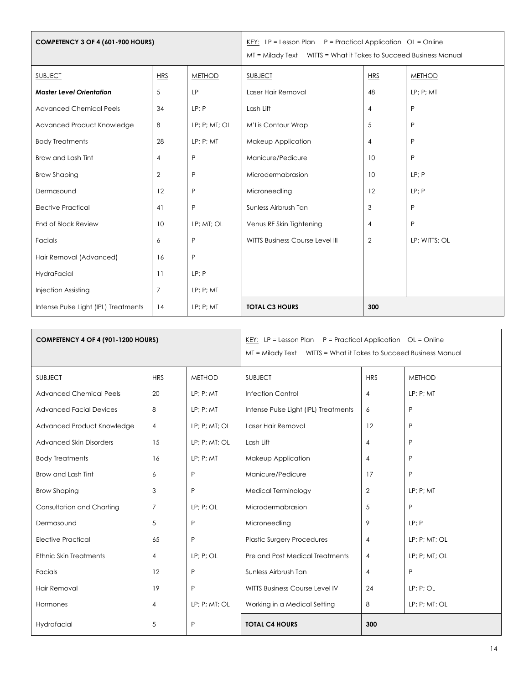| COMPETENCY 3 OF 4 (601-900 HOURS)    |              | KEY: LP = Lesson Plan $P =$ Practical Application OL = Online<br>MT = Milady Text    WITTS = What it Takes to Succeed Business Manual |                                        |                |                   |
|--------------------------------------|--------------|---------------------------------------------------------------------------------------------------------------------------------------|----------------------------------------|----------------|-------------------|
| <b>SUBJECT</b>                       | <b>HRS</b>   | <b>METHOD</b>                                                                                                                         | <b>SUBJECT</b>                         | <b>HRS</b>     | <b>METHOD</b>     |
| <b>Master Level Orientation</b>      | 5            | <b>LP</b>                                                                                                                             | Laser Hair Removal                     | 48             | $LP$ ; $P$ ; $MT$ |
| <b>Advanced Chemical Peels</b>       | 34           | LP: P                                                                                                                                 | Lash Lift                              | 4              | P                 |
| Advanced Product Knowledge           | 8            | LP; P; MT; OL                                                                                                                         | M'Lis Contour Wrap                     | 5              | P                 |
| <b>Body Treatments</b>               | 28           | $LP$ ; $P$ ; $MT$                                                                                                                     | Makeup Application                     | 4              | P                 |
| <b>Brow and Lash Tint</b>            | 4            | P                                                                                                                                     | Manicure/Pedicure                      | 10             | P                 |
| <b>Brow Shaping</b>                  | $\mathbf{2}$ | P                                                                                                                                     | Microdermabrasion                      | 10             | LP; P             |
| Dermasound                           | 12           | P                                                                                                                                     | Microneedling                          | 12             | LP; P             |
| <b>Elective Practical</b>            | 41           | P                                                                                                                                     | Sunless Airbrush Tan                   | 3              | P                 |
| End of Block Review                  | 10           | LP; MT; OL                                                                                                                            | Venus RF Skin Tightening               | $\overline{4}$ | P                 |
| Facials                              | 6            | P                                                                                                                                     | <b>WITTS Business Course Level III</b> | $\overline{2}$ | LP; WITTS; OL     |
| Hair Removal (Advanced)              | 16           | P                                                                                                                                     |                                        |                |                   |
| HydraFacial                          | 11           | LP: P                                                                                                                                 |                                        |                |                   |
| Injection Assisting                  | 7            | $LP$ ; $P$ ; $MT$                                                                                                                     |                                        |                |                   |
| Intense Pulse Light (IPL) Treatments | 14           | $LP$ ; $P$ ; $MT$                                                                                                                     | <b>TOTAL C3 HOURS</b>                  | 300            |                   |

| COMPETENCY 4 OF 4 (901-1200 HOURS) |                | <u>KEY:</u> LP = Lesson Plan $P =$ Practical Application OL = Online<br>WITTS = What it Takes to Succeed Business Manual<br>$MT = Midody$ Text |                                       |                |                   |
|------------------------------------|----------------|------------------------------------------------------------------------------------------------------------------------------------------------|---------------------------------------|----------------|-------------------|
| <b>SUBJECT</b>                     | <b>HRS</b>     | <b>METHOD</b>                                                                                                                                  | <b>SUBJECT</b>                        | <b>HRS</b>     | <b>METHOD</b>     |
| <b>Advanced Chemical Peels</b>     | 20             | LP: P: MT                                                                                                                                      | <b>Infection Control</b>              | $\overline{4}$ | $LP$ ; $P$ ; $MT$ |
| <b>Advanced Facial Devices</b>     | 8              | $LP$ ; $P$ ; $MT$                                                                                                                              | Intense Pulse Light (IPL) Treatments  | 6              | P                 |
| Advanced Product Knowledge         | $\overline{4}$ | LP; P; MT; OL                                                                                                                                  | Laser Hair Removal                    | 12             | P                 |
| <b>Advanced Skin Disorders</b>     | 15             | $LP$ ; $P$ ; $MT$ ; $OL$                                                                                                                       | Lash Lift                             | $\overline{4}$ | P                 |
| <b>Body Treatments</b>             | 16             | $LP$ ; $P$ ; $MT$                                                                                                                              | Makeup Application                    | $\overline{4}$ | P                 |
| Brow and Lash Tint                 | 6              | P                                                                                                                                              | Manicure/Pedicure                     | 17             | P                 |
| <b>Brow Shaping</b>                | 3              | P                                                                                                                                              | Medical Terminology                   | $\overline{2}$ | $LP$ ; $P$ ; $MT$ |
| Consultation and Charting          | $\overline{7}$ | LP: P: OL                                                                                                                                      | Microdermabrasion                     | 5              | P                 |
| Dermasound                         | 5              | P                                                                                                                                              | Microneedling                         | 9              | LP: P             |
| <b>Elective Practical</b>          | 65             | P                                                                                                                                              | <b>Plastic Surgery Procedures</b>     | $\overline{4}$ | LP; P; MT; OL     |
| Ethnic Skin Treatments             | $\overline{4}$ | LP: P: OL                                                                                                                                      | Pre and Post Medical Treatments       | $\overline{4}$ | LP; P; MT; OL     |
| Facials                            | 12             | P                                                                                                                                              | Sunless Airbrush Tan                  | $\overline{4}$ | P                 |
| Hair Removal                       | 19             | P                                                                                                                                              | <b>WITTS Business Course Level IV</b> | 24             | $LP$ ; $P$ ; $OL$ |
| Hormones                           | $\overline{4}$ | LP: P: MT: OL                                                                                                                                  | Working in a Medical Setting          | 8              | LP: P: MT: OL     |
| Hydrafacial                        | 5              | P                                                                                                                                              | <b>TOTAL C4 HOURS</b>                 | 300            |                   |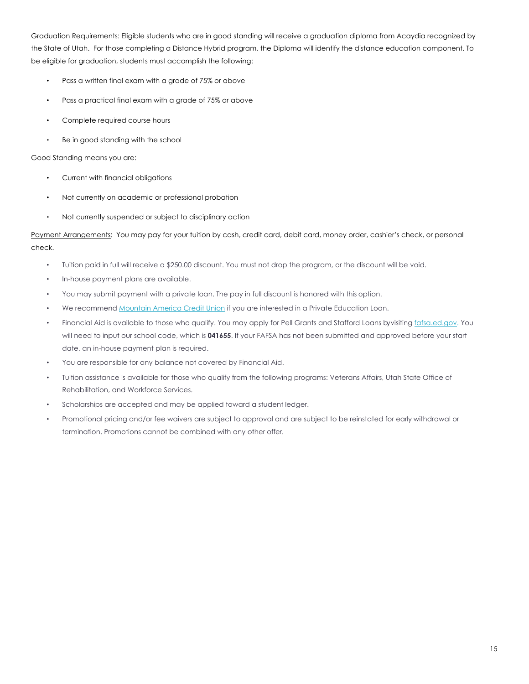Graduation Requirements: Eligible students who are in good standing will receive a graduation diploma from Acaydia recognized by the State of Utah. For those completing a Distance Hybrid program, the Diploma will identify the distance education component. To be eligible for graduation, students must accomplish the following:

- Pass a written final exam with a grade of 75% or above
- Pass a practical final exam with a grade of 75% or above
- Complete required course hours
- Be in good standing with the school

Good Standing means you are:

- Current with financial obligations
- ! Not currently on academic or professional probation
- Not currently suspended or subject to disciplinary action

Payment Arrangements: You may pay for your tuition by cash, credit card, debit card, money order, cashier's check, or personal check.

- ! Tuition paid in full will receive a \$250.00 discount. You must not drop the program, or the discount will be void.
- ! In-house payment plans are available.
- You may submit payment with a private loan. The pay in full discount is honored with this option.
- We recommend Mountain America Credit Union if you are interested in a Private Education Loan.
- Financial Aid is available to those who qualify. You may apply for Pell Grants and Stafford Loans byvisiting fafsa.ed.gov. You will need to input our school code, which is **041655**. If your FAFSA has not been submitted and approved before your start date, an in-house payment plan is required.
- You are responsible for any balance not covered by Financial Aid.
- ! Tuition assistance is available for those who qualify from the following programs: Veterans Affairs, Utah State Office of Rehabilitation, and Workforce Services.
- Scholarships are accepted and may be applied toward a student ledger.
- Promotional pricing and/or fee waivers are subject to approval and are subject to be reinstated for early withdrawal or termination. Promotions cannot be combined with any other offer.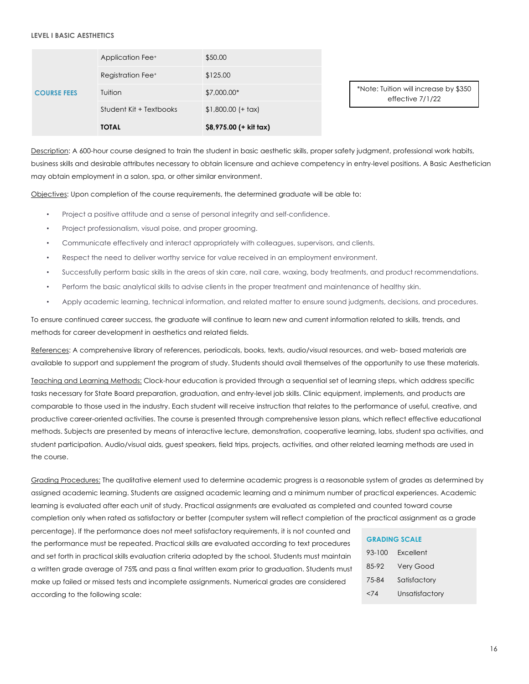#### **LEVEL I BASIC AESTHETICS**

|                    | Application Fee <sup>+</sup>  | \$50.00                |
|--------------------|-------------------------------|------------------------|
|                    | Registration Fee <sup>+</sup> | \$125.00               |
| <b>COURSE FEES</b> | Tuition                       | \$7,000.00*            |
|                    | Student Kit + Textbooks       | $$1,800.00 (+ tax)$    |
|                    | <b>TOTAL</b>                  | \$8,975.00 (+ kit tax) |

\*Note: Tuition will increase by \$350 effective 7/1/22

Description: A 600-hour course designed to train the student in basic aesthetic skills, proper safety judgment, professional work habits, business skills and desirable attributes necessary to obtain licensure and achieve competency in entry-level positions. A Basic Aesthetician may obtain employment in a salon, spa, or other similar environment.

Objectives: Upon completion of the course requirements, the determined graduate will be able to:

- Project a positive attitude and a sense of personal integrity and self-confidence.
- Project professionalism, visual poise, and proper grooming.
- Communicate effectively and interact appropriately with colleagues, supervisors, and clients.
- Respect the need to deliver worthy service for value received in an employment environment.
- Successfully perform basic skills in the areas of skin care, nail care, waxing, body treatments, and product recommendations.
- Perform the basic analytical skills to advise clients in the proper treatment and maintenance of healthy skin.
- Apply academic learning, technical information, and related matter to ensure sound judgments, decisions, and procedures.

To ensure continued career success, the graduate will continue to learn new and current information related to skills, trends, and methods for career development in aesthetics and related fields.

References: A comprehensive library of references, periodicals, books, texts, audio/visual resources, and web- based materials are available to support and supplement the program of study. Students should avail themselves of the opportunity to use these materials.

Teaching and Learning Methods: Clock-hour education is provided through a sequential set of learning steps, which address specific tasks necessary for State Board preparation, graduation, and entry-level job skills. Clinic equipment, implements, and products are comparable to those used in the industry. Each student will receive instruction that relates to the performance of useful, creative, and productive career-oriented activities. The course is presented through comprehensive lesson plans, which reflect effective educational methods. Subjects are presented by means of interactive lecture, demonstration, cooperative learning, labs, student spa activities, and student participation. Audio/visual aids, guest speakers, field trips, projects, activities, and other related learning methods are used in the course.

Grading Procedures: The qualitative element used to determine academic progress is a reasonable system of grades as determined by assigned academic learning. Students are assigned academic learning and a minimum number of practical experiences. Academic learning is evaluated after each unit of study. Practical assignments are evaluated as completed and counted toward course completion only when rated as satisfactory or better (computer system will reflect completion of the practical assignment as a grade

percentage). If the performance does not meet satisfactory requirements, it is not counted and the performance must be repeated. Practical skills are evaluated according to text procedures and set forth in practical skills evaluation criteria adopted by the school. Students must maintain a written grade average of 75% and pass a final written exam prior to graduation. Students must make up failed or missed tests and incomplete assignments. Numerical grades are considered according to the following scale:

| <b>GRADING SCALE</b> |                  |  |  |  |  |  |
|----------------------|------------------|--|--|--|--|--|
| $93 - 100$           | <b>Excellent</b> |  |  |  |  |  |
| 85-92                | <b>Very Good</b> |  |  |  |  |  |
| 75-84                | Satisfactory     |  |  |  |  |  |
| <74                  | Unsatisfactory   |  |  |  |  |  |
|                      |                  |  |  |  |  |  |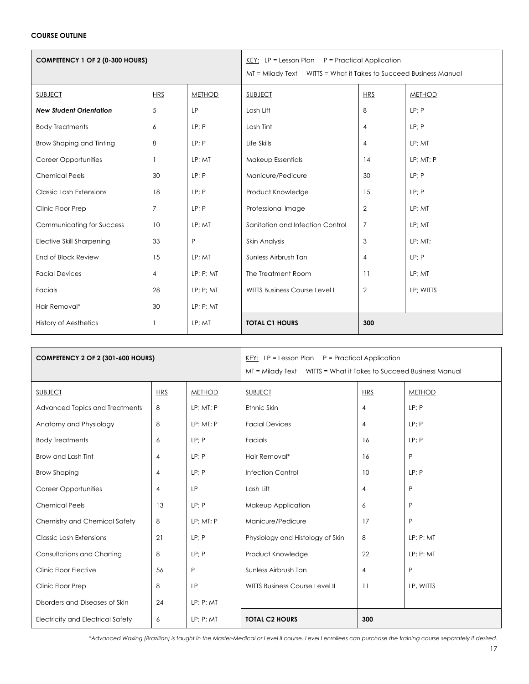# **COURSE OUTLINE**

| <b>COMPETENCY 1 OF 2 (0-300 HOURS)</b> |            | KEY: LP = Lesson Plan $P =$ Practical Application |                                      |                |               |
|----------------------------------------|------------|---------------------------------------------------|--------------------------------------|----------------|---------------|
| <b>SUBJECT</b>                         | <b>HRS</b> | <b>METHOD</b>                                     | <b>SUBJECT</b>                       | <b>HRS</b>     | <b>METHOD</b> |
| <b>New Student Orientation</b>         | 5          | LP                                                | Lash Lift                            | 8              | LP; P         |
| <b>Body Treatments</b>                 | 6          | LP; P                                             | Lash Tint                            | $\overline{4}$ | LP; P         |
| Brow Shaping and Tinting               | 8          | LP; P                                             | Life Skills                          | $\overline{4}$ | LP; MT        |
| <b>Career Opportunities</b>            |            | LP: MT                                            | Makeup Essentials                    | 14             | LP; MT; P     |
| <b>Chemical Peels</b>                  | 30         | LP; P                                             | Manicure/Pedicure                    | 30             | LP; P         |
| <b>Classic Lash Extensions</b>         | 18         | LP; P                                             | Product Knowledge                    | 15             | LP; P         |
| Clinic Floor Prep                      | 7          | LP: P                                             | Professional Image                   | $\overline{2}$ | LP: MT        |
| Communicating for Success              | 10         | LP: MT                                            | Sanitation and Infection Control     | $\overline{7}$ | LP; MT        |
| <b>Elective Skill Sharpening</b>       | 33         | $\mathsf{P}$                                      | Skin Analysis                        | 3              | LP; MT;       |
| End of Block Review                    | 15         | LP; MT                                            | Sunless Airbrush Tan                 | $\overline{4}$ | LP; P         |
| <b>Facial Devices</b>                  | 4          | $LP$ ; $P$ ; $MT$                                 | The Treatment Room                   | 11             | LP; MT        |
| Facials                                | 28         | $LP$ ; $P$ ; $MT$                                 | <b>WITTS Business Course Level I</b> | $\mathbf{2}$   | LP; WITTS     |
| Hair Removal*                          | 30         | $LP$ ; $P$ ; $MT$                                 |                                      |                |               |
| <b>History of Aesthetics</b>           |            | LP; MT                                            | <b>TOTAL C1 HOURS</b>                | 300            |               |

| <b>COMPETENCY 2 OF 2 (301-600 HOURS)</b> |                | KEY: LP = Lesson Plan $P =$ Practical Application<br>MT = Milady Text    WITTS = What it Takes to Succeed Business Manual |                                  |                |               |
|------------------------------------------|----------------|---------------------------------------------------------------------------------------------------------------------------|----------------------------------|----------------|---------------|
| <b>SUBJECT</b>                           | <b>HRS</b>     | <b>METHOD</b>                                                                                                             | <b>SUBJECT</b>                   | <b>HRS</b>     | <b>METHOD</b> |
| Advanced Topics and Treatments           | 8              | LP: MT: P                                                                                                                 | Ethnic Skin                      | $\overline{4}$ | LP; P         |
| Anatomy and Physiology                   | 8              | LP: MT; P                                                                                                                 | <b>Facial Devices</b>            | $\overline{4}$ | LP; P         |
| <b>Body Treatments</b>                   | 6              | LP; P                                                                                                                     | Facials                          | 16             | LP; P         |
| Brow and Lash Tint                       | 4              | LP: P                                                                                                                     | Hair Removal*                    | 16             | P             |
| <b>Brow Shaping</b>                      | $\overline{4}$ | LP: P                                                                                                                     | <b>Infection Control</b>         | 10             | LP; P         |
| <b>Career Opportunities</b>              | 4              | <b>LP</b>                                                                                                                 | Lash Lift                        | 4              | P             |
| <b>Chemical Peels</b>                    | 13             | LP: P                                                                                                                     | Makeup Application               | 6              | P             |
| Chemistry and Chemical Safety            | 8              | LP; MT; P                                                                                                                 | Manicure/Pedicure                | 17             | P             |
| <b>Classic Lash Extensions</b>           | 21             | LP: P                                                                                                                     | Physiology and Histology of Skin | 8              | LP: P: MT     |
| Consultations and Charting               | 8              | LP: P                                                                                                                     | Product Knowledge                | 22             | LP: P: MT     |
| Clinic Floor Elective                    | 56             | P                                                                                                                         | Sunless Airbrush Tan             | 4              | P             |
| Clinic Floor Prep                        | 8              | LP                                                                                                                        | WITTS Business Course Level II   | 11             | LP, WITTS     |
| Disorders and Diseases of Skin           | 24             | $LP$ ; $P$ ; $MT$                                                                                                         |                                  |                |               |
| <b>Electricity and Electrical Safety</b> | 6              | $LP$ ; $P$ ; $MT$                                                                                                         | <b>TOTAL C2 HOURS</b>            | 300            |               |

*\*Advanced Waxing (Brazilian) is taught in the Master-Medical or Level II course. Level I enrollees can purchase the training course separately if desired.*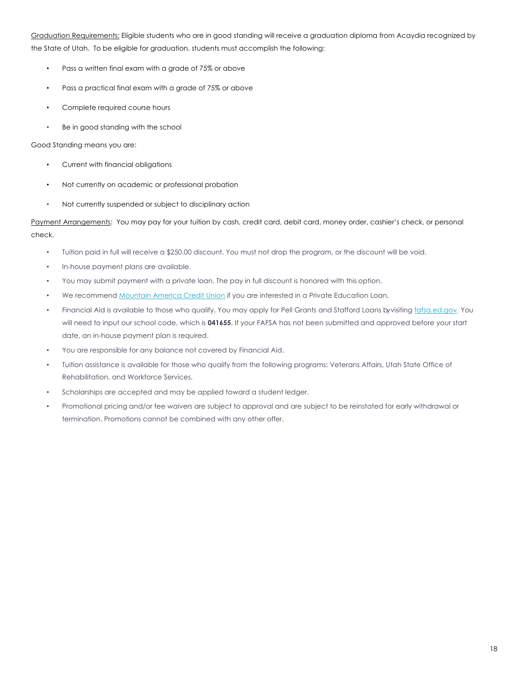Graduation Requirements: Eligible students who are in good standing will receive a graduation diploma from Acaydia recognized by the State of Utah. To be eligible for graduation, students must accomplish the following:

- Pass a written final exam with a grade of 75% or above
- ! Pass a practical final exam with a grade of 75% or above
- Complete required course hours
- Be in good standing with the school

Good Standing means you are:

- Current with financial obligations
- ! Not currently on academic or professional probation
- ! Not currently suspended or subject to disciplinary action

Payment Arrangements: You may pay for your tuition by cash, credit card, debit card, money order, cashier's check, or personal check.

- ! Tuition paid in full will receive a \$250.00 discount. You must not drop the program, or the discount will be void.
- ! In-house payment plans are available.
- You may submit payment with a private loan. The pay in full discount is honored with this option.
- We recommend Mountain America Credit Union if you are interested in a Private Education Loan.
- Financial Aid is available to those who qualify. You may apply for Pell Grants and Stafford Loans byvisiting fafsa.ed.gov. You will need to input our school code, which is **041655**. If your FAFSA has not been submitted and approved before your start date, an in-house payment plan is required.
- You are responsible for any balance not covered by Financial Aid.
- ! Tuition assistance is available for those who qualify from the following programs: Veterans Affairs, Utah State Office of Rehabilitation, and Workforce Services.
- Scholarships are accepted and may be applied toward a student ledger.
- Promotional pricing and/or fee waivers are subject to approval and are subject to be reinstated for early withdrawal or termination. Promotions cannot be combined with any other offer.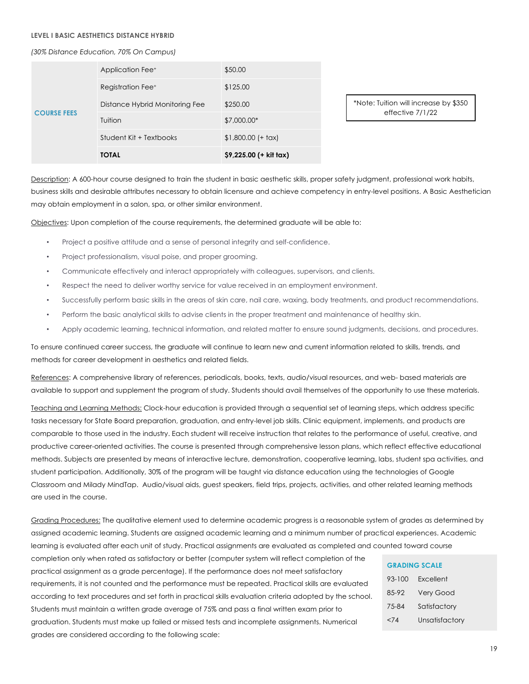#### **LEVEL I BASIC AESTHETICS DISTANCE HYBRID**

*(30% Distance Education, 70% On Campus)*

|                    | Application Fee <sup>+</sup>   | \$50.00                 |
|--------------------|--------------------------------|-------------------------|
| <b>COURSE FEES</b> | Registration Fee <sup>+</sup>  | \$125.00                |
|                    | Distance Hybrid Monitoring Fee | \$250.00                |
|                    | Tuition                        | \$7,000.00*             |
|                    | Student Kit + Textbooks        | $$1,800.00 (+ tax)$     |
|                    | <b>TOTAL</b>                   | $$9,225.00 (+ kit tax)$ |

\*Note: Tuition will increase by \$350 effective 7/1/22

Description: A 600-hour course designed to train the student in basic aesthetic skills, proper safety judgment, professional work habits, business skills and desirable attributes necessary to obtain licensure and achieve competency in entry-level positions. A Basic Aesthetician may obtain employment in a salon, spa, or other similar environment.

Objectives: Upon completion of the course requirements, the determined graduate will be able to:

- Project a positive attitude and a sense of personal integrity and self-confidence.
- Project professionalism, visual poise, and proper grooming.
- Communicate effectively and interact appropriately with colleagues, supervisors, and clients.
- Respect the need to deliver worthy service for value received in an employment environment.
- Successfully perform basic skills in the areas of skin care, nail care, waxing, body treatments, and product recommendations.
- Perform the basic analytical skills to advise clients in the proper treatment and maintenance of healthy skin.
- Apply academic learning, technical information, and related matter to ensure sound judgments, decisions, and procedures.

To ensure continued career success, the graduate will continue to learn new and current information related to skills, trends, and methods for career development in aesthetics and related fields.

References: A comprehensive library of references, periodicals, books, texts, audio/visual resources, and web- based materials are available to support and supplement the program of study. Students should avail themselves of the opportunity to use these materials.

Teaching and Learning Methods: Clock-hour education is provided through a sequential set of learning steps, which address specific tasks necessary for State Board preparation, graduation, and entry-level job skills. Clinic equipment, implements, and products are comparable to those used in the industry. Each student will receive instruction that relates to the performance of useful, creative, and productive career-oriented activities. The course is presented through comprehensive lesson plans, which reflect effective educational methods. Subjects are presented by means of interactive lecture, demonstration, cooperative learning, labs, student spa activities, and student participation. Additionally, 30% of the program will be taught via distance education using the technologies of Google Classroom and Milady MindTap. Audio/visual aids, guest speakers, field trips, projects, activities, and other related learning methods are used in the course.

Grading Procedures: The qualitative element used to determine academic progress is a reasonable system of grades as determined by assigned academic learning. Students are assigned academic learning and a minimum number of practical experiences. Academic learning is evaluated after each unit of study. Practical assignments are evaluated as completed and counted toward course

completion only when rated as satisfactory or better (computer system will reflect completion of the practical assignment as a grade percentage). If the performance does not meet satisfactory requirements, it is not counted and the performance must be repeated. Practical skills are evaluated according to text procedures and set forth in practical skills evaluation criteria adopted by the school. Students must maintain a written grade average of 75% and pass a final written exam prior to graduation. Students must make up failed or missed tests and incomplete assignments. Numerical grades are considered according to the following scale:

| <b>GRADING SCALE</b> |                  |  |  |  |  |
|----------------------|------------------|--|--|--|--|
| 93-100               | <b>Fxcellent</b> |  |  |  |  |
| 85-92                | <b>Very Good</b> |  |  |  |  |
| 75-84                | Satisfactory     |  |  |  |  |
| < 74                 | Unsatisfactory   |  |  |  |  |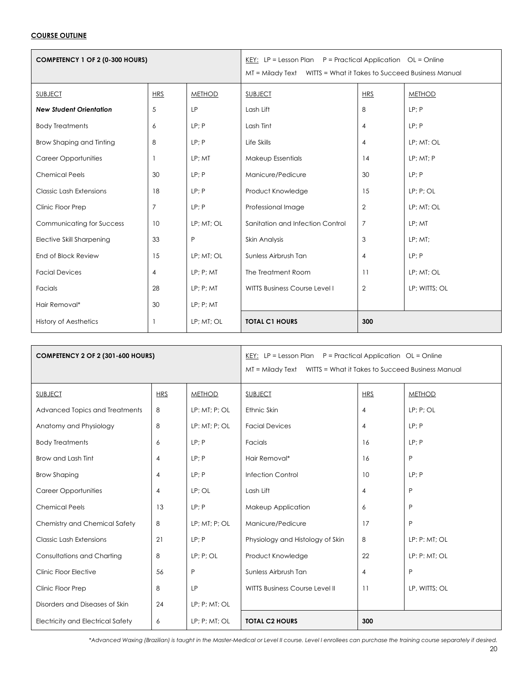# **COURSE OUTLINE**

| <b>COMPETENCY 1 OF 2 (0-300 HOURS)</b> |                | <u>KEY:</u> LP = Lesson Plan  P = Practical Application  OL = Online<br>WITTS = What it Takes to Succeed Business Manual<br>$MT = Midody$ Text |                                      |                |                   |
|----------------------------------------|----------------|------------------------------------------------------------------------------------------------------------------------------------------------|--------------------------------------|----------------|-------------------|
| <b>SUBJECT</b>                         | <b>HRS</b>     | <b>METHOD</b>                                                                                                                                  | <b>HRS</b>                           | <b>METHOD</b>  |                   |
| <b>New Student Orientation</b>         | 5              | LP                                                                                                                                             | Lash Lift                            | 8              | LP: P             |
| <b>Body Treatments</b>                 | 6              | LP: P                                                                                                                                          | Lash Tint                            | 4              | LP: P             |
| Brow Shaping and Tinting               | 8              | LP; P                                                                                                                                          | Life Skills                          | 4              | LP; MT: OL        |
| <b>Career Opportunities</b>            | 1              | LP; MT                                                                                                                                         | Makeup Essentials                    | 14             | LP; MT; P         |
| <b>Chemical Peels</b>                  | 30             | LP: P                                                                                                                                          | Manicure/Pedicure                    | 30             | LP: P             |
| <b>Classic Lash Extensions</b>         | 18             | LP; P                                                                                                                                          | Product Knowledge                    | 15             | $LP$ ; $P$ ; $OL$ |
| Clinic Floor Prep                      | $\overline{7}$ | LP: P                                                                                                                                          | Professional Image                   | $\overline{2}$ | LP; MT; OL        |
| Communicating for Success              | 10             | LP; MT; OL                                                                                                                                     | Sanitation and Infection Control     | $\overline{7}$ | LP; MT            |
| <b>Elective Skill Sharpening</b>       | 33             | P                                                                                                                                              | Skin Analysis                        | 3              | LP; MT;           |
| End of Block Review                    | 15             | LP; MT; OL                                                                                                                                     | Sunless Airbrush Tan                 | $\overline{4}$ | LP; P             |
| <b>Facial Devices</b>                  | 4              | $LP$ ; $P$ ; $MT$                                                                                                                              | The Treatment Room                   | 11             | LP; MT; OL        |
| Facials                                | 28             | LP: P: MT                                                                                                                                      | <b>WITTS Business Course Level I</b> | $\overline{2}$ | LP; WITTS; OL     |
| Hair Removal*                          | 30             | $LP$ ; $P$ ; $MT$                                                                                                                              |                                      |                |                   |
| <b>History of Aesthetics</b>           | 1              | LP; MT; OL                                                                                                                                     | <b>TOTAL C1 HOURS</b>                | 300            |                   |

| <b>COMPETENCY 2 OF 2 (301-600 HOURS)</b> |                | <u>KEY:</u> LP = Lesson Plan  P = Practical Application  OL = Online<br>WITTS = What it Takes to Succeed Business Manual<br>$MT = Midody$ Text |                                  |                |                   |
|------------------------------------------|----------------|------------------------------------------------------------------------------------------------------------------------------------------------|----------------------------------|----------------|-------------------|
| <b>SUBJECT</b>                           | <b>HRS</b>     | <b>METHOD</b>                                                                                                                                  | <b>SUBJECT</b>                   | <b>HRS</b>     | <b>METHOD</b>     |
| Advanced Topics and Treatments           | 8              | LP: MT; P; OL                                                                                                                                  | Ethnic Skin                      | $\overline{4}$ | $LP$ ; $P$ ; $OL$ |
| Anatomy and Physiology                   | 8              | LP: MT; P; OL                                                                                                                                  | <b>Facial Devices</b>            | $\overline{4}$ | LP; P             |
| <b>Body Treatments</b>                   | 6              | LP; P                                                                                                                                          | Facials                          | 16             | LP; P             |
| Brow and Lash Tint                       | $\overline{4}$ | LP; P                                                                                                                                          | Hair Removal*                    | 16             | P                 |
| <b>Brow Shaping</b>                      | $\overline{4}$ | LP: P                                                                                                                                          | <b>Infection Control</b>         | 10             | LP: P             |
| <b>Career Opportunities</b>              | $\overline{4}$ | LP; OL                                                                                                                                         | Lash Lift                        | $\overline{4}$ | P                 |
| <b>Chemical Peels</b>                    | 13             | LP; P                                                                                                                                          | Makeup Application               | 6              | P                 |
| Chemistry and Chemical Safety            | 8              | $LP$ ; $MT$ ; $P$ ; $OL$                                                                                                                       | Manicure/Pedicure                | 17             | P                 |
| <b>Classic Lash Extensions</b>           | 21             | LP; P                                                                                                                                          | Physiology and Histology of Skin | 8              | LP: P: MT; OL     |
| Consultations and Charting               | 8              | $LP$ ; $P$ ; $OL$                                                                                                                              | Product Knowledge                | 22             | LP: P: MT; OL     |
| <b>Clinic Floor Elective</b>             | 56             | P                                                                                                                                              | Sunless Airbrush Tan             | $\overline{4}$ | P                 |
| Clinic Floor Prep                        | 8              | <b>LP</b>                                                                                                                                      | WITTS Business Course Level II   | 11             | LP, WITTS; OL     |
| Disorders and Diseases of Skin           | 24             | LP; P; MT; OL                                                                                                                                  |                                  |                |                   |
| <b>Electricity and Electrical Safety</b> | 6              | LP; P; MT; OL                                                                                                                                  | <b>TOTAL C2 HOURS</b>            | 300            |                   |

*\*Advanced Waxing (Brazilian) is taught in the Master-Medical or Level II course. Level I enrollees can purchase the training course separately if desired.*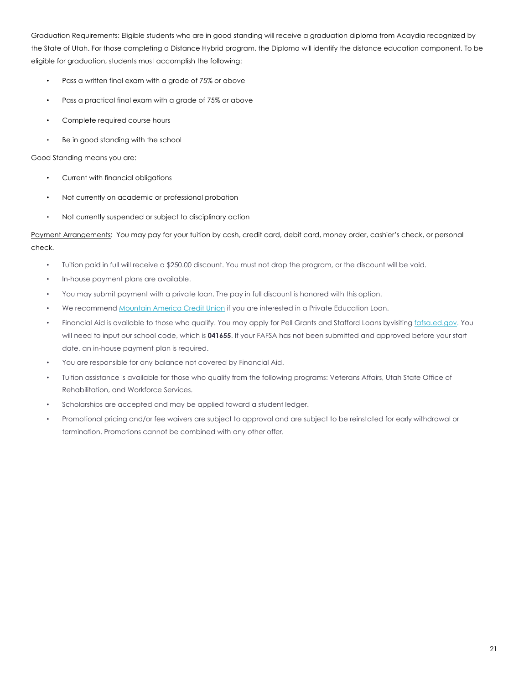Graduation Requirements: Eligible students who are in good standing will receive a graduation diploma from Acaydia recognized by the State of Utah. For those completing a Distance Hybrid program, the Diploma will identify the distance education component. To be eligible for graduation, students must accomplish the following:

- ! Pass a written final exam with a grade of 75% or above
- Pass a practical final exam with a grade of 75% or above
- Complete required course hours
- Be in good standing with the school

Good Standing means you are:

- Current with financial obligations
- ! Not currently on academic or professional probation
- Not currently suspended or subject to disciplinary action

Payment Arrangements: You may pay for your tuition by cash, credit card, debit card, money order, cashier's check, or personal check.

- ! Tuition paid in full will receive a \$250.00 discount. You must not drop the program, or the discount will be void.
- ! In-house payment plans are available.
- You may submit payment with a private loan. The pay in full discount is honored with this option.
- We recommend Mountain America Credit Union if you are interested in a Private Education Loan.
- Financial Aid is available to those who qualify. You may apply for Pell Grants and Stafford Loans byvisiting fafsa.ed.gov. You will need to input our school code, which is **041655**. If your FAFSA has not been submitted and approved before your start date, an in-house payment plan is required.
- You are responsible for any balance not covered by Financial Aid.
- ! Tuition assistance is available for those who qualify from the following programs: Veterans Affairs, Utah State Office of Rehabilitation, and Workforce Services.
- Scholarships are accepted and may be applied toward a student ledger.
- Promotional pricing and/or fee waivers are subject to approval and are subject to be reinstated for early withdrawal or termination. Promotions cannot be combined with any other offer.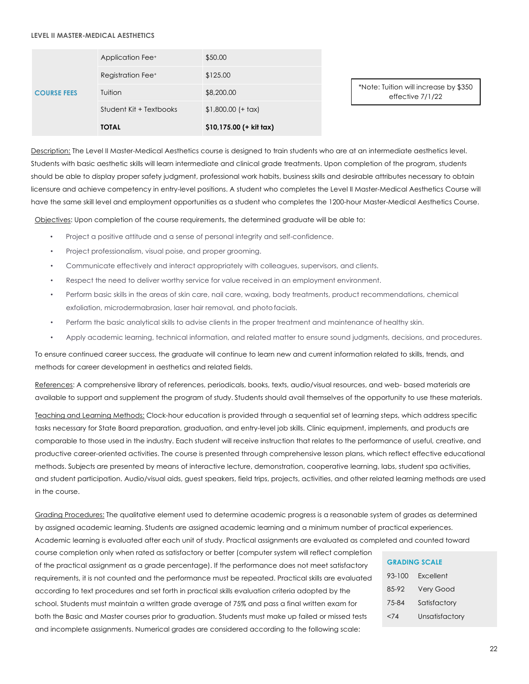#### **LEVEL II MASTER-MEDICAL AESTHETICS**

|                    | Application Fee <sup>+</sup>  | \$50.00                  |
|--------------------|-------------------------------|--------------------------|
| <b>COURSE FEES</b> | Registration Fee <sup>+</sup> | \$125.00                 |
|                    | Tuition                       | \$8,200.00               |
|                    | Student Kit + Textbooks       | $$1,800.00 (+ tax)$      |
|                    | <b>TOTAL</b>                  | $$10,175.00$ (+ kit tax) |

\*Note: Tuition will increase by \$350 effective 7/1/22

Description: The Level II Master-Medical Aesthetics course is designed to train students who are at an intermediate aesthetics level. Students with basic aesthetic skills will learn intermediate and clinical grade treatments. Upon completion of the program, students should be able to display proper safety judgment, professional work habits, business skills and desirable attributes necessary to obtain licensure and achieve competency in entry-level positions. A student who completes the Level II Master-Medical Aesthetics Course will have the same skill level and employment opportunities as a student who completes the 1200-hour Master-Medical Aesthetics Course.

Objectives: Upon completion of the course requirements, the determined graduate will be able to:

- Project a positive attitude and a sense of personal integrity and self-confidence.
- ! Project professionalism, visual poise, and proper grooming.
- Communicate effectively and interact appropriately with colleagues, supervisors, and clients.
- Respect the need to deliver worthy service for value received in an employment environment.
- Perform basic skills in the areas of skin care, nail care, waxing, body treatments, product recommendations, chemical exfoliation, microdermabrasion, laser hair removal, and photo facials.
- Perform the basic analytical skills to advise clients in the proper treatment and maintenance of healthy skin.
- ! Apply academic learning, technical information, and related matter to ensure sound judgments, decisions, and procedures.

To ensure continued career success, the graduate will continue to learn new and current information related to skills, trends, and methods for career development in aesthetics and related fields.

References: A comprehensive library of references, periodicals, books, texts, audio/visual resources, and web- based materials are available to support and supplement the program of study. Students should avail themselves of the opportunity to use these materials.

Teaching and Learning Methods: Clock-hour education is provided through a sequential set of learning steps, which address specific tasks necessary for State Board preparation, graduation, and entry-level job skills. Clinic equipment, implements, and products are comparable to those used in the industry. Each student will receive instruction that relates to the performance of useful, creative, and productive career-oriented activities. The course is presented through comprehensive lesson plans, which reflect effective educational methods. Subjects are presented by means of interactive lecture, demonstration, cooperative learning, labs, student spa activities, and student participation. Audio/visual aids, guest speakers, field trips, projects, activities, and other related learning methods are used in the course.

Grading Procedures: The qualitative element used to determine academic progress is a reasonable system of grades as determined by assigned academic learning. Students are assigned academic learning and a minimum number of practical experiences.

Academic learning is evaluated after each unit of study. Practical assignments are evaluated as completed and counted toward

course completion only when rated as satisfactory or better (computer system will reflect completion of the practical assignment as a grade percentage). If the performance does not meet satisfactory requirements, it is not counted and the performance must be repeated. Practical skills are evaluated according to text procedures and set forth in practical skills evaluation criteria adopted by the school. Students must maintain a written grade average of 75% and pass a final written exam for both the Basic and Master courses prior to graduation. Students must make up failed or missed tests and incomplete assignments. Numerical grades are considered according to the following scale:

| <b>GRADING SCALE</b> |
|----------------------|
|----------------------|

| $93 - 100$ | Excellent      |
|------------|----------------|
| 85-92      | Very Good      |
| 75-84      | Satisfactory   |
| <74        | Unsatisfactory |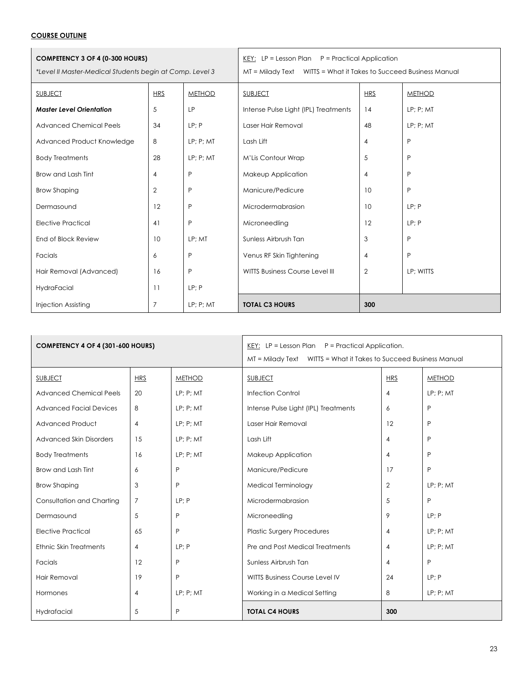| <b>COMPETENCY 3 OF 4 (0-300 HOURS)</b><br>*Level II Master-Medical Students begin at Comp. Level 3 |                | KEY: LP = Lesson Plan $P =$ Practical Application<br>$MT = Midody Text$ WITTS = What it Takes to Succeed Business Manual |                                      |                |                   |
|----------------------------------------------------------------------------------------------------|----------------|--------------------------------------------------------------------------------------------------------------------------|--------------------------------------|----------------|-------------------|
| <b>SUBJECT</b>                                                                                     | <b>HRS</b>     | <b>METHOD</b>                                                                                                            | <b>SUBJECT</b>                       | <b>HRS</b>     | <b>METHOD</b>     |
| <b>Master Level Orientation</b>                                                                    | 5              | LP                                                                                                                       | Intense Pulse Light (IPL) Treatments | 14             | $LP$ ; $P$ ; $MT$ |
| <b>Advanced Chemical Peels</b>                                                                     | 34             | LP; P                                                                                                                    | Laser Hair Removal                   | 48             | $LP$ ; $P$ ; $MT$ |
| Advanced Product Knowledge                                                                         | 8              | $LP$ ; $P$ ; $MT$                                                                                                        | Lash Lift                            | 4              | P                 |
| <b>Body Treatments</b>                                                                             | 28             | $LP$ ; $P$ ; $MT$                                                                                                        | M'Lis Contour Wrap                   | 5              | P                 |
| Brow and Lash Tint                                                                                 | 4              | P                                                                                                                        | Makeup Application                   | 4              | P                 |
| <b>Brow Shaping</b>                                                                                | 2              | P                                                                                                                        | Manicure/Pedicure                    | 10             | P                 |
| Dermasound                                                                                         | 12             | P                                                                                                                        | Microdermabrasion                    | 10             | LP; P             |
| <b>Elective Practical</b>                                                                          | 41             | P                                                                                                                        | Microneedling                        | 12             | LP; P             |
| End of Block Review                                                                                | 10             | LP; MT                                                                                                                   | Sunless Airbrush Tan                 | 3              | P                 |
| Facials                                                                                            | 6              | P                                                                                                                        | Venus RF Skin Tightening             | 4              | P                 |
| Hair Removal (Advanced)                                                                            | 16             | P                                                                                                                        | WITTS Business Course Level III      | $\overline{2}$ | LP; WITTS         |
| HydraFacial                                                                                        | 11             | LP: P                                                                                                                    |                                      |                |                   |
| <b>Injection Assisting</b>                                                                         | $\overline{7}$ | $LP$ ; $P$ ; $MT$                                                                                                        | <b>TOTAL C3 HOURS</b>                | 300            |                   |

| COMPETENCY 4 OF 4 (301-600 HOURS) |            | KEY: LP = Lesson Plan $P =$ Practical Application.<br>MT = Milady Text    WITTS = What it Takes to Succeed Business Manual |                                       |                |                   |
|-----------------------------------|------------|----------------------------------------------------------------------------------------------------------------------------|---------------------------------------|----------------|-------------------|
| <b>SUBJECT</b>                    | <b>HRS</b> | <b>METHOD</b>                                                                                                              | <b>SUBJECT</b>                        | <b>HRS</b>     | <b>METHOD</b>     |
| <b>Advanced Chemical Peels</b>    | 20         | LP; P; MT                                                                                                                  | <b>Infection Control</b>              | 4              | LP: P: MT         |
| <b>Advanced Facial Devices</b>    | 8          | $LP$ ; $P$ ; $MT$                                                                                                          | Intense Pulse Light (IPL) Treatments  | 6              | P                 |
| Advanced Product                  | 4          | $LP$ ; $P$ ; $MT$                                                                                                          | Laser Hair Removal                    | 12             | P                 |
| <b>Advanced Skin Disorders</b>    | 15         | $LP$ ; $P$ ; $MT$                                                                                                          | Lash Lift                             | 4              | P                 |
| <b>Body Treatments</b>            | 16         | LP; P; MT                                                                                                                  | Makeup Application                    | 4              | P                 |
| Brow and Lash Tint                | 6          | P                                                                                                                          | Manicure/Pedicure                     | 17             | P                 |
| <b>Brow Shaping</b>               | 3          | P                                                                                                                          | Medical Terminology                   | $\overline{2}$ | $LP$ ; $P$ ; $MT$ |
| Consultation and Charting         | 7          | LP; P                                                                                                                      | Microdermabrasion                     | 5              | P                 |
| Dermasound                        | 5          | P                                                                                                                          | Microneedling                         | 9              | LP; P             |
| <b>Elective Practical</b>         | 65         | P                                                                                                                          | <b>Plastic Surgery Procedures</b>     | 4              | LP: P: MT         |
| <b>Ethnic Skin Treatments</b>     | 4          | LP; P                                                                                                                      | Pre and Post Medical Treatments       | 4              | LP; P; MT         |
| Facials                           | 12         | P                                                                                                                          | Sunless Airbrush Tan                  | 4              | P                 |
| Hair Removal                      | 19         | P                                                                                                                          | <b>WITTS Business Course Level IV</b> | 24             | LP; P             |
| Hormones                          | 4          | $LP$ ; $P$ ; $MT$                                                                                                          | Working in a Medical Setting          | 8              | $LP$ ; $P$ ; $MT$ |
| Hydrafacial                       | 5          | P                                                                                                                          | <b>TOTAL C4 HOURS</b>                 | 300            |                   |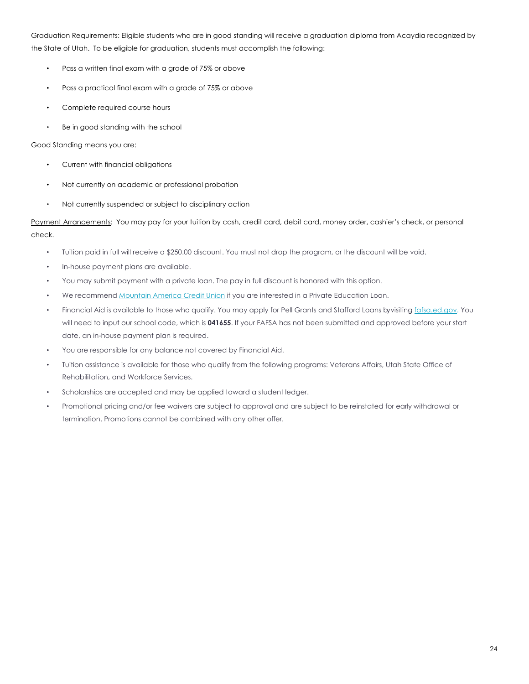Graduation Requirements: Eligible students who are in good standing will receive a graduation diploma from Acaydia recognized by the State of Utah. To be eligible for graduation, students must accomplish the following:

- Pass a written final exam with a grade of 75% or above
- ! Pass a practical final exam with a grade of 75% or above
- Complete required course hours
- Be in good standing with the school

Good Standing means you are:

- Current with financial obligations
- ! Not currently on academic or professional probation
- ! Not currently suspended or subject to disciplinary action

Payment Arrangements: You may pay for your tuition by cash, credit card, debit card, money order, cashier's check, or personal check.

- ! Tuition paid in full will receive a \$250.00 discount. You must not drop the program, or the discount will be void.
- ! In-house payment plans are available.
- You may submit payment with a private loan. The pay in full discount is honored with this option.
- We recommend Mountain America Credit Union if you are interested in a Private Education Loan.
- Financial Aid is available to those who qualify. You may apply for Pell Grants and Stafford Loans byvisiting fafsa.ed.gov. You will need to input our school code, which is **041655**. If your FAFSA has not been submitted and approved before your start date, an in-house payment plan is required.
- You are responsible for any balance not covered by Financial Aid.
- ! Tuition assistance is available for those who qualify from the following programs: Veterans Affairs, Utah State Office of Rehabilitation, and Workforce Services.
- Scholarships are accepted and may be applied toward a student ledger.
- Promotional pricing and/or fee waivers are subject to approval and are subject to be reinstated for early withdrawal or termination. Promotions cannot be combined with any other offer.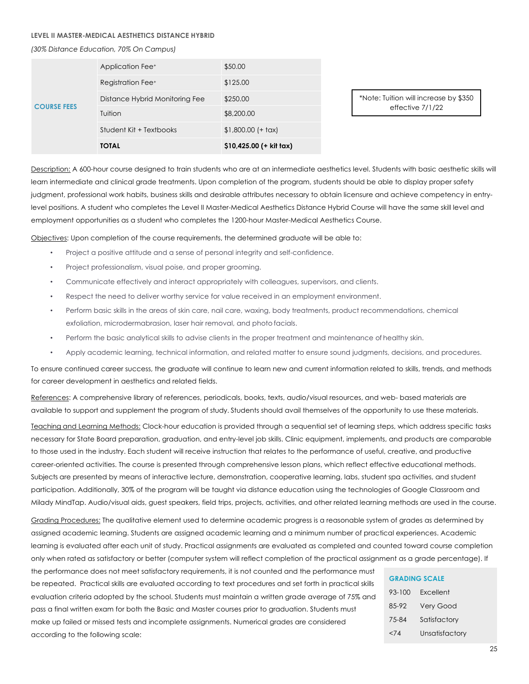#### **LEVEL II MASTER-MEDICAL AESTHETICS DISTANCE HYBRID**

*(30% Distance Education, 70% On Campus)*

|                    | Application Fee <sup>+</sup>   | \$50.00                  |
|--------------------|--------------------------------|--------------------------|
| <b>COURSE FEES</b> | Registration Fee <sup>+</sup>  | \$125.00                 |
|                    | Distance Hybrid Monitoring Fee | \$250.00                 |
|                    | Tuition                        | \$8,200.00               |
|                    | Student Kit + Textbooks        | $$1,800.00 (+ tax)$      |
|                    | <b>TOTAL</b>                   | $$10,425.00$ (+ kit tax) |

\*Note: Tuition will increase by \$350 effective 7/1/22

Description: A 600-hour course designed to train students who are at an intermediate aesthetics level. Students with basic aesthetic skills will learn intermediate and clinical grade treatments. Upon completion of the program, students should be able to display proper safety judgment, professional work habits, business skills and desirable attributes necessary to obtain licensure and achieve competency in entrylevel positions. A student who completes the Level II Master-Medical Aesthetics Distance Hybrid Course will have the same skill level and employment opportunities as a student who completes the 1200-hour Master-Medical Aesthetics Course.

Objectives: Upon completion of the course requirements, the determined graduate will be able to:

- Project a positive attitude and a sense of personal integrity and self-confidence.
- Project professionalism, visual poise, and proper grooming.
- Communicate effectively and interact appropriately with colleagues, supervisors, and clients.
- Respect the need to deliver worthy service for value received in an employment environment.
- Perform basic skills in the areas of skin care, nail care, waxing, body treatments, product recommendations, chemical exfoliation, microdermabrasion, laser hair removal, and photo facials.
- Perform the basic analytical skills to advise clients in the proper treatment and maintenance of healthy skin.
- ! Apply academic learning, technical information, and related matter to ensure sound judgments, decisions, and procedures.

To ensure continued career success, the graduate will continue to learn new and current information related to skills, trends, and methods for career development in aesthetics and related fields.

References: A comprehensive library of references, periodicals, books, texts, audio/visual resources, and web- based materials are available to support and supplement the program of study. Students should avail themselves of the opportunity to use these materials.

Teaching and Learning Methods: Clock-hour education is provided through a sequential set of learning steps, which address specific tasks necessary for State Board preparation, graduation, and entry-level job skills. Clinic equipment, implements, and products are comparable to those used in the industry. Each student will receive instruction that relates to the performance of useful, creative, and productive career-oriented activities. The course is presented through comprehensive lesson plans, which reflect effective educational methods. Subjects are presented by means of interactive lecture, demonstration, cooperative learning, labs, student spa activities, and student participation. Additionally, 30% of the program will be taught via distance education using the technologies of Google Classroom and Milady MindTap. Audio/visual aids, guest speakers, field trips, projects, activities, and other related learning methods are used in the course.

Grading Procedures: The qualitative element used to determine academic progress is a reasonable system of grades as determined by assigned academic learning. Students are assigned academic learning and a minimum number of practical experiences. Academic learning is evaluated after each unit of study. Practical assignments are evaluated as completed and counted toward course completion only when rated as satisfactory or better (computer system will reflect completion of the practical assignment as a grade percentage). If

the performance does not meet satisfactory requirements, it is not counted and the performance must be repeated. Practical skills are evaluated according to text procedures and set forth in practical skills evaluation criteria adopted by the school. Students must maintain a written grade average of 75% and pass a final written exam for both the Basic and Master courses prior to graduation. Students must make up failed or missed tests and incomplete assignments. Numerical grades are considered according to the following scale:

#### **GRADING SCALE**

| 93-100 | <b>Excellent</b> |
|--------|------------------|
| 85-92  | Very Good        |
| 75-84  | Satisfactory     |
| <74    | Unsatisfactory   |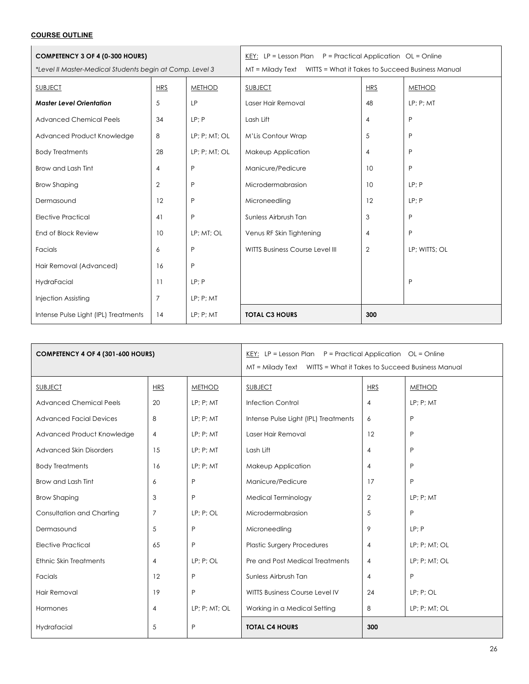## **COURSE OUTLINE**

| <b>COMPETENCY 3 OF 4 (0-300 HOURS)</b>                   |                | KEY: LP = Lesson Plan $P =$ Practical Application $OL = Online$        |                                 |                 |               |
|----------------------------------------------------------|----------------|------------------------------------------------------------------------|---------------------------------|-----------------|---------------|
| *Level II Master-Medical Students begin at Comp. Level 3 |                | WITTS = What it Takes to Succeed Business Manual<br>$MT = Midody$ Text |                                 |                 |               |
| <b>SUBJECT</b>                                           | <b>HRS</b>     | <b>METHOD</b>                                                          | <b>SUBJECT</b>                  | <b>HRS</b>      | <b>METHOD</b> |
| <b>Master Level Orientation</b>                          | 5              | LP                                                                     | Laser Hair Removal              | 48              | LP: P: MT     |
| <b>Advanced Chemical Peels</b>                           | 34             | LP; P                                                                  | Lash Lift                       | $\overline{4}$  | P             |
| Advanced Product Knowledge                               | 8              | LP; P; MT; OL                                                          | M'Lis Contour Wrap              | 5               | P             |
| <b>Body Treatments</b>                                   | 28             | LP; P; MT; OL                                                          | Makeup Application              | 4               | P             |
| Brow and Lash Tint                                       | $\overline{4}$ | P                                                                      | Manicure/Pedicure               | 10              | P             |
| <b>Brow Shaping</b>                                      | $\mathbf{2}$   | P                                                                      | Microdermabrasion               | 10 <sup>°</sup> | LP; P         |
| Dermasound                                               | 12             | P                                                                      | Microneedling                   | 12              | LP; P         |
| <b>Elective Practical</b>                                | 41             | P                                                                      | Sunless Airbrush Tan            | 3               | P             |
| End of Block Review                                      | 10             | LP; MT; OL                                                             | Venus RF Skin Tightening        | $\overline{4}$  | P             |
| Facials                                                  | 6              | P                                                                      | WITTS Business Course Level III | $\overline{2}$  | LP; WITTS; OL |
| Hair Removal (Advanced)                                  | 16             | P                                                                      |                                 |                 |               |
| HydraFacial                                              | 11             | LP; P                                                                  |                                 |                 | $\mathsf{P}$  |
| <b>Injection Assisting</b>                               | $\overline{7}$ | $LP$ ; $P$ ; $MT$                                                      |                                 |                 |               |
| Intense Pulse Light (IPL) Treatments                     | 14             | $LP$ ; $P$ ; $MT$                                                      | <b>TOTAL C3 HOURS</b>           | 300             |               |

| COMPETENCY 4 OF 4 (301-600 HOURS) |                | <u>KEY:</u> LP = Lesson Plan  P = Practical Application  OL = Online<br>$MT = Midody$ Text<br>WITTS = What it Takes to Succeed Business Manual |                                       |                |                   |
|-----------------------------------|----------------|------------------------------------------------------------------------------------------------------------------------------------------------|---------------------------------------|----------------|-------------------|
| <b>SUBJECT</b>                    | <b>HRS</b>     | <b>METHOD</b>                                                                                                                                  | <b>SUBJECT</b>                        | <b>HRS</b>     | <b>METHOD</b>     |
| <b>Advanced Chemical Peels</b>    | 20             | $LP$ ; $P$ ; $MT$                                                                                                                              | <b>Infection Control</b>              | $\overline{4}$ | LP; P; MT         |
| <b>Advanced Facial Devices</b>    | 8              | $LP$ ; $P$ ; $MT$                                                                                                                              | Intense Pulse Light (IPL) Treatments  | 6              | P                 |
| Advanced Product Knowledge        | $\overline{4}$ | $LP$ ; $P$ ; $MT$                                                                                                                              | Laser Hair Removal                    | 12             | P                 |
| Advanced Skin Disorders           | 15             | $LP$ ; $P$ ; $MT$                                                                                                                              | Lash Lift                             | $\overline{4}$ | P                 |
| <b>Body Treatments</b>            | 16             | $LP$ ; $P$ ; $MT$                                                                                                                              | Makeup Application                    | $\overline{4}$ | P                 |
| Brow and Lash Tint                | 6              | P                                                                                                                                              | Manicure/Pedicure                     | 17             | P                 |
| <b>Brow Shaping</b>               | 3              | P                                                                                                                                              | Medical Terminology                   | $\overline{2}$ | $LP$ ; $P$ ; $MT$ |
| Consultation and Charting         | $\overline{7}$ | $LP$ ; $P$ ; $OL$                                                                                                                              | Microdermabrasion                     | 5              | P                 |
| Dermasound                        | 5              | P                                                                                                                                              | Microneedling                         | 9              | LP: P             |
| <b>Elective Practical</b>         | 65             | P                                                                                                                                              | <b>Plastic Surgery Procedures</b>     | $\overline{4}$ | LP; P; MT; OL     |
| <b>Ethnic Skin Treatments</b>     | $\overline{4}$ | $LP$ ; $P$ ; $OL$                                                                                                                              | Pre and Post Medical Treatments       | $\overline{4}$ | LP; P; MT; OL     |
| Facials                           | 12             | P                                                                                                                                              | Sunless Airbrush Tan                  | $\overline{4}$ | P                 |
| Hair Removal                      | 19             | P                                                                                                                                              | <b>WITTS Business Course Level IV</b> | 24             | $LP$ ; $P$ ; $OL$ |
| Hormones                          | $\overline{4}$ | LP; P; MT; OL                                                                                                                                  | Working in a Medical Setting          | 8              | LP; P; MT; OL     |
| Hydrafacial                       | 5              | P                                                                                                                                              | <b>TOTAL C4 HOURS</b>                 | 300            |                   |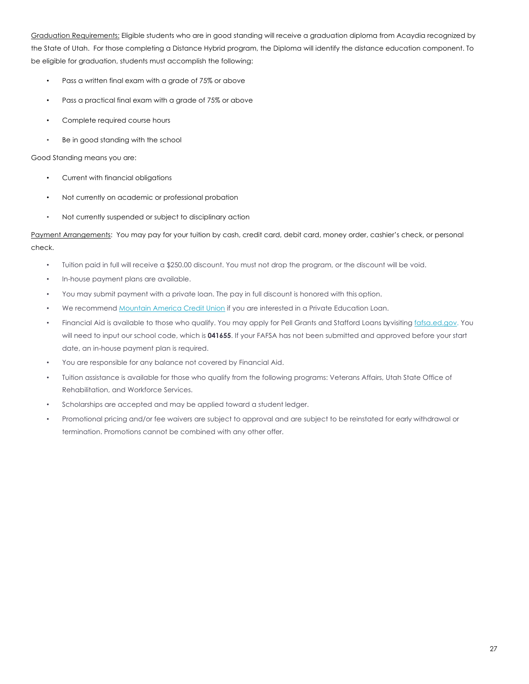Graduation Requirements: Eligible students who are in good standing will receive a graduation diploma from Acaydia recognized by the State of Utah. For those completing a Distance Hybrid program, the Diploma will identify the distance education component. To be eligible for graduation, students must accomplish the following:

- Pass a written final exam with a grade of 75% or above
- Pass a practical final exam with a grade of 75% or above
- Complete required course hours
- Be in good standing with the school

Good Standing means you are:

- Current with financial obligations
- ! Not currently on academic or professional probation
- Not currently suspended or subject to disciplinary action

Payment Arrangements: You may pay for your tuition by cash, credit card, debit card, money order, cashier's check, or personal check.

- ! Tuition paid in full will receive a \$250.00 discount. You must not drop the program, or the discount will be void.
- In-house payment plans are available.
- You may submit payment with a private loan. The pay in full discount is honored with this option.
- We recommend Mountain America Credit Union if you are interested in a Private Education Loan.
- Financial Aid is available to those who qualify. You may apply for Pell Grants and Stafford Loans byvisiting fafsa.ed.gov. You will need to input our school code, which is **041655**. If your FAFSA has not been submitted and approved before your start date, an in-house payment plan is required.
- You are responsible for any balance not covered by Financial Aid.
- ! Tuition assistance is available for those who qualify from the following programs: Veterans Affairs, Utah State Office of Rehabilitation, and Workforce Services.
- Scholarships are accepted and may be applied toward a student ledger.
- Promotional pricing and/or fee waivers are subject to approval and are subject to be reinstated for early withdrawal or termination. Promotions cannot be combined with any other offer.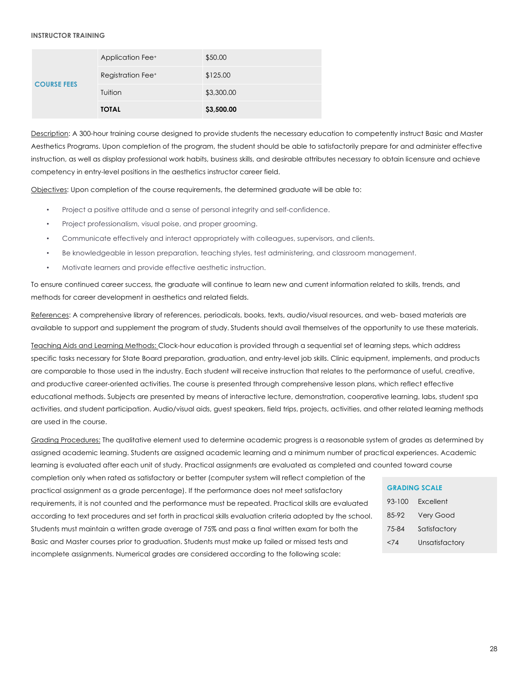#### **INSTRUCTOR TRAINING**

| <b>COURSE FEES</b> | Application Fee <sup>+</sup>  | \$50.00    |
|--------------------|-------------------------------|------------|
|                    | Registration Fee <sup>+</sup> | \$125.00   |
|                    | Tuition                       | \$3,300.00 |
|                    | <b>TOTAL</b>                  | \$3,500.00 |

Description: A 300-hour training course designed to provide students the necessary education to competently instruct Basic and Master Aesthetics Programs. Upon completion of the program, the student should be able to satisfactorily prepare for and administer effective instruction, as well as display professional work habits, business skills, and desirable attributes necessary to obtain licensure and achieve competency in entry-level positions in the aesthetics instructor career field.

Objectives: Upon completion of the course requirements, the determined graduate will be able to:

- Project a positive attitude and a sense of personal integrity and self-confidence.
- Project professionalism, visual poise, and proper grooming.
- Communicate effectively and interact appropriately with colleagues, supervisors, and clients.
- ! Be knowledgeable in lesson preparation, teaching styles, test administering, and classroom management.
- ! Motivate learners and provide effective aesthetic instruction.

To ensure continued career success, the graduate will continue to learn new and current information related to skills, trends, and methods for career development in aesthetics and related fields.

References: A comprehensive library of references, periodicals, books, texts, audio/visual resources, and web- based materials are available to support and supplement the program of study. Students should avail themselves of the opportunity to use these materials.

Teaching Aids and Learning Methods: Clock-hour education is provided through a sequential set of learning steps, which address specific tasks necessary for State Board preparation, graduation, and entry-level job skills. Clinic equipment, implements, and products are comparable to those used in the industry. Each student will receive instruction that relates to the performance of useful, creative, and productive career-oriented activities. The course is presented through comprehensive lesson plans, which reflect effective educational methods. Subjects are presented by means of interactive lecture, demonstration, cooperative learning, labs, student spa activities, and student participation. Audio/visual aids, guest speakers, field trips, projects, activities, and other related learning methods are used in the course.

Grading Procedures: The qualitative element used to determine academic progress is a reasonable system of grades as determined by assigned academic learning. Students are assigned academic learning and a minimum number of practical experiences. Academic learning is evaluated after each unit of study. Practical assignments are evaluated as completed and counted toward course

completion only when rated as satisfactory or better (computer system will reflect completion of the practical assignment as a grade percentage). If the performance does not meet satisfactory requirements, it is not counted and the performance must be repeated. Practical skills are evaluated according to text procedures and set forth in practical skills evaluation criteria adopted by the school. Students must maintain a written grade average of 75% and pass a final written exam for both the Basic and Master courses prior to graduation. Students must make up failed or missed tests and incomplete assignments. Numerical grades are considered according to the following scale:

#### **GRADING SCALE**

| 93-100 | Excellent        |
|--------|------------------|
| 85-92  | <b>Very Good</b> |
| 75-84  | Satisfactory     |
| <74    | Unsatisfactory   |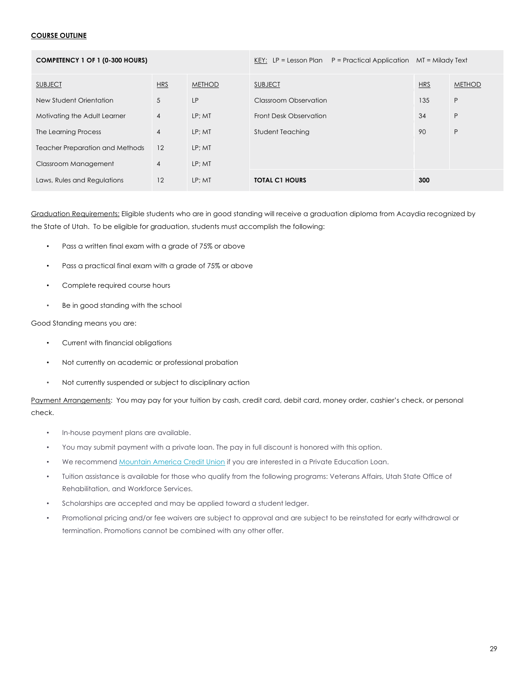#### **COURSE OUTLINE**

**COMPETENCY 1 OF 1 (0-300 HOURS)** KEY: LP = Lesson Plan P = Practical Application MT = Milady Text

| <b>SUBJECT</b>                         | <b>HRS</b>     | <b>METHOD</b>      | <b>SUBJECT</b>         | <b>HRS</b> | <b>METHOD</b> |
|----------------------------------------|----------------|--------------------|------------------------|------------|---------------|
| New Student Orientation                | 5              | <b>LP</b>          | Classroom Observation  | 135        | P             |
| Motivating the Adult Learner           | $\overline{4}$ | LP: MT             | Front Desk Observation | 34         | P             |
| The Learning Process                   | $\overline{4}$ | LP: MT             | Student Teaching       | 90         | P             |
| <b>Teacher Preparation and Methods</b> | 12             | LP; MT             |                        |            |               |
| Classroom Management                   | $\overline{4}$ | LP: M <sub>T</sub> |                        |            |               |
| Laws, Rules and Regulations            | 12             | LP: M <sub>T</sub> | <b>TOTAL C1 HOURS</b>  | 300        |               |

Graduation Requirements: Eligible students who are in good standing will receive a graduation diploma from Acaydia recognized by the State of Utah. To be eligible for graduation, students must accomplish the following:

- Pass a written final exam with a grade of 75% or above
- ! Pass a practical final exam with a grade of 75% or above
- Complete required course hours
- Be in good standing with the school

Good Standing means you are:

- . Current with financial obligations
- Not currently on academic or professional probation
- Not currently suspended or subject to disciplinary action

Payment Arrangements: You may pay for your tuition by cash, credit card, debit card, money order, cashier's check, or personal check.

- ! In-house payment plans are available.
- You may submit payment with a private loan. The pay in full discount is honored with this option.
- We recommend Mountain America Credit Union if you are interested in a Private Education Loan.
- ! Tuition assistance is available for those who qualify from the following programs: Veterans Affairs, Utah State Office of Rehabilitation, and Workforce Services.
- Scholarships are accepted and may be applied toward a student ledger.
- ! Promotional pricing and/or fee waivers are subject to approval and are subject to be reinstated for early withdrawal or termination. Promotions cannot be combined with any other offer.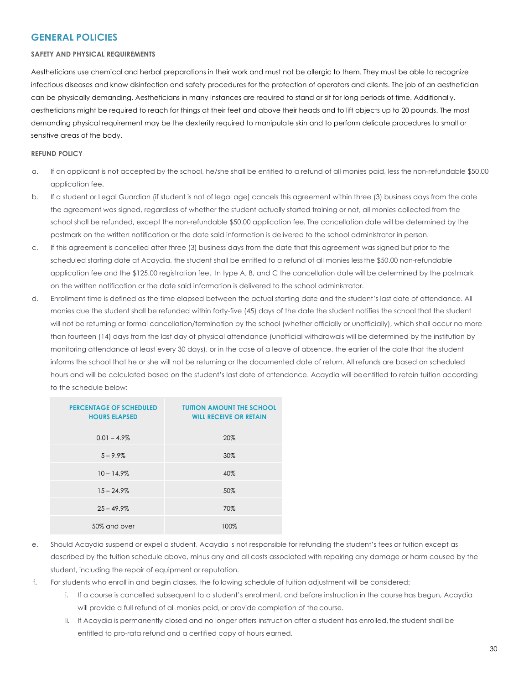# **GENERAL POLICIES**

#### **SAFETY AND PHYSICAL REQUIREMENTS**

Aestheticians use chemical and herbal preparations in their work and must not be allergic to them. They must be able to recognize infectious diseases and know disinfection and safety procedures for the protection of operators and clients. The job of an aesthetician can be physically demanding. Aestheticians in many instances are required to stand or sit for long periods of time. Additionally, aestheticians might be required to reach for things at their feet and above their heads and to lift objects up to 20 pounds. The most demanding physical requirement may be the dexterity required to manipulate skin and to perform delicate procedures to small or sensitive areas of the body.

#### **REFUND POLICY**

- a. If an applicant is not accepted by the school, he/she shall be entitled to a refund of all monies paid, less the non-refundable \$50.00 application fee.
- b. If a student or Legal Guardian (if student is not of legal age) cancels this agreement within three (3) business days from the date the agreement was signed, regardless of whether the student actually started training or not, all monies collected from the school shall be refunded, except the non-refundable \$50.00 application fee. The cancellation date will be determined by the postmark on the written notification or the date said information is delivered to the school administrator in person.
- c. If this agreement is cancelled after three (3) business days from the date that this agreement was signed but prior to the scheduled starting date at Acaydia, the student shall be entitled to a refund of all monies lessthe \$50.00 non-refundable application fee and the \$125.00 registration fee. In type A, B, and C the cancellation date will be determined by the postmark on the written notification or the date said information is delivered to the school administrator.
- d. Enrollment time is defined as the time elapsed between the actual starting date and the student's last date of attendance. All monies due the student shall be refunded within forty-five (45) days of the date the student notifies the school that the student will not be returning or formal cancellation/termination by the school (whether officially or unofficially), which shall occur no more than fourteen (14) days from the last day of physical attendance (unofficial withdrawals will be determined by the institution by monitoring attendance at least every 30 days), or in the case of a leave of absence, the earlier of the date that the student informs the school that he or she will not be returning or the documented date of return. All refunds are based on scheduled hours and will be calculated based on the student's last date of attendance. Acaydia will beentitled to retain tuition according to the schedule below:

| <b>PERCENTAGE OF SCHEDULED</b><br><b>HOURS ELAPSED</b> | <b>TUITION AMOUNT THE SCHOOL</b><br><b>WILL RECEIVE OR RETAIN</b> |
|--------------------------------------------------------|-------------------------------------------------------------------|
| $0.01 - 4.9\%$                                         | 20%                                                               |
| $5 - 9.9\%$                                            | 30%                                                               |
| $10 - 14.9\%$                                          | 40%                                                               |
| $15 - 24.9\%$                                          | 50%                                                               |
| $25 - 49.9\%$                                          | 70%                                                               |
| 50% and over                                           | 100%                                                              |

- e. Should Acaydia suspend or expel a student, Acaydia is not responsible for refunding the student's fees or tuition except as described by the tuition schedule above, minus any and all costs associated with repairing any damage or harm caused by the student, including the repair of equipment or reputation.
- f. For students who enroll in and begin classes, the following schedule of tuition adjustment will be considered:
	- i. If a course is cancelled subsequent to a student's enrollment, and before instruction in the course has begun, Acaydia will provide a full refund of all monies paid, or provide completion of the course.
	- ii. If Acaydia is permanently closed and no longer offers instruction after a student has enrolled, the student shall be entitled to pro-rata refund and a certified copy of hours earned.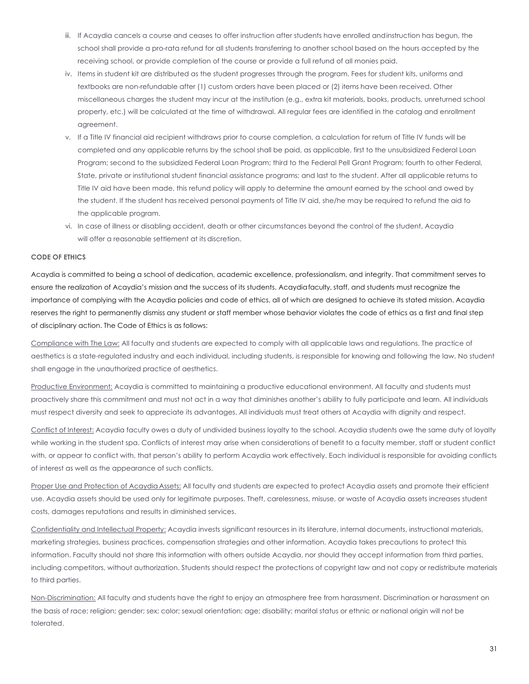- iii. If Acaydia cancels a course and ceases to offer instruction after students have enrolled andinstruction has begun, the school shall provide a pro-rata refund for all students transferring to another school based on the hours accepted by the receiving school, or provide completion of the course or provide a full refund of all monies paid.
- iv. Items in student kit are distributed as the student progresses through the program. Fees for student kits, uniforms and textbooks are non-refundable after (1) custom orders have been placed or (2) items have been received. Other miscellaneous charges the student may incur at the institution (e.g., extra kit materials, books, products, unreturned school property, etc.) will be calculated at the time of withdrawal. All regular fees are identified in the catalog and enrollment agreement.
- v. If a Title IV financial aid recipient withdraws prior to course completion, a calculation for return of Title IV funds will be completed and any applicable returns by the school shall be paid, as applicable, first to the unsubsidized Federal Loan Program; second to the subsidized Federal Loan Program; third to the Federal Pell Grant Program; fourth to other Federal, State, private or institutional student financial assistance programs; and last to the student. After all applicable returns to Title IV aid have been made, this refund policy will apply to determine the amount earned by the school and owed by the student. If the student has received personal payments of Title IV aid, she/he may be required to refund the aid to the applicable program.
- vi. In case of illness or disabling accident, death or other circumstances beyond the control of the student, Acaydia will offer a reasonable settlement at its discretion.

#### **CODE OF ETHICS**

Acaydia is committed to being a school of dedication, academic excellence, professionalism, and integrity. That commitment serves to ensure the realization of Acaydia's mission and the success of its students. Acaydiafaculty, staff, and students must recognize the importance of complying with the Acaydia policies and code of ethics, all of which are designed to achieve its stated mission. Acaydia reserves the right to permanently dismiss any student or staff member whose behavior violates the code of ethics as a first and final step of disciplinary action. The Code of Ethics is as follows:

Compliance with The Law: All faculty and students are expected to comply with all applicable laws and regulations. The practice of aesthetics is a state-regulated industry and each individual, including students, is responsible for knowing and following the law. No student shall engage in the unauthorized practice of aesthetics.

Productive Environment: Acaydia is committed to maintaining a productive educational environment. All faculty and students must proactively share this commitment and must not act in a way that diminishes another's ability to fully participate and learn. All individuals must respect diversity and seek to appreciate its advantages. All individuals must treat others at Acaydia with dignity and respect.

Conflict of Interest: Acaydia faculty owes a duty of undivided business loyalty to the school. Acaydia students owe the same duty of loyalty while working in the student spa. Conflicts of interest may arise when considerations of benefit to a faculty member, staff or student conflict with, or appear to conflict with, that person's ability to perform Acaydia work effectively. Each individual is responsible for avoiding conflicts of interest as well as the appearance of such conflicts.

Proper Use and Protection of Acaydia Assets: All faculty and students are expected to protect Acaydia assets and promote their efficient use. Acaydia assets should be used only for legitimate purposes. Theft, carelessness, misuse, or waste of Acaydia assets increases student costs, damages reputations and results in diminished services.

Confidentiality and Intellectual Property: Acaydia invests significant resources in its literature, internal documents, instructional materials, marketing strategies, business practices, compensation strategies and other information. Acaydia takes precautions to protect this information. Faculty should not share this information with others outside Acaydia, nor should they accept information from third parties, including competitors, without authorization. Students should respect the protections of copyright law and not copy or redistribute materials to third parties.

Non-Discrimination: All faculty and students have the right to enjoy an atmosphere free from harassment. Discrimination or harassment on the basis of race; religion; gender; sex; color; sexual orientation; age; disability; marital status or ethnic or national origin will not be tolerated.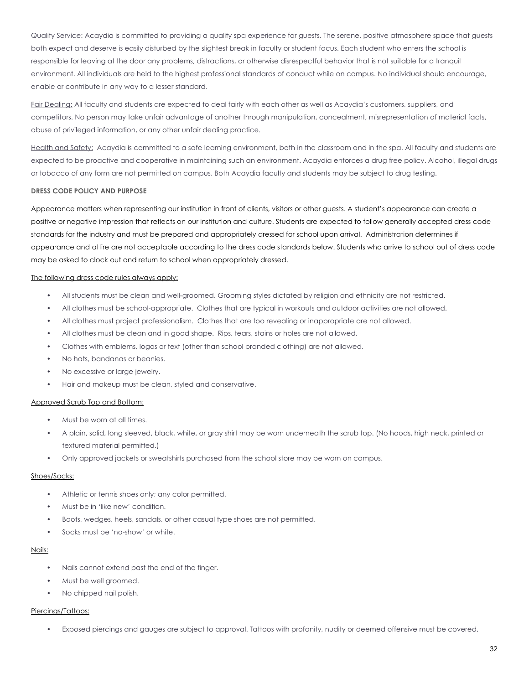Quality Service: Acaydia is committed to providing a quality spa experience for guests. The serene, positive atmosphere space that guests both expect and deserve is easily disturbed by the slightest break in faculty or student focus. Each student who enters the school is responsible for leaving at the door any problems, distractions, or otherwise disrespectful behavior that is not suitable for a tranquil environment. All individuals are held to the highest professional standards of conduct while on campus. No individual should encourage, enable or contribute in any way to a lesser standard.

Fair Dealing: All faculty and students are expected to deal fairly with each other as well as Acaydia's customers, suppliers, and competitors. No person may take unfair advantage of another through manipulation, concealment, misrepresentation of material facts, abuse of privileged information, or any other unfair dealing practice.

Health and Safety:Acaydia is committed to a safe learning environment, both in the classroom and in the spa. All faculty and students are expected to be proactive and cooperative in maintaining such an environment. Acaydia enforces a drug free policy. Alcohol, illegal drugs or tobacco of any form are not permitted on campus. Both Acaydia faculty and students may be subject to drug testing.

#### **DRESS CODE POLICY AND PURPOSE**

Appearance matters when representing our institution in front of clients, visitors or other guests. A student's appearance can create a positive or negative impression that reflects on our institution and culture. Students are expected to follow generally accepted dress code standards for the industry and must be prepared and appropriately dressed for school upon arrival. Administration determines if appearance and attire are not acceptable according to the dress code standards below. Students who arrive to school out of dress code may be asked to clock out and return to school when appropriately dressed.

#### The following dress code rules always apply:

- All students must be clean and well-groomed. Grooming styles dictated by religion and ethnicity are not restricted.
- All clothes must be school-appropriate. Clothes that are typical in workouts and outdoor activities are not allowed.
- All clothes must project professionalism. Clothes that are too revealing or inappropriate are not allowed.
- All clothes must be clean and in good shape. Rips, tears, stains or holes are not allowed.
- Clothes with emblems, logos or text (other than school branded clothing) are not allowed.
- No hats, bandanas or beanies.
- No excessive or large jewelry.
- Hair and makeup must be clean, styled and conservative.

#### Approved Scrub Top and Bottom:

- Must be worn at all times.
- A plain, solid, long sleeved, black, white, or gray shirt may be worn underneath the scrub top. (No hoods, high neck, printed or textured material permitted.)
- Only approved jackets or sweatshirts purchased from the school store may be worn on campus.

#### Shoes/Socks:

- Athletic or tennis shoes only; any color permitted.
- Must be in 'like new' condition.
- Boots, wedges, heels, sandals, or other casual type shoes are not permitted.
- Socks must be 'no-show' or white.

#### Nails:

- Nails cannot extend past the end of the finger.
- Must be well groomed.
- No chipped nail polish.

#### Piercings/Tattoos:

• Exposed piercings and gauges are subject to approval. Tattoos with profanity, nudity or deemed offensive must be covered.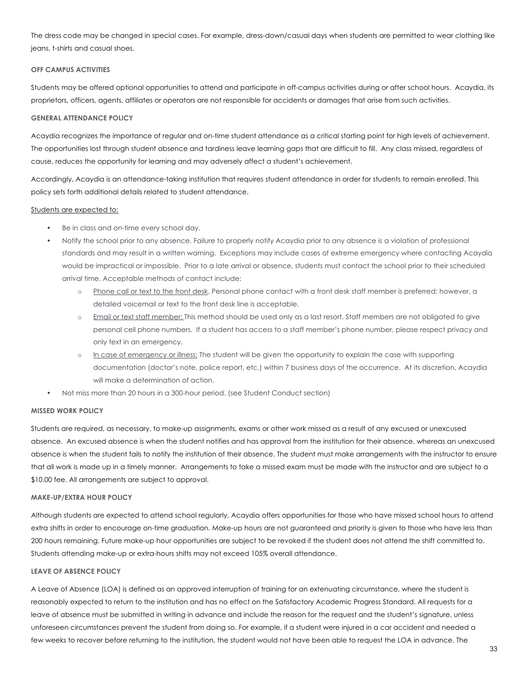The dress code may be changed in special cases. For example, dress-down/casual days when students are permitted to wear clothing like jeans, t-shirts and casual shoes.

#### **OFF CAMPUS ACTIVITIES**

Students may be offered optional opportunities to attend and participate in off-campus activities during or after school hours. Acaydia, its proprietors, officers, agents, affiliates or operators are not responsible for accidents or damages that arise from such activities.

#### **GENERAL ATTENDANCE POLICY**

Acaydia recognizes the importance of regular and on-time student attendance as a critical starting point for high levels of achievement. The opportunities lost through student absence and tardiness leave learning gaps that are difficult to fill. Any class missed, regardless of cause, reduces the opportunity for learning and may adversely affect a student's achievement.

Accordingly, Acaydia is an attendance-taking institution that requires student attendance in order for students to remain enrolled. This policy sets forth additional details related to student attendance.

#### Students are expected to:

- Be in class and on-time every school day.
- Notify the school prior to any absence. Failure to properly notify Acaydia prior to any absence is a violation of professional standards and may result in a written warning. Exceptions may include cases of extreme emergency where contacting Acaydia would be impractical or impossible. Prior to a late arrival or absence, students must contact the school prior to their scheduled arrival time. Acceptable methods of contact include:
	- o Phone call or text to the front desk. Personal phone contact with a front desk staff member is preferred; however, a detailed voicemail or text to the front desk line is acceptable.
	- o Email or text staff member: This method should be used only as a last resort. Staff members are not obligated to give personal cell phone numbers. If a student has access to a staff member's phone number, please respect privacy and only text in an emergency.
	- o In case of emergency or illness: The student will be given the opportunity to explain the case with supporting documentation (doctor's note, police report, etc.) within 7 business days of the occurrence. At its discretion, Acaydia will make a determination of action.
- Not miss more than 20 hours in a 300-hour period. (see Student Conduct section)

#### **MISSED WORK POLICY**

Students are required, as necessary, to make-up assignments, exams or other work missed as a result of any excused or unexcused absence. An excused absence is when the student notifies and has approval from the institution for their absence, whereas an unexcused absence is when the student fails to notify the institution of their absence. The student must make arrangements with the instructor to ensure that all work is made up in a timely manner. Arrangements to take a missed exam must be made with the instructor and are subject to a \$10.00 fee. All arrangements are subject to approval.

#### **MAKE-UP/EXTRA HOUR POLICY**

Although students are expected to attend school regularly, Acaydia offers opportunities for those who have missed school hours to attend extra shifts in order to encourage on-time graduation. Make-up hours are not guaranteed and priority is given to those who have less than 200 hours remaining. Future make-up hour opportunities are subject to be revoked if the student does not attend the shift committed to. Students attending make-up or extra-hours shifts may not exceed 105% overall attendance.

#### **LEAVE OF ABSENCE POLICY**

A Leave of Absence (LOA) is defined as an approved interruption of training for an extenuating circumstance, where the student is reasonably expected to return to the institution and has no effect on the Satisfactory Academic Progress Standard. All requests for a leave of absence must be submitted in writing in advance and include the reason for the request and the student's signature, unless unforeseen circumstances prevent the student from doing so. For example, if a student were injured in a car accident and needed a few weeks to recover before returning to the institution, the student would not have been able to request the LOA in advance. The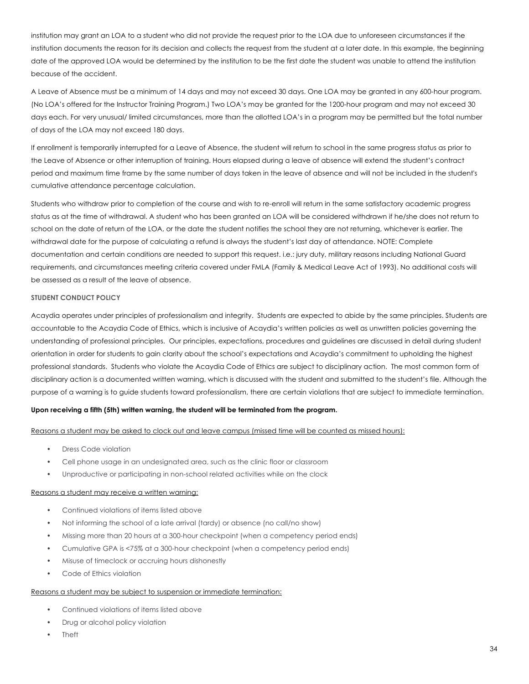institution may grant an LOA to a student who did not provide the request prior to the LOA due to unforeseen circumstances if the institution documents the reason for its decision and collects the request from the student at a later date. In this example, the beginning date of the approved LOA would be determined by the institution to be the first date the student was unable to attend the institution because of the accident.

A Leave of Absence must be a minimum of 14 days and may not exceed 30 days. One LOA may be granted in any 600-hour program. (No LOA's offered for the Instructor Training Program.) Two LOA's may be granted for the 1200-hour program and may not exceed 30 days each. For very unusual/ limited circumstances, more than the allotted LOA's in a program may be permitted but the total number of days of the LOA may not exceed 180 days.

If enrollment is temporarily interrupted for a Leave of Absence, the student will return to school in the same progress status as prior to the Leave of Absence or other interruption of training. Hours elapsed during a leave of absence will extend the student's contract period and maximum time frame by the same number of days taken in the leave of absence and will not be included in the student's cumulative attendance percentage calculation.

Students who withdraw prior to completion of the course and wish to re-enroll will return in the same satisfactory academic progress status as at the time of withdrawal. A student who has been granted an LOA will be considered withdrawn if he/she does not return to school on the date of return of the LOA, or the date the student notifies the school they are not returning, whichever is earlier. The withdrawal date for the purpose of calculating a refund is always the student's last day of attendance. NOTE: Complete documentation and certain conditions are needed to support this request. i.e.: jury duty, military reasons including National Guard requirements, and circumstances meeting criteria covered under FMLA (Family & Medical Leave Act of 1993). No additional costs will be assessed as a result of the leave of absence.

#### **STUDENT CONDUCT POLICY**

Acaydia operates under principles of professionalism and integrity. Students are expected to abide by the same principles. Students are accountable to the Acaydia Code of Ethics, which is inclusive of Acaydia's written policies as well as unwritten policies governing the understanding of professional principles. Our principles, expectations, procedures and guidelines are discussed in detail during student orientation in order for students to gain clarity about the school's expectations and Acaydia's commitment to upholding the highest professional standards. Students who violate the Acaydia Code of Ethics are subject to disciplinary action. The most common form of disciplinary action is a documented written warning, which is discussed with the student and submitted to the student's file. Although the purpose of a warning is to guide students toward professionalism, there are certain violations that are subject to immediate termination.

#### **Upon receiving a fifth (5th) written warning, the student will be terminated from the program.**

#### Reasons a student may be asked to clock out and leave campus (missed time will be counted as missed hours):

- Dress Code violation
- Cell phone usage in an undesignated area, such as the clinic floor or classroom
- Unproductive or participating in non-school related activities while on the clock

#### Reasons a student may receive a written warning:

- Continued violations of items listed above
- Not informing the school of a late arrival (tardy) or absence (no call/no show)
- Missing more than 20 hours at a 300-hour checkpoint (when a competency period ends)
- Cumulative GPA is <75% at a 300-hour checkpoint (when a competency period ends)
- Misuse of timeclock or accruing hours dishonestly
- Code of Ethics violation

#### Reasons a student may be subject to suspension or immediate termination:

- Continued violations of items listed above
- Drug or alcohol policy violation
- Theft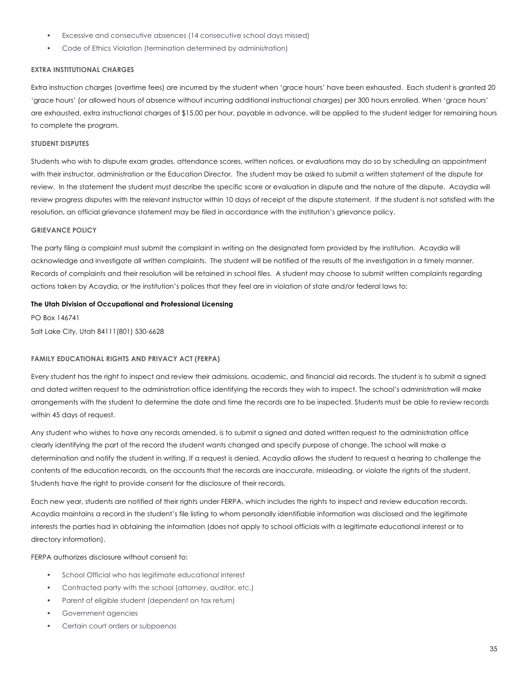- Excessive and consecutive absences (14 consecutive school days missed)
- Code of Ethics Violation (termination determined by administration)

# **EXTRA INSTITUTIONAL CHARGES**

Extra instruction charges (overtime fees) are incurred by the student when 'grace hours' have been exhausted. Each student is granted 20 'grace hours' (or allowed hours of absence without incurring additional instructional charges) per 300 hours enrolled. When 'grace hours' are exhausted, extra instructional charges of \$15.00 per hour, payable in advance, will be applied to the student ledger for remaining hours to complete the program.

# **STUDENT DISPUTES**

Students who wish to dispute exam grades, attendance scores, written notices, or evaluations may do so by scheduling an appointment with their instructor, administration or the Education Director. The student may be asked to submit a written statement of the dispute for review. In the statement the student must describe the specific score or evaluation in dispute and the nature of the dispute. Acaydia will review progress disputes with the relevant instructor within 10 days of receipt of the dispute statement. If the student is not satisfied with the resolution, an official grievance statement may be filed in accordance with the institution's grievance policy.

# **GRIEVANCE POLICY**

The party filing a complaint must submit the complaint in writing on the designated form provided by the institution. Acaydia will acknowledge and investigate all written complaints. The student will be notified of the results of the investigation in a timely manner. Records of complaints and their resolution will be retained in school files. A student may choose to submit written complaints regarding actions taken by Acaydia, or the institution's polices that they feel are in violation of state and/or federal laws to:

# **The Utah Division of Occupational and Professional Licensing**

PO Box 146741 Salt Lake City, Utah 84111(801) 530-6628

# **FAMILY EDUCATIONAL RIGHTS AND PRIVACY ACT (FERPA)**

Every student has the right to inspect and review their admissions, academic, and financial aid records. The student is to submit a signed and dated written request to the administration office identifying the records they wish to inspect. The school's administration will make arrangements with the student to determine the date and time the records are to be inspected. Students must be able to review records within 45 days of request.

Any student who wishes to have any records amended, is to submit a signed and dated written request to the administration office clearly identifying the part of the record the student wants changed and specify purpose of change. The school will make a determination and notify the student in writing. If a request is denied, Acaydia allows the student to request a hearing to challenge the contents of the education records, on the accounts that the records are inaccurate, misleading, or violate the rights of the student. Students have the right to provide consent for the disclosure of their records.

Each new year, students are notified of their rights under FERPA, which includes the rights to inspect and review education records. Acaydia maintains a record in the student's file listing to whom personally identifiable information was disclosed and the legitimate interests the parties had in obtaining the information (does not apply to school officials with a legitimate educational interest or to directory information).

FERPA authorizes disclosure without consent to:

- School Official who has legitimate educational interest
- Contracted party with the school (attorney, auditor, etc.)
- Parent of eligible student (dependent on tax return)
- Government agencies
- Certain court orders or subpoenas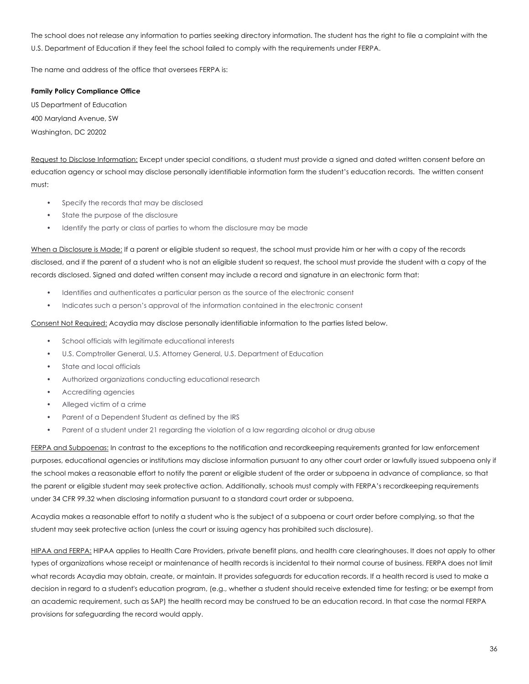The school does not release any information to parties seeking directory information. The student has the right to file a complaint with the U.S. Department of Education if they feel the school failed to comply with the requirements under FERPA.

The name and address of the office that oversees FERPA is:

#### **Family Policy Compliance Office**

US Department of Education 400 Maryland Avenue, SW Washington, DC 20202

Request to Disclose Information: Except under special conditions, a student must provide a signed and dated written consent before an education agency or school may disclose personally identifiable information form the student's education records. The written consent must:

- Specify the records that may be disclosed
- State the purpose of the disclosure
- Identify the party or class of parties to whom the disclosure may be made

When a Disclosure is Made: If a parent or eligible student so request, the school must provide him or her with a copy of the records disclosed, and if the parent of a student who is not an eligible student so request, the school must provide the student with a copy of the records disclosed. Signed and dated written consent may include a record and signature in an electronic form that:

- Identifies and authenticates a particular person as the source of the electronic consent
- Indicates such a person's approval of the information contained in the electronic consent

Consent Not Required: Acaydia may disclose personally identifiable information to the parties listed below.

- School officials with legitimate educational interests
- U.S. Comptroller General, U.S. Attorney General, U.S. Department of Education
- State and local officials
- Authorized organizations conducting educational research
- Accrediting agencies
- Alleged victim of a crime
- Parent of a Dependent Student as defined by the IRS
- Parent of a student under 21 regarding the violation of a law regarding alcohol or drug abuse

FERPA and Subpoenas: In contrast to the exceptions to the notification and recordkeeping requirements granted for law enforcement purposes, educational agencies or institutions may disclose information pursuant to any other court order or lawfully issued subpoena only if the school makes a reasonable effort to notify the parent or eligible student of the order or subpoena in advance of compliance, so that the parent or eligible student may seek protective action. Additionally, schools must comply with FERPA's recordkeeping requirements under 34 CFR 99.32 when disclosing information pursuant to a standard court order or subpoena.

Acaydia makes a reasonable effort to notify a student who is the subject of a subpoena or court order before complying, so that the student may seek protective action (unless the court or issuing agency has prohibited such disclosure).

HIPAA and FERPA: HIPAA applies to Health Care Providers, private benefit plans, and health care clearinghouses. It does not apply to other types of organizations whose receipt or maintenance of health records is incidental to their normal course of business. FERPA does not limit what records Acaydia may obtain, create, or maintain. It provides safeguards for education records. If a health record is used to make a decision in regard to a student's education program, (e.g., whether a student should receive extended time for testing; or be exempt from an academic requirement, such as SAP) the health record may be construed to be an education record. In that case the normal FERPA provisions for safeguarding the record would apply.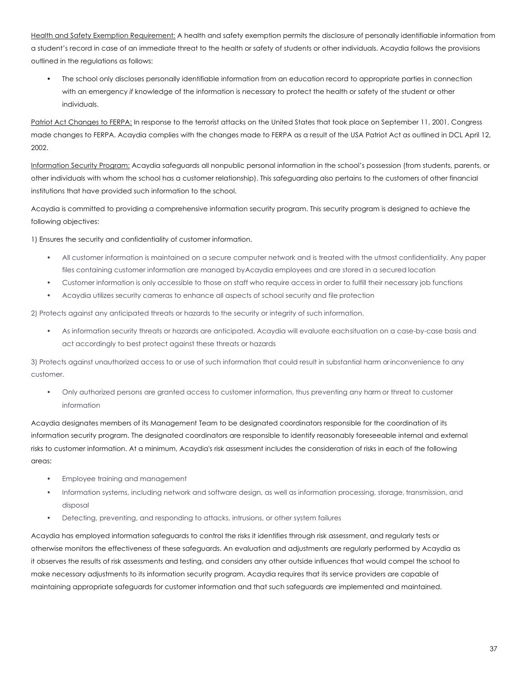Health and Safety Exemption Requirement: A health and safety exemption permits the disclosure of personally identifiable information from a student's record in case of an immediate threat to the health or safety of students or other individuals. Acaydia follows the provisions outlined in the regulations as follows:

• The school only discloses personally identifiable information from an education record to appropriate parties in connection with an emergency *if* knowledge of the information is necessary to protect the health or safety of the student or other individuals.

Patriot Act Changes to FERPA: In response to the terrorist attacks on the United States that took place on September 11, 2001, Congress made changes to FERPA. Acaydia complies with the changes made to FERPA as a result of the USA Patriot Act as outlined in DCL April 12, 2002.

Information Security Program: Acaydia safeguards all nonpublic personal information in the school's possession (from students, parents, or other individuals with whom the school has a customer relationship). This safeguarding also pertains to the customers of other financial institutions that have provided such information to the school.

Acaydia is committed to providing a comprehensive information security program. This security program is designed to achieve the following objectives:

1) Ensures the security and confidentiality of customer information.

- All customer information is maintained on a secure computer network and is treated with the utmost confidentiality. Any paper files containing customer information are managed byAcaydia employees and are stored in a secured location
- Customer information is only accessible to those on staff who require access in order to fulfill their necessary job functions
- Acaydia utilizes security cameras to enhance all aspects of school security and file protection

2) Protects against any anticipated threats or hazards to the security or integrity of such information.

• As information security threats or hazards are anticipated, Acaydia will evaluate eachsituation on a case-by-case basis and act accordingly to best protect against these threats or hazards

3) Protects against unauthorized access to or use of such information that could result in substantial harm or inconvenience to any customer.

• Only authorized persons are granted access to customer information, thus preventing any harm or threat to customer information

Acaydia designates members of its Management Team to be designated coordinators responsible for the coordination of its information security program. The designated coordinators are responsible to identify reasonably foreseeable internal and external risks to customer information. At a minimum, Acaydia's risk assessment includes the consideration of risks in each of the following areas:

- Employee training and management
- Information systems, including network and software design, as well as information processing, storage, transmission, and disposal
- Detecting, preventing, and responding to attacks, intrusions, or other system failures

Acaydia has employed information safeguards to control the risks it identifies through risk assessment, and regularly tests or otherwise monitors the effectiveness of these safeguards. An evaluation and adjustments are regularly performed by Acaydia as it observes the results of risk assessments and testing, and considers any other outside influences that would compel the school to make necessary adjustments to its information security program. Acaydia requires that its service providers are capable of maintaining appropriate safeguards for customer information and that such safeguards are implemented and maintained.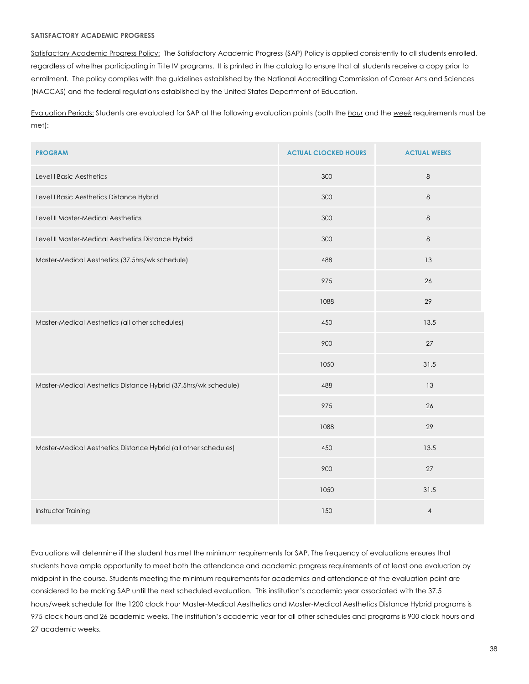#### **SATISFACTORY ACADEMIC PROGRESS**

Satisfactory Academic Progress Policy: The Satisfactory Academic Progress (SAP) Policy is applied consistently to all students enrolled, regardless of whether participating in Title IV programs. It is printed in the catalog to ensure that all students receive a copy prior to enrollment. The policy complies with the guidelines established by the National Accrediting Commission of Career Arts and Sciences (NACCAS) and the federal regulations established by the United States Department of Education.

Evaluation Periods: Students are evaluated for SAP at the following evaluation points (both the *hour* and the *week* requirements must be met):

| <b>PROGRAM</b>                                                  | <b>ACTUAL CLOCKED HOURS</b> | <b>ACTUAL WEEKS</b> |
|-----------------------------------------------------------------|-----------------------------|---------------------|
| Level I Basic Aesthetics                                        | 300                         | 8                   |
| Level I Basic Aesthetics Distance Hybrid                        | 300                         | 8                   |
| Level II Master-Medical Aesthetics                              | 300                         | $\,8\,$             |
| Level II Master-Medical Aesthetics Distance Hybrid              | 300                         | $\,8\,$             |
| Master-Medical Aesthetics (37.5hrs/wk schedule)                 | 488                         | 13                  |
|                                                                 | 975                         | 26                  |
|                                                                 | 1088                        | 29                  |
| Master-Medical Aesthetics (all other schedules)                 | 450                         | 13.5                |
|                                                                 | 900                         | 27                  |
|                                                                 | 1050                        | 31.5                |
| Master-Medical Aesthetics Distance Hybrid (37.5hrs/wk schedule) | 488                         | 13                  |
|                                                                 | 975                         | 26                  |
|                                                                 | 1088                        | 29                  |
| Master-Medical Aesthetics Distance Hybrid (all other schedules) | 450                         | 13.5                |
|                                                                 | 900                         | 27                  |
|                                                                 | 1050                        | 31.5                |
| Instructor Training                                             | 150                         | $\overline{4}$      |

Evaluations will determine if the student has met the minimum requirements for SAP. The frequency of evaluations ensures that students have ample opportunity to meet both the attendance and academic progress requirements of at least one evaluation by midpoint in the course. Students meeting the minimum requirements for academics and attendance at the evaluation point are considered to be making SAP until the next scheduled evaluation. This institution's academic year associated with the 37.5 hours/week schedule for the 1200 clock hour Master-Medical Aesthetics and Master-Medical Aesthetics Distance Hybrid programs is 975 clock hours and 26 academic weeks. The institution's academic year for all other schedules and programs is 900 clock hours and 27 academic weeks.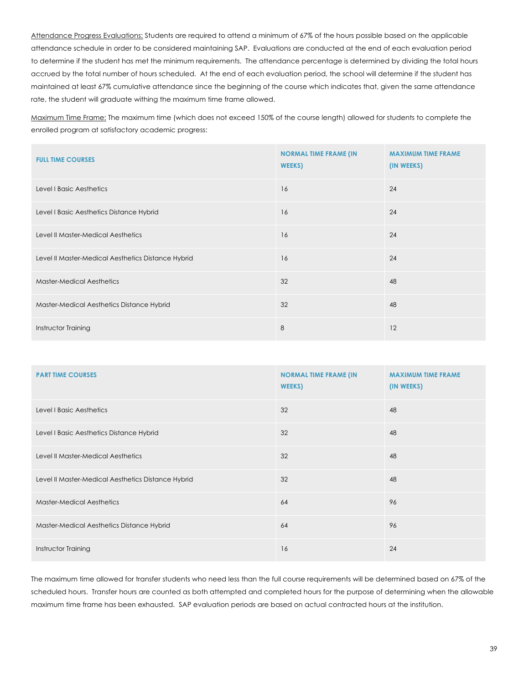Attendance Progress Evaluations: Students are required to attend a minimum of 67% of the hours possible based on the applicable attendance schedule in order to be considered maintaining SAP. Evaluations are conducted at the end of each evaluation period to determine if the student has met the minimum requirements. The attendance percentage is determined by dividing the total hours accrued by the total number of hours scheduled. At the end of each evaluation period, the school will determine if the student has maintained at least 67% cumulative attendance since the beginning of the course which indicates that, given the same attendance rate, the student will graduate withing the maximum time frame allowed.

Maximum Time Frame: The maximum time (which does not exceed 150% of the course length) allowed for students to complete the enrolled program at satisfactory academic progress:

| <b>FULL TIME COURSES</b>                           | <b>NORMAL TIME FRAME (IN</b><br>WEEKS) | <b>MAXIMUM TIME FRAME</b><br>(IN WEEKS) |
|----------------------------------------------------|----------------------------------------|-----------------------------------------|
| Level I Basic Aesthetics                           | 16                                     | 24                                      |
| Level I Basic Aesthetics Distance Hybrid           | 16                                     | 24                                      |
| Level II Master-Medical Aesthetics                 | 16                                     | 24                                      |
| Level II Master-Medical Aesthetics Distance Hybrid | 16                                     | 24                                      |
| <b>Master-Medical Aesthetics</b>                   | 32                                     | 48                                      |
| Master-Medical Aesthetics Distance Hybrid          | 32                                     | 48                                      |
| Instructor Training                                | 8                                      | 12                                      |

| <b>PART TIME COURSES</b>                           | <b>NORMAL TIME FRAME (IN</b><br>WEEKS) | <b>MAXIMUM TIME FRAME</b><br>(IN WEEKS) |
|----------------------------------------------------|----------------------------------------|-----------------------------------------|
| Level I Basic Aesthetics                           | 32                                     | 48                                      |
| Level I Basic Aesthetics Distance Hybrid           | 32                                     | 48                                      |
| Level II Master-Medical Aesthetics                 | 32                                     | 48                                      |
| Level II Master-Medical Aesthetics Distance Hybrid | 32                                     | 48                                      |
| <b>Master-Medical Aesthetics</b>                   | 64                                     | 96                                      |
| Master-Medical Aesthetics Distance Hybrid          | 64                                     | 96                                      |
| Instructor Training                                | 16                                     | 24                                      |

The maximum time allowed for transfer students who need less than the full course requirements will be determined based on 67% of the scheduled hours. Transfer hours are counted as both attempted and completed hours for the purpose of determining when the allowable maximum time frame has been exhausted. SAP evaluation periods are based on actual contracted hours at the institution.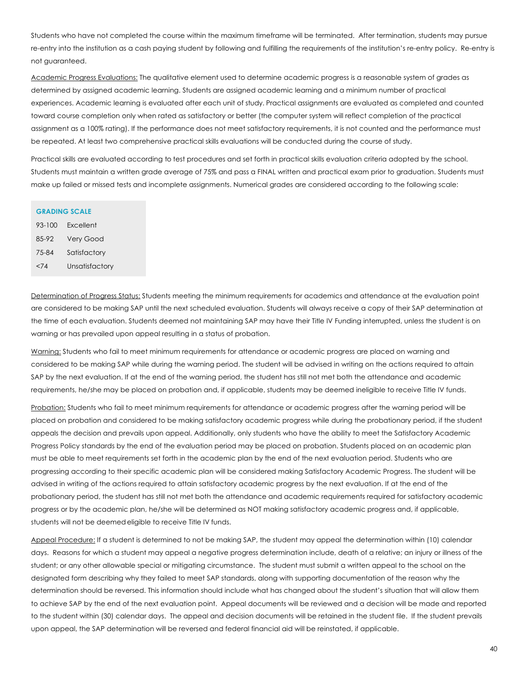Students who have not completed the course within the maximum timeframe will be terminated. After termination, students may pursue re-entry into the institution as a cash paying student by following and fulfilling the requirements of the institution's re-entry policy. Re-entry is not guaranteed.

Academic Progress Evaluations: The qualitative element used to determine academic progress is a reasonable system of grades as determined by assigned academic learning. Students are assigned academic learning and a minimum number of practical experiences. Academic learning is evaluated after each unit of study. Practical assignments are evaluated as completed and counted toward course completion only when rated as satisfactory or better (the computer system will reflect completion of the practical assignment as a 100% rating). If the performance does not meet satisfactory requirements, it is not counted and the performance must be repeated. At least two comprehensive practical skills evaluations will be conducted during the course of study.

Practical skills are evaluated according to test procedures and set forth in practical skills evaluation criteria adopted by the school. Students must maintain a written grade average of 75% and pass a FINAL written and practical exam prior to graduation. Students must make up failed or missed tests and incomplete assignments. Numerical grades are considered according to the following scale:

#### **GRADING SCALE**

| $93 - 100$ | Excellent        |
|------------|------------------|
| 85-92      | <b>Very Good</b> |
| 75-84      | Satisfactory     |
| <74        | Unsatisfactory   |

Determination of Progress Status: Students meeting the minimum requirements for academics and attendance at the evaluation point are considered to be making SAP until the next scheduled evaluation. Students will always receive a copy of their SAP determination at the time of each evaluation. Students deemed not maintaining SAP may have their Title IV Funding interrupted, unless the student is on warning or has prevailed upon appeal resulting in a status of probation.

Warning: Students who fail to meet minimum requirements for attendance or academic progress are placed on warning and considered to be making SAP while during the warning period. The student will be advised in writing on the actions required to attain SAP by the next evaluation. If at the end of the warning period, the student has still not met both the attendance and academic requirements, he/she may be placed on probation and, if applicable, students may be deemed ineligible to receive Title IV funds.

Probation: Students who fail to meet minimum requirements for attendance or academic progress after the warning period will be placed on probation and considered to be making satisfactory academic progress while during the probationary period, if the student appeals the decision and prevails upon appeal. Additionally, only students who have the ability to meet the Satisfactory Academic Progress Policy standards by the end of the evaluation period may be placed on probation. Students placed on an academic plan must be able to meet requirements set forth in the academic plan by the end of the next evaluation period. Students who are progressing according to their specific academic plan will be considered making Satisfactory Academic Progress. The student will be advised in writing of the actions required to attain satisfactory academic progress by the next evaluation. If at the end of the probationary period, the student has still not met both the attendance and academic requirements required for satisfactory academic progress or by the academic plan, he/she will be determined as NOT making satisfactory academic progress and, if applicable, students will not be deemedeligible to receive Title IV funds.

Appeal Procedure: If a student is determined to not be making SAP, the student may appeal the determination within (10) calendar days. Reasons for which a student may appeal a negative progress determination include, death of a relative; an injury or illness of the student; or any other allowable special or mitigating circumstance. The student must submit a written appeal to the school on the designated form describing why they failed to meet SAP standards, along with supporting documentation of the reason why the determination should be reversed. This information should include what has changed about the student's situation that will allow them to achieve SAP by the end of the next evaluation point. Appeal documents will be reviewed and a decision will be made and reported to the student within (30) calendar days. The appeal and decision documents will be retained in the student file. If the student prevails upon appeal, the SAP determination will be reversed and federal financial aid will be reinstated, if applicable.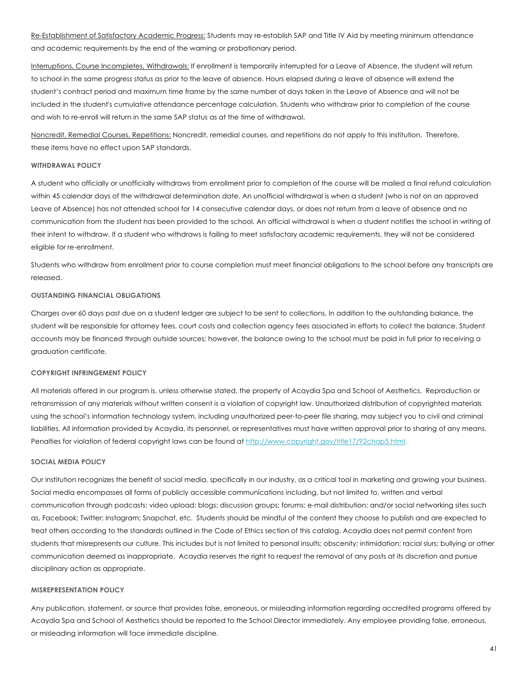Re-Establishment of Satisfactory Academic Progress: Students may re-establish SAP and Title IV Aid by meeting minimum attendance and academic requirements by the end of the warning or probationary period.

Interruptions, Course Incompletes, Withdrawals: If enrollment is temporarily interrupted for a Leave of Absence, the student will return to school in the same progress status as prior to the leave of absence. Hours elapsed during a leave of absence will extend the student's contract period and maximum time frame by the same number of days taken in the Leave of Absence and will not be included in the student's cumulative attendance percentage calculation. Students who withdraw prior to completion of the course and wish to re-enroll will return in the same SAP status as at the time of withdrawal.

Noncredit, Remedial Courses, Repetitions: Noncredit, remedial courses, and repetitions do not apply to this institution. Therefore, these items have no effect upon SAP standards.

#### **WITHDRAWAL POLICY**

A student who officially or unofficially withdraws from enrollment prior to completion of the course will be mailed a final refund calculation within 45 calendar days of the withdrawal determination date. An unofficial withdrawal is when a student (who is not on an approved Leave of Absence) has not attended school for 14 consecutive calendar days, or does not return from a leave of absence and no communication from the student has been provided to the school. An official withdrawal is when a student notifies the school in writing of their intent to withdraw. If a student who withdraws is failing to meet satisfactory academic requirements, they will not be considered eligible for re-enrollment.

Students who withdraw from enrollment prior to course completion must meet financial obligations to the school before any transcripts are released.

#### **OUSTANDING FINANCIAL OBLIGATIONS**

Charges over 60 days past due on a student ledger are subject to be sent to collections. In addition to the outstanding balance, the student will be responsible for attorney fees, court costs and collection agency fees associated in efforts to collect the balance. Student accounts may be financed through outside sources; however, the balance owing to the school must be paid in full prior to receiving a graduation certificate.

#### **COPYRIGHT INFRINGEMENT POLICY**

All materials offered in our program is, unless otherwise stated, the property of Acaydia Spa and School of Aesthetics. Reproduction or retransmission of any materials without written consent is a violation of copyright law. Unauthorized distribution of copyrighted materials using the school's information technology system, including unauthorized peer-to-peer file sharing, may subject you to civil and criminal liabilities. All information provided by Acaydia, its personnel, or representatives must have written approval prior to sharing of any means. Penalties for violation of federal copyright laws can be found at http://www.copyright.gov/title17/92chap5.html.

#### **SOCIAL MEDIA POLICY**

Our institution recognizes the benefit of social media, specifically in our industry, as a critical tool in marketing and growing your business. Social media encompasses all forms of publicly accessible communications including, but not limited to, written and verbal communication through podcasts; video upload; blogs; discussion groups; forums; e-mail distribution; and/or social networking sites such as, Facebook; Twitter; Instagram; Snapchat, etc. Students should be mindful of the content they choose to publish and are expected to treat others according to the standards outlined in the Code of Ethics section of this catalog. Acaydia does not permit content from students that misrepresents our culture. This includes but is not limited to personal insults; obscenity; intimidation; racial slurs; bullying or other communication deemed as inappropriate. Acaydia reserves the right to request the removal of any posts at its discretion and pursue disciplinary action as appropriate.

#### **MISREPRESENTATION POLICY**

Any publication, statement, or source that provides false, erroneous, or misleading information regarding accredited programs offered by Acaydia Spa and School of Aesthetics should be reported to the School Director immediately. Any employee providing false, erroneous, or misleading information will face immediate discipline.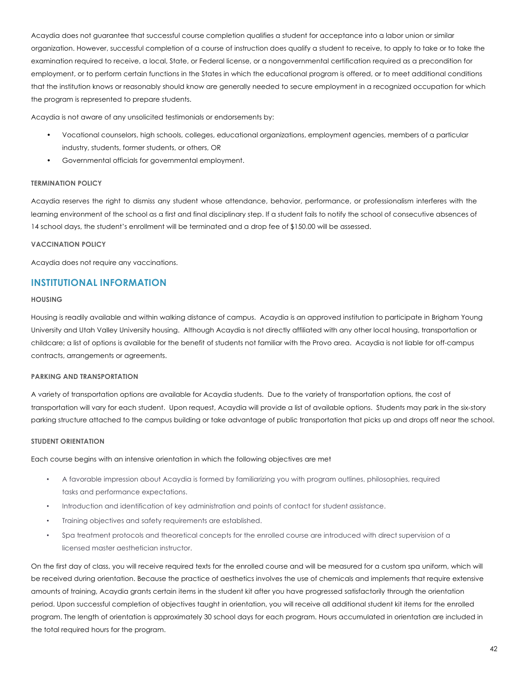Acaydia does not guarantee that successful course completion qualifies a student for acceptance into a labor union or similar organization. However, successful completion of a course of instruction does qualify a student to receive, to apply to take or to take the examination required to receive, a local, State, or Federal license, or a nongovernmental certification required as a precondition for employment, or to perform certain functions in the States in which the educational program is offered, or to meet additional conditions that the institution knows or reasonably should know are generally needed to secure employment in a recognized occupation for which the program is represented to prepare students.

Acaydia is not aware of any unsolicited testimonials or endorsements by:

- Vocational counselors, high schools, colleges, educational organizations, employment agencies, members of a particular industry, students, former students, or others, OR
- Governmental officials for governmental employment.

#### **TERMINATION POLICY**

Acaydia reserves the right to dismiss any student whose attendance, behavior, performance, or professionalism interferes with the learning environment of the school as a first and final disciplinary step. If a student fails to notify the school of consecutive absences of 14 school days, the student's enrollment will be terminated and a drop fee of \$150.00 will be assessed.

#### **VACCINATION POLICY**

Acaydia does not require any vaccinations.

# **INSTITUTIONAL INFORMATION**

#### **HOUSING**

Housing is readily available and within walking distance of campus. Acaydia is an approved institution to participate in Brigham Young University and Utah Valley University housing. Although Acaydia is not directly affiliated with any other local housing, transportation or childcare; a list of options is available for the benefit of students not familiar with the Provo area. Acaydia is not liable for off-campus contracts, arrangements or agreements.

#### **PARKING AND TRANSPORTATION**

A variety of transportation options are available for Acaydia students. Due to the variety of transportation options, the cost of transportation will vary for each student. Upon request, Acaydia will provide a list of available options. Students may park in the six-story parking structure attached to the campus building or take advantage of public transportation that picks up and drops off near the school.

#### **STUDENT ORIENTATION**

Each course begins with an intensive orientation in which the following objectives are met

- ! A favorable impression about Acaydia is formed by familiarizing you with program outlines, philosophies, required tasks and performance expectations.
- ! Introduction and identification of key administration and points of contact for student assistance.
- Training objectives and safety requirements are established.
- Spa treatment protocols and theoretical concepts for the enrolled course are introduced with direct supervision of a licensed master aesthetician instructor.

On the first day of class, you will receive required texts for the enrolled course and will be measured for a custom spa uniform, which will be received during orientation. Because the practice of aesthetics involves the use of chemicals and implements that require extensive amounts of training, Acaydia grants certain items in the student kit after you have progressed satisfactorily through the orientation period. Upon successful completion of objectives taught in orientation, you will receive all additional student kit items for the enrolled program. The length of orientation is approximately 30 school days for each program. Hours accumulated in orientation are included in the total required hours for the program.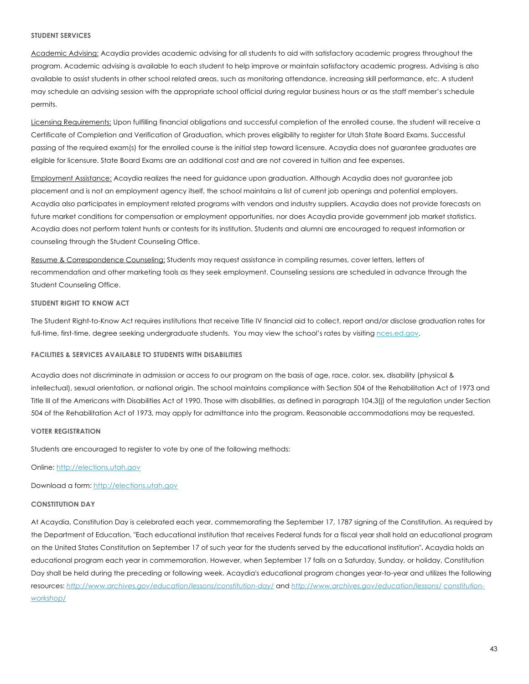#### **STUDENT SERVICES**

Academic Advising: Acaydia provides academic advising for all students to aid with satisfactory academic progress throughout the program. Academic advising is available to each student to help improve or maintain satisfactory academic progress. Advising is also available to assist students in other school related areas, such as monitoring attendance, increasing skill performance, etc. A student may schedule an advising session with the appropriate school official during regular business hours or as the staff member's schedule permits.

Licensing Requirements: Upon fulfilling financial obligations and successful completion of the enrolled course, the student will receive a Certificate of Completion and Verification of Graduation, which proves eligibility to register for Utah State Board Exams. Successful passing of the required exam(s) for the enrolled course is the initial step toward licensure. Acaydia does not guarantee graduates are eligible for licensure. State Board Exams are an additional cost and are not covered in tuition and fee expenses.

Employment Assistance: Acaydia realizes the need for guidance upon graduation. Although Acaydia does not guarantee job placement and is not an employment agency itself, the school maintains a list of current job openings and potential employers. Acaydia also participates in employment related programs with vendors and industry suppliers. Acaydia does not provide forecasts on future market conditions for compensation or employment opportunities, nor does Acaydia provide government job market statistics. Acaydia does not perform talent hunts or contests for its institution. Students and alumni are encouraged to request information or counseling through the Student Counseling Office.

Resume & Correspondence Counseling: Students may request assistance in compiling resumes, cover letters, letters of recommendation and other marketing tools as they seek employment. Counseling sessions are scheduled in advance through the Student Counseling Office.

#### **STUDENT RIGHT TO KNOW ACT**

The Student Right-to-Know Act requires institutions that receive Title IV financial aid to collect, report and/or disclose graduation rates for full-time, first-time, degree seeking undergraduate students. You may view the school's rates by visiting nces.ed.gov.

#### **FACILITIES & SERVICES AVAILABLE TO STUDENTS WITH DISABILITIES**

Acaydia does not discriminate in admission or access to our program on the basis of age, race, color, sex, disability (physical & intellectual), sexual orientation, or national origin. The school maintains compliance with Section 504 of the Rehabilitation Act of 1973 and Title III of the Americans with Disabilities Act of 1990. Those with disabilities, as defined in paragraph 104.3(j) of the regulation under Section 504 of the Rehabilitation Act of 1973, may apply for admittance into the program. Reasonable accommodations may be requested.

#### **VOTER REGISTRATION**

Students are encouraged to register to vote by one of the following methods:

Online: http://elections.utah.gov

Download a form: http://elections.utah.gov

## **CONSTITUTION DAY**

At Acaydia, Constitution Day is celebrated each year, commemorating the September 17, 1787 signing of the Constitution. As required by the Department of Education, "Each educational institution that receives Federal funds for a fiscal year shall hold an educational program on the United States Constitution on September 17 of such year for the students served by the educational institution"**.** Acaydia holds an educational program each year in commemoration. However, when September 17 falls on a Saturday, Sunday, or holiday, Constitution Day shall be held during the preceding or following week. Acaydia's educational program changes year-to-year and utilizes the following resources: *http://www.archives.gov/education/lessons/constitution-day/* and *http://www.archives.gov/education/lessons/ constitutionworkshop/*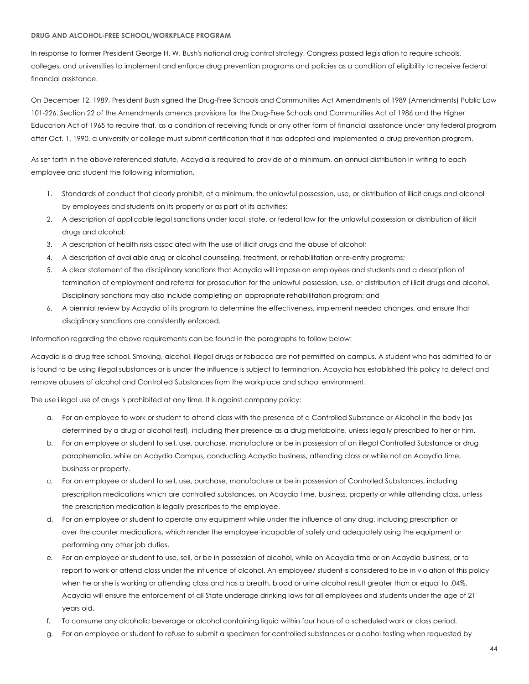#### **DRUG AND ALCOHOL-FREE SCHOOL/WORKPLACE PROGRAM**

In response to former President George H. W. Bush's national drug control strategy, Congress passed legislation to require schools, colleges, and universities to implement and enforce drug prevention programs and policies as a condition of eligibility to receive federal financial assistance.

On December 12, 1989, President Bush signed the Drug-Free Schools and Communities Act Amendments of 1989 (Amendments) Public Law 101-226. Section 22 of the Amendments amends provisions for the Drug-Free Schools and Communities Act of 1986 and the Higher Education Act of 1965 to require that, as a condition of receiving funds or any other form of financial assistance under any federal program after Oct. 1, 1990, a university or college must submit certification that it has adopted and implemented a drug prevention program.

As set forth in the above referenced statute, Acaydia is required to provide at a minimum, an annual distribution in writing to each employee and student the following information.

- 1. Standards of conduct that clearly prohibit, at a minimum, the unlawful possession, use, or distribution of illicit drugs and alcohol by employees and students on its property or as part of its activities;
- 2. A description of applicable legal sanctions under local, state, or federal law for the unlawful possession or distribution of illicit drugs and alcohol;
- 3. A description of health risks associated with the use of illicit drugs and the abuse of alcohol;
- 4. A description of available drug or alcohol counseling, treatment, or rehabilitation or re-entry programs;
- 5. A clear statement of the disciplinary sanctions that Acaydia will impose on employees and students and a description of termination of employment and referral for prosecution for the unlawful possession, use, or distribution of illicit drugs and alcohol. Disciplinary sanctions may also include completing an appropriate rehabilitation program; and
- 6. A biennial review by Acaydia of its program to determine the effectiveness, implement needed changes, and ensure that disciplinary sanctions are consistently enforced.

Information regarding the above requirements can be found in the paragraphs to follow below:

Acaydia is a drug free school. Smoking, alcohol, illegal drugs or tobacco are not permitted on campus. A student who has admitted to or is found to be using illegal substances or is under the influence is subject to termination. Acaydia has established this policy to detect and remove abusers of alcohol and Controlled Substances from the workplace and school environment.

The use illegal use of drugs is prohibited at any time. It is against company policy:

- a. For an employee to work or student to attend class with the presence of a Controlled Substance or Alcohol in the body (as determined by a drug or alcohol test), including their presence as a drug metabolite, unless legally prescribed to her or him.
- b. For an employee or student to sell, use, purchase, manufacture or be in possession of an illegal Controlled Substance or drug paraphernalia, while on Acaydia Campus, conducting Acaydia business, attending class or while not on Acaydia time, business or property.
- c. For an employee or student to sell, use, purchase, manufacture or be in possession of Controlled Substances, including prescription medications which are controlled substances, on Acaydia time, business, property or while attending class, unless the prescription medication is legally prescribes to the employee.
- d. For an employee or student to operate any equipment while under the influence of any drug, including prescription or over the counter medications, which render the employee incapable of safely and adequately using the equipment or performing any other job duties.
- e. For an employee or student to use, sell, or be in possession of alcohol, while on Acaydia time or on Acaydia business, or to report to work or attend class under the influence of alcohol. An employee/ student is considered to be in violation of this policy when he or she is working or attending class and has a breath, blood or urine alcohol result greater than or equal to .04%. Acaydia will ensure the enforcement of all State underage drinking laws for all employees and students under the age of 21 years old.
- f. To consume any alcoholic beverage or alcohol containing liquid within four hours of a scheduled work or class period.
- g. For an employee or student to refuse to submit a specimen for controlled substances or alcohol testing when requested by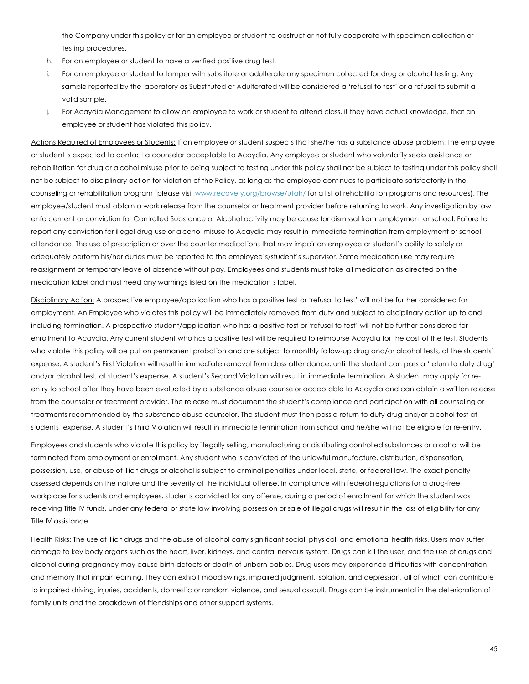the Company under this policy or for an employee or student to obstruct or not fully cooperate with specimen collection or testing procedures.

- h. For an employee or student to have a verified positive drug test.
- i. For an employee or student to tamper with substitute or adulterate any specimen collected for drug or alcohol testing. Any sample reported by the laboratory as Substituted or Adulterated will be considered a 'refusal to test' or a refusal to submit a valid sample.
- j. For Acaydia Management to allow an employee to work or student to attend class, if they have actual knowledge, that an employee or student has violated this policy.

Actions Required of Employees or Students: If an employee or student suspects that she/he has a substance abuse problem, the employee or student is expected to contact a counselor acceptable to Acaydia. Any employee or student who voluntarily seeks assistance or rehabilitation for drug or alcohol misuse prior to being subject to testing under this policy shall not be subject to testing under this policy shall not be subject to disciplinary action for violation of the Policy, as long as the employee continues to participate satisfactorily in the counseling or rehabilitation program (please visit www.recovery.org/browse/utah/ for a list of rehabilitation programs and resources). The employee/student must obtain a work release from the counselor or treatment provider before returning to work. Any investigation by law enforcement or conviction for Controlled Substance or Alcohol activity may be cause for dismissal from employment or school. Failure to report any conviction for illegal drug use or alcohol misuse to Acaydia may result in immediate termination from employment or school attendance. The use of prescription or over the counter medications that may impair an employee or student's ability to safely or adequately perform his/her duties must be reported to the employee's/student's supervisor. Some medication use may require reassignment or temporary leave of absence without pay. Employees and students must take all medication as directed on the medication label and must heed any warnings listed on the medication's label.

Disciplinary Action: A prospective employee/application who has a positive test or 'refusal to test' will not be further considered for employment. An Employee who violates this policy will be immediately removed from duty and subject to disciplinary action up to and including termination. A prospective student/application who has a positive test or 'refusal to test' will not be further considered for enrollment to Acaydia. Any current student who has a positive test will be required to reimburse Acaydia for the cost of the test. Students who violate this policy will be put on permanent probation and are subject to monthly follow-up drug and/or alcohol tests, at the students' expense. A student's First Violation will result in immediate removal from class attendance, until the student can pass a 'return to duty drug' and/or alcohol test, at student's expense. A student's Second Violation will result in immediate termination. A student may apply for reentry to school after they have been evaluated by a substance abuse counselor acceptable to Acaydia and can obtain a written release from the counselor or treatment provider. The release must document the student's compliance and participation with all counseling or treatments recommended by the substance abuse counselor. The student must then pass a return to duty drug and/or alcohol test at students' expense. A student's Third Violation will result in immediate termination from school and he/she will not be eligible for re-entry.

Employees and students who violate this policy by illegally selling, manufacturing or distributing controlled substances or alcohol will be terminated from employment or enrollment. Any student who is convicted of the unlawful manufacture, distribution, dispensation, possession, use, or abuse of illicit drugs or alcohol is subject to criminal penalties under local, state, or federal law. The exact penalty assessed depends on the nature and the severity of the individual offense. In compliance with federal regulations for a drug-free workplace for students and employees, students convicted for any offense, during a period of enrollment for which the student was receiving Title IV funds, under any federal or state law involving possession or sale of illegal drugs will result in the loss of eligibility for any Title IV assistance.

Health Risks: The use of illicit drugs and the abuse of alcohol carry significant social, physical, and emotional health risks. Users may suffer damage to key body organs such as the heart, liver, kidneys, and central nervous system. Drugs can kill the user, and the use of drugs and alcohol during pregnancy may cause birth defects or death of unborn babies. Drug users may experience difficulties with concentration and memory that impair learning. They can exhibit mood swings, impaired judgment, isolation, and depression, all of which can contribute to impaired driving, injuries, accidents, domestic or random violence, and sexual assault. Drugs can be instrumental in the deterioration of family units and the breakdown of friendships and other support systems.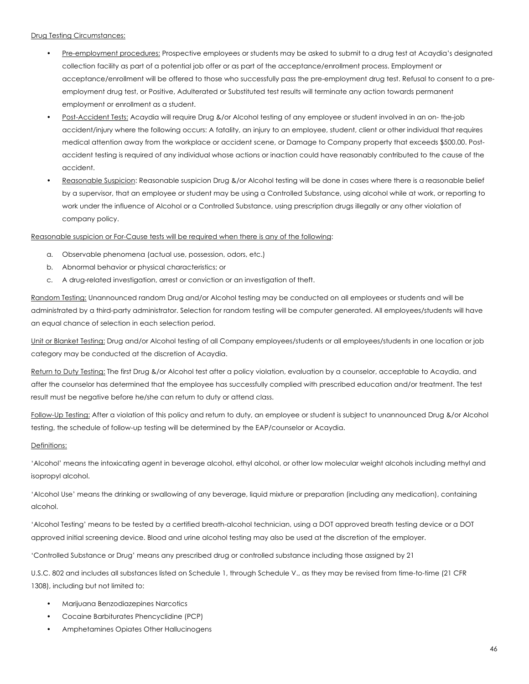Drug Testing Circumstances:

- Pre-employment procedures: Prospective employees or students may be asked to submit to a drug test at Acaydia's designated collection facility as part of a potential job offer or as part of the acceptance/enrollment process. Employment or acceptance/enrollment will be offered to those who successfully pass the pre-employment drug test. Refusal to consent to a preemployment drug test, or Positive, Adulterated or Substituted test results will terminate any action towards permanent employment or enrollment as a student.
- Post-Accident Tests: Acaydia will require Drug &/or Alcohol testing of any employee or student involved in an on- the-job accident/injury where the following occurs: A fatality, an injury to an employee, student, client or other individual that requires medical attention away from the workplace or accident scene, or Damage to Company property that exceeds \$500.00. Postaccident testing is required of any individual whose actions or inaction could have reasonably contributed to the cause of the accident.
- Reasonable Suspicion: Reasonable suspicion Drug &/or Alcohol testing will be done in cases where there is a reasonable belief by a supervisor, that an employee or student may be using a Controlled Substance, using alcohol while at work, or reporting to work under the influence of Alcohol or a Controlled Substance, using prescription drugs illegally or any other violation of company policy.

Reasonable suspicion or For-Cause tests will be required when there is any of the following:

- a. Observable phenomena (actual use, possession, odors, etc.)
- b. Abnormal behavior or physical characteristics; or
- c. A drug-related investigation, arrest or conviction or an investigation of theft.

Random Testing: Unannounced random Drug and/or Alcohol testing may be conducted on all employees or students and will be administrated by a third-party administrator. Selection for random testing will be computer generated. All employees/students will have an equal chance of selection in each selection period.

Unit or Blanket Testing: Drug and/or Alcohol testing of all Company employees/students or all employees/students in one location or job category may be conducted at the discretion of Acaydia.

Return to Duty Testing: The first Drug &/or Alcohol test after a policy violation, evaluation by a counselor, acceptable to Acaydia, and after the counselor has determined that the employee has successfully complied with prescribed education and/or treatment. The test result must be negative before he/she can return to duty or attend class.

Follow-Up Testing: After a violation of this policy and return to duty, an employee or student is subject to unannounced Drug &/or Alcohol testing, the schedule of follow-up testing will be determined by the EAP/counselor or Acaydia.

#### Definitions:

'Alcohol' means the intoxicating agent in beverage alcohol, ethyl alcohol, or other low molecular weight alcohols including methyl and isopropyl alcohol.

'Alcohol Use' means the drinking or swallowing of any beverage, liquid mixture or preparation (including any medication), containing alcohol.

'Alcohol Testing' means to be tested by a certified breath-alcohol technician, using a DOT approved breath testing device or a DOT approved initial screening device. Blood and urine alcohol testing may also be used at the discretion of the employer.

'Controlled Substance or Drug' means any prescribed drug or controlled substance including those assigned by 21

U.S.C. 802 and includes all substances listed on Schedule 1, through Schedule V., as they may be revised from time-to-time (21 CFR 1308), including but not limited to:

- Marijuana Benzodiazepines Narcotics
- Cocaine Barbiturates Phencyclidine (PCP)
- Amphetamines Opiates Other Hallucinogens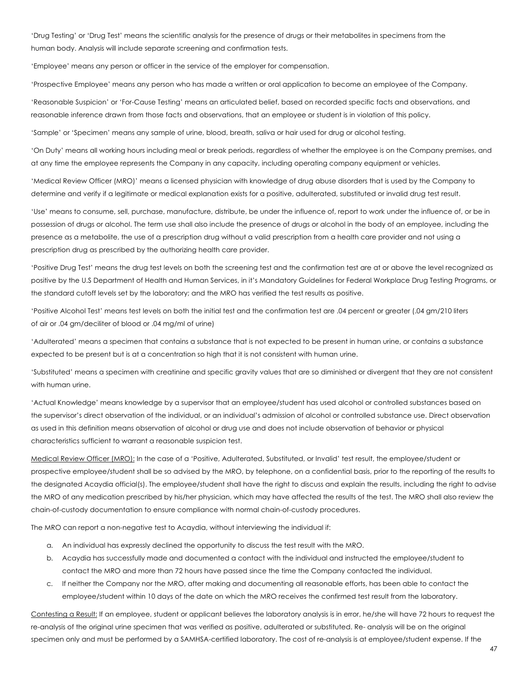'Drug Testing' or 'Drug Test' means the scientific analysis for the presence of drugs or their metabolites in specimens from the human body. Analysis will include separate screening and confirmation tests.

'Employee' means any person or officer in the service of the employer for compensation.

'Prospective Employee' means any person who has made a written or oral application to become an employee of the Company.

'Reasonable Suspicion' or 'For-Cause Testing' means an articulated belief, based on recorded specific facts and observations, and reasonable inference drawn from those facts and observations, that an employee or student is in violation of this policy.

'Sample' or 'Specimen' means any sample of urine, blood, breath, saliva or hair used for drug or alcohol testing.

'On Duty' means all working hours including meal or break periods, regardless of whether the employee is on the Company premises, and at any time the employee represents the Company in any capacity, including operating company equipment or vehicles.

'Medical Review Officer (MRO)' means a licensed physician with knowledge of drug abuse disorders that is used by the Company to determine and verify if a legitimate or medical explanation exists for a positive, adulterated, substituted or invalid drug test result.

'Use' means to consume, sell, purchase, manufacture, distribute, be under the influence of, report to work under the influence of, or be in possession of drugs or alcohol. The term use shall also include the presence of drugs or alcohol in the body of an employee, including the presence as a metabolite, the use of a prescription drug without a valid prescription from a health care provider and not using a prescription drug as prescribed by the authorizing health care provider.

'Positive Drug Test' means the drug test levels on both the screening test and the confirmation test are at or above the level recognized as positive by the U.S Department of Health and Human Services, in it's Mandatory Guidelines for Federal Workplace Drug Testing Programs, or the standard cutoff levels set by the laboratory; and the MRO has verified the test results as positive.

'Positive Alcohol Test' means test levels on both the initial test and the confirmation test are .04 percent or greater (.04 gm/210 liters of air or .04 gm/deciliter of blood or .04 mg/ml of urine)

'Adulterated' means a specimen that contains a substance that is not expected to be present in human urine, or contains a substance expected to be present but is at a concentration so high that it is not consistent with human urine.

'Substituted' means a specimen with creatinine and specific gravity values that are so diminished or divergent that they are not consistent with human urine.

'Actual Knowledge' means knowledge by a supervisor that an employee/student has used alcohol or controlled substances based on the supervisor's direct observation of the individual, or an individual's admission of alcohol or controlled substance use. Direct observation as used in this definition means observation of alcohol or drug use and does not include observation of behavior or physical characteristics sufficient to warrant a reasonable suspicion test.

Medical Review Officer (MRO): In the case of a 'Positive, Adulterated, Substituted, or Invalid' test result, the employee/student or prospective employee/student shall be so advised by the MRO, by telephone, on a confidential basis, prior to the reporting of the results to the designated Acaydia official(s). The employee/student shall have the right to discuss and explain the results, including the right to advise the MRO of any medication prescribed by his/her physician, which may have affected the results of the test. The MRO shall also review the chain-of-custody documentation to ensure compliance with normal chain-of-custody procedures.

The MRO can report a non-negative test to Acaydia, without interviewing the individual if:

- a. An individual has expressly declined the opportunity to discuss the test result with the MRO.
- b. Acaydia has successfully made and documented a contact with the individual and instructed the employee/student to contact the MRO and more than 72 hours have passed since the time the Company contacted the individual.
- c. If neither the Company nor the MRO, after making and documenting all reasonable efforts, has been able to contact the employee/student within 10 days of the date on which the MRO receives the confirmed test result from the laboratory.

Contesting a Result: If an employee, student or applicant believes the laboratory analysis is in error, he/she will have 72 hours to request the re-analysis of the original urine specimen that was verified as positive, adulterated or substituted. Re- analysis will be on the original specimen only and must be performed by a SAMHSA-certified laboratory. The cost of re-analysis is at employee/student expense. If the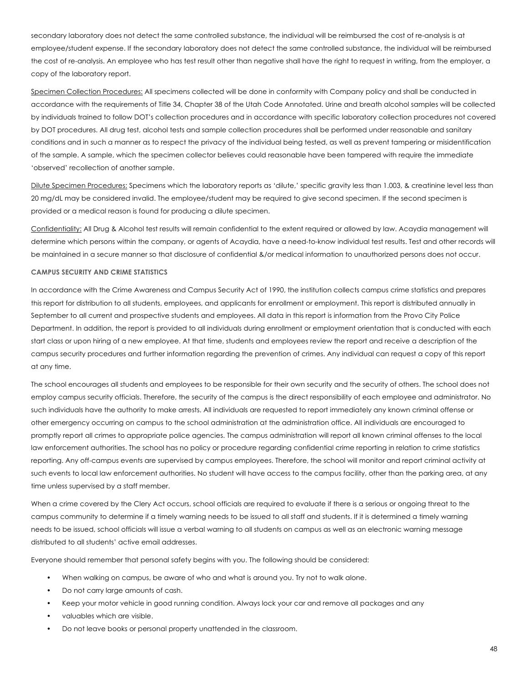secondary laboratory does not detect the same controlled substance, the individual will be reimbursed the cost of re-analysis is at employee/student expense. If the secondary laboratory does not detect the same controlled substance, the individual will be reimbursed the cost of re-analysis. An employee who has test result other than negative shall have the right to request in writing, from the employer, a copy of the laboratory report.

Specimen Collection Procedures: All specimens collected will be done in conformity with Company policy and shall be conducted in accordance with the requirements of Title 34, Chapter 38 of the Utah Code Annotated. Urine and breath alcohol samples will be collected by individuals trained to follow DOT's collection procedures and in accordance with specific laboratory collection procedures not covered by DOT procedures. All drug test, alcohol tests and sample collection procedures shall be performed under reasonable and sanitary conditions and in such a manner as to respect the privacy of the individual being tested, as well as prevent tampering or misidentification of the sample. A sample, which the specimen collector believes could reasonable have been tampered with require the immediate 'observed' recollection of another sample.

Dilute Specimen Procedures: Specimens which the laboratory reports as 'dilute,' specific gravity less than 1.003, & creatinine level less than 20 mg/dL may be considered invalid. The employee/student may be required to give second specimen. If the second specimen is provided or a medical reason is found for producing a dilute specimen.

Confidentiality: All Drug & Alcohol test results will remain confidential to the extent required or allowed by law. Acaydia management will determine which persons within the company, or agents of Acaydia, have a need-to-know individual test results. Test and other records will be maintained in a secure manner so that disclosure of confidential &/or medical information to unauthorized persons does not occur.

#### **CAMPUS SECURITY AND CRIME STATISTICS**

In accordance with the Crime Awareness and Campus Security Act of 1990, the institution collects campus crime statistics and prepares this report for distribution to all students, employees, and applicants for enrollment or employment. This report is distributed annually in September to all current and prospective students and employees. All data in this report is information from the Provo City Police Department. In addition, the report is provided to all individuals during enrollment or employment orientation that is conducted with each start class or upon hiring of a new employee. At that time, students and employees review the report and receive a description of the campus security procedures and further information regarding the prevention of crimes. Any individual can request a copy of this report at any time.

The school encourages all students and employees to be responsible for their own security and the security of others. The school does not employ campus security officials. Therefore, the security of the campus is the direct responsibility of each employee and administrator. No such individuals have the authority to make arrests. All individuals are requested to report immediately any known criminal offense or other emergency occurring on campus to the school administration at the administration office. All individuals are encouraged to promptly report all crimes to appropriate police agencies. The campus administration will report all known criminal offenses to the local law enforcement authorities. The school has no policy or procedure regarding confidential crime reporting in relation to crime statistics reporting. Any off-campus events are supervised by campus employees. Therefore, the school will monitor and report criminal activity at such events to local law enforcement authorities. No student will have access to the campus facility, other than the parking area, at any time unless supervised by a staff member.

When a crime covered by the Clery Act occurs, school officials are required to evaluate if there is a serious or ongoing threat to the campus community to determine if a timely warning needs to be issued to all staff and students. If it is determined a timely warning needs to be issued, school officials will issue a verbal warning to all students on campus as well as an electronic warning message distributed to all students' active email addresses.

Everyone should remember that personal safety begins with you. The following should be considered:

- When walking on campus, be aware of who and what is around you. Try not to walk alone.
- Do not carry large amounts of cash.
- Keep your motor vehicle in good running condition. Always lock your car and remove all packages and any
- valuables which are visible.
- Do not leave books or personal property unattended in the classroom.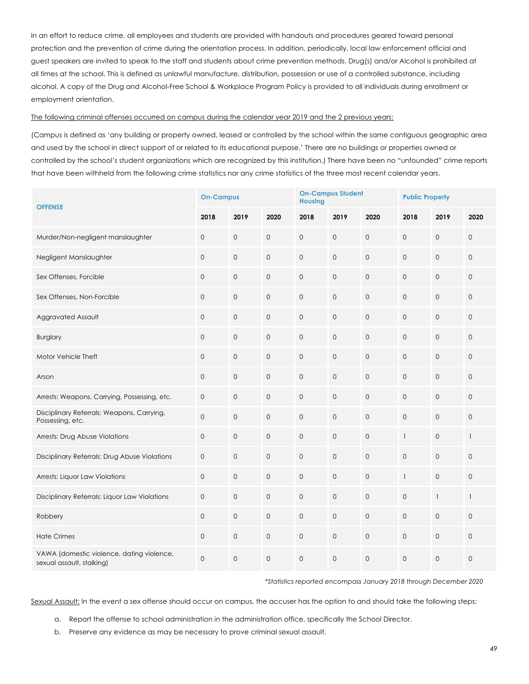In an effort to reduce crime, all employees and students are provided with handouts and procedures geared toward personal protection and the prevention of crime during the orientation process. In addition, periodically, local law enforcement official and guest speakers are invited to speak to the staff and students about crime prevention methods. Drug(s) and/or Alcohol is prohibited at all times at the school. This is defined as unlawful manufacture, distribution, possession or use of a controlled substance, including alcohol. A copy of the Drug and Alcohol-Free School & Workplace Program Policy is provided to all individuals during enrollment or employment orientation.

#### The following criminal offenses occurred on campus during the calendar year 2019 and the 2 previous years:

(Campus is defined as 'any building or property owned, leased or controlled by the school within the same contiguous geographic area and used by the school in direct support of or related to its educational purpose.' There are no buildings or properties owned or controlled by the school's student organizations which are recognized by this institution.) There have been no "unfounded" crime reports that have been withheld from the following crime statistics nor any crime statistics of the three most recent calendar years.

| <b>OFFENSE</b>                                                         | <b>On-Campus</b>    |                     |              | <b>On-Campus Student</b><br><b>Housing</b> |              |                     | <b>Public Property</b> |                     |                     |
|------------------------------------------------------------------------|---------------------|---------------------|--------------|--------------------------------------------|--------------|---------------------|------------------------|---------------------|---------------------|
|                                                                        | 2018                | 2019                | 2020         | 2018                                       | 2019         | 2020                | 2018                   | 2019                | 2020                |
| Murder/Non-negligent manslaughter                                      | $\mathbf{O}$        | $\mathbf{O}$        | $\mathbf{O}$ | $\mathbf{0}$                               | $\mathbf{0}$ | $\mathbf{O}$        | $\circ$                | $\mathbf{O}$        | $\circ$             |
| Negligent Manslaughter                                                 | $\mathbf{O}$        | $\mathbf{0}$        | $\mathbf{0}$ | $\mathbf{0}$                               | $\mathbf{0}$ | $\mathbf{O}$        | $\circ$                | $\mathbf{O}$        | $\mathbf{0}$        |
| Sex Offenses, Forcible                                                 | $\circ$             | $\circ$             | $\mathbf{0}$ | $\mathbf{0}$                               | $\mathbf{0}$ | $\mathsf{O}$        | $\mathbf{O}$           | $\mathbf{O}$        | $\mathbf{0}$        |
| Sex Offenses, Non-Forcible                                             | $\circ$             | $\circ$             | $\mathbf{0}$ | $\mathsf{O}\xspace$                        | $\mathbf{0}$ | $\mathbf{O}$        | $\circ$                | $\mathbf{O}$        | $\circ$             |
| Aggravated Assault                                                     | $\mathbf{O}$        | $\mathbf{O}$        | $\mathbf{0}$ | $\mathsf{O}\xspace$                        | $\circ$      | $\mathbf{O}$        | $\circ$                | $\mathbf{O}$        | $\mathbf 0$         |
| <b>Burglary</b>                                                        | $\circ$             | $\circ$             | $\mathbf{0}$ | $\mathsf{O}\xspace$                        | $\mathbf{0}$ | $\mathbf{O}$        | $\circ$                | $\mathbf{O}$        | $\circ$             |
| Motor Vehicle Theft                                                    | $\circ$             | $\circ$             | $\mathbf 0$  | $\mathsf{O}\xspace$                        | $\mathsf{O}$ | $\mathsf{O}\xspace$ | 0                      | $\mathsf{O}\xspace$ | $\mathsf{O}\xspace$ |
| Arson                                                                  | $\mathsf{O}\xspace$ | $\circ$             | $\mathbf 0$  | $\mathsf{O}\xspace$                        | $\mathsf{O}$ | $\mathsf{O}\xspace$ | $\circ$                | $\mathsf{O}\xspace$ | $\mathbf 0$         |
| Arrests: Weapons, Carrying, Possessing, etc.                           | $\mathbf 0$         | $\mathsf{O}\xspace$ | $\circ$      | $\mathbf{0}$                               | $\circ$      | 0                   | $\circ$                | $\mathbf{O}$        | $\mathbf{O}$        |
| Disciplinary Referrals: Weapons, Carrying,<br>Possessing, etc.         | $\overline{0}$      | $\mathsf{O}\xspace$ | $\mathsf{O}$ | $\mathsf{O}\xspace$                        | $\mathbf{O}$ | 0                   | 0                      | $\mathbf{O}$        | $\mathbf{O}$        |
| Arrests: Drug Abuse Violations                                         | $\overline{0}$      | $\mathbf{O}$        | $\mathbf{O}$ | $\overline{0}$                             | $\mathsf{O}$ | 0                   | $\mathbf{1}$           | $\mathbf{O}$        | $\mathbf{1}$        |
| Disciplinary Referrals: Drug Abuse Violations                          | $\circ$             | $\mathbf{O}$        | $\mathbf{O}$ | $\overline{0}$                             | $\mathbf{0}$ | $\mathbf 0$         | $\mathbf{O}$           | $\mathbf{O}$        | $\circ$             |
| Arrests: Liquor Law Violations                                         | $\circ$             | $\circ$             | $\mathbf{0}$ | $\mathbf{0}$                               | $\mathbf{0}$ | $\mathsf{O}\xspace$ | $\mathbf{1}$           | $\mathbf{O}$        | $\mathbf{O}$        |
| Disciplinary Referrals: Liquor Law Violations                          | $\circ$             | $\mathbf{O}$        | $\circ$      | $\overline{0}$                             | $\mathbf{0}$ | $\mathsf{O}$        | $\mathsf{O}$           | $\mathbf{1}$        | $\mathbf{1}$        |
| Robbery                                                                | $\mathbf{O}$        | $\mathsf{O}\xspace$ | $\mathbf{O}$ | $\mathbf{0}$                               | $\mathbf{0}$ | $\mathbf{0}$        | $\mathsf{O}$           | $\mathbf{O}$        | $\mathsf{O}\xspace$ |
| <b>Hate Crimes</b>                                                     | $\mathbf{O}$        | $\circ$             | $\mathbf{0}$ | $\mathbf{O}$                               | $\mathbf{0}$ | $\mathbf{O}$        | $\circ$                | $\mathbf{O}$        | $\mathbf{0}$        |
| VAWA (domestic violence, dating violence,<br>sexual assault, stalking) | $\Omega$            | $\mathbf{O}$        | $\mathbf{O}$ | $\mathbf{0}$                               | $\mathbf{O}$ | $\mathbf{0}$        | $\overline{0}$         | $\mathbf{O}$        | $\overline{0}$      |

*\*Statistics reported encompass January 2018 through December 2020*

Sexual Assault: In the event a sex offense should occur on campus, the accuser has the option to and should take the following steps:

- a. Report the offense to school administration in the administration office, specifically the School Director.
- b. Preserve any evidence as may be necessary to prove criminal sexual assault.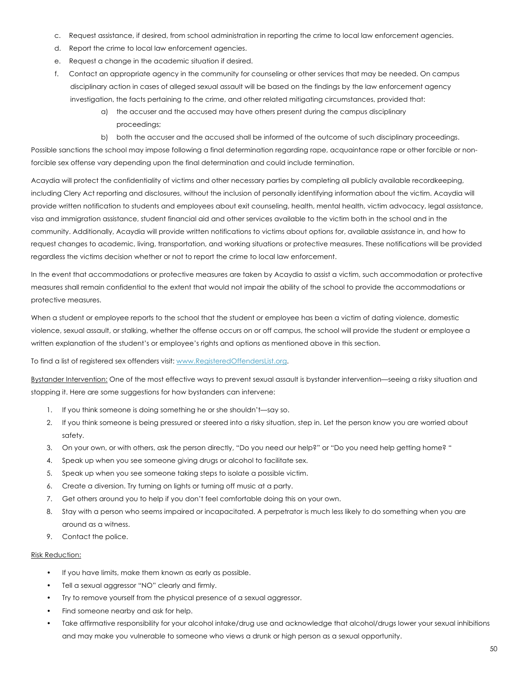- c. Request assistance, if desired, from school administration in reporting the crime to local law enforcement agencies.
- d. Report the crime to local law enforcement agencies.
- e. Request a change in the academic situation if desired.
- f. Contact an appropriate agency in the community for counseling or other services that may be needed. On campus disciplinary action in cases of alleged sexual assault will be based on the findings by the law enforcement agency investigation, the facts pertaining to the crime, and other related mitigating circumstances, provided that:
	- a) the accuser and the accused may have others present during the campus disciplinary proceedings;
	- b) both the accuser and the accused shall be informed of the outcome of such disciplinary proceedings.

Possible sanctions the school may impose following a final determination regarding rape, acquaintance rape or other forcible or nonforcible sex offense vary depending upon the final determination and could include termination.

Acaydia will protect the confidentiality of victims and other necessary parties by completing all publicly available recordkeeping, including Clery Act reporting and disclosures, without the inclusion of personally identifying information about the victim. Acaydia will provide written notification to students and employees about exit counseling, health, mental health, victim advocacy, legal assistance, visa and immigration assistance, student financial aid and other services available to the victim both in the school and in the community. Additionally, Acaydia will provide written notifications to victims about options for, available assistance in, and how to request changes to academic, living, transportation, and working situations or protective measures. These notifications will be provided regardless the victims decision whether or not to report the crime to local law enforcement.

In the event that accommodations or protective measures are taken by Acaydia to assist a victim, such accommodation or protective measures shall remain confidential to the extent that would not impair the ability of the school to provide the accommodations or protective measures.

When a student or employee reports to the school that the student or employee has been a victim of dating violence, domestic violence, sexual assault, or stalking, whether the offense occurs on or off campus, the school will provide the student or employee a written explanation of the student's or employee's rights and options as mentioned above in this section.

To find a list of registered sex offenders visit: www.RegisteredOffendersList.org.

Bystander Intervention: One of the most effective ways to prevent sexual assault is bystander intervention—seeing a risky situation and stopping it. Here are some suggestions for how bystanders can intervene:

- 1. If you think someone is doing something he or she shouldn't—say so.
- 2. If you think someone is being pressured or steered into a risky situation, step in. Let the person know you are worried about safety.
- 3. On your own, or with others, ask the person directly, "Do you need our help?" or "Do you need help getting home? "
- 4. Speak up when you see someone giving drugs or alcohol to facilitate sex.
- 5. Speak up when you see someone taking steps to isolate a possible victim.
- 6. Create a diversion. Try turning on lights or turning off music at a party.
- 7. Get others around you to help if you don't feel comfortable doing this on your own.
- 8. Stay with a person who seems impaired or incapacitated. A perpetrator is much less likely to do something when you are around as a witness.
- 9. Contact the police.

#### Risk Reduction:

- If you have limits, make them known as early as possible.
- Tell a sexual aggressor "NO" clearly and firmly.
- Try to remove yourself from the physical presence of a sexual aggressor.
- Find someone nearby and ask for help.
- Take affirmative responsibility for your alcohol intake/drug use and acknowledge that alcohol/drugs lower your sexual inhibitions and may make you vulnerable to someone who views a drunk or high person as a sexual opportunity.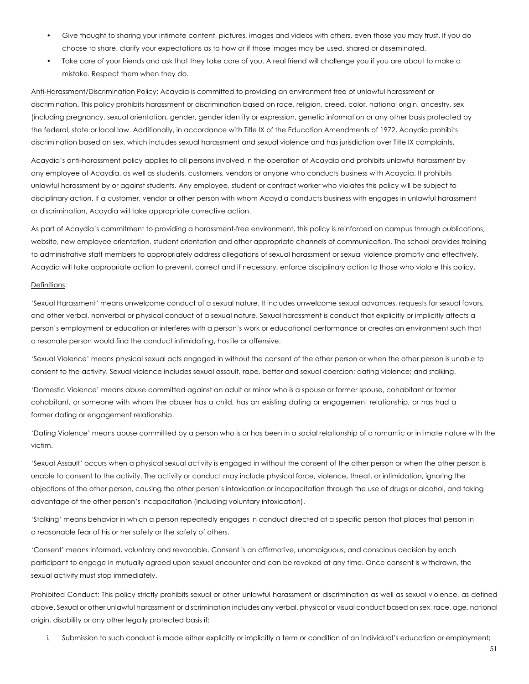- Give thought to sharing your intimate content, pictures, images and videos with others, even those you may trust. If you do choose to share, clarify your expectations as to how or if those images may be used, shared or disseminated.
- Take care of your friends and ask that they take care of you. A real friend will challenge you if you are about to make a mistake. Respect them when they do.

Anti-Harassment/Discrimination Policy: Acaydia is committed to providing an environment free of unlawful harassment or discrimination. This policy prohibits harassment or discrimination based on race, religion, creed, color, national origin, ancestry, sex (including pregnancy, sexual orientation, gender, gender identity or expression, genetic information or any other basis protected by the federal, state or local law. Additionally, in accordance with Title IX of the Education Amendments of 1972, Acaydia prohibits discrimination based on sex, which includes sexual harassment and sexual violence and has jurisdiction over Title IX complaints.

Acaydia's anti-harassment policy applies to all persons involved in the operation of Acaydia and prohibits unlawful harassment by any employee of Acaydia, as well as students, customers, vendors or anyone who conducts business with Acaydia. It prohibits unlawful harassment by or against students. Any employee, student or contract worker who violates this policy will be subject to disciplinary action. If a customer, vendor or other person with whom Acaydia conducts business with engages in unlawful harassment or discrimination, Acaydia will take appropriate corrective action.

As part of Acaydia's commitment to providing a harassment-free environment, this policy is reinforced on campus through publications, website, new employee orientation, student orientation and other appropriate channels of communication. The school provides training to administrative staff members to appropriately address allegations of sexual harassment or sexual violence promptly and effectively. Acaydia will take appropriate action to prevent, correct and if necessary, enforce disciplinary action to those who violate this policy.

#### Definitions:

'Sexual Harassment' means unwelcome conduct of a sexual nature. It includes unwelcome sexual advances, requests for sexual favors, and other verbal, nonverbal or physical conduct of a sexual nature. Sexual harassment is conduct that explicitly or implicitly affects a person's employment or education or interferes with a person's work or educational performance or creates an environment such that a resonate person would find the conduct intimidating, hostile or offensive.

'Sexual Violence' means physical sexual acts engaged in without the consent of the other person or when the other person is unable to consent to the activity. Sexual violence includes sexual assault, rape, better and sexual coercion; dating violence; and stalking.

'Domestic Violence' means abuse committed against an adult or minor who is a spouse or former spouse, cohabitant or former cohabitant, or someone with whom the abuser has a child, has an existing dating or engagement relationship, or has had a former dating or engagement relationship.

'Dating Violence' means abuse committed by a person who is or has been in a social relationship of a romantic or intimate nature with the victim.

'Sexual Assault' occurs when a physical sexual activity is engaged in without the consent of the other person or when the other person is unable to consent to the activity. The activity or conduct may include physical force, violence, threat, or intimidation, ignoring the objections of the other person, causing the other person's intoxication or incapacitation through the use of drugs or alcohol, and taking advantage of the other person's incapacitation (including voluntary intoxication).

'Stalking' means behavior in which a person repeatedly engages in conduct directed at a specific person that places that person in a reasonable fear of his or her safety or the safety of others.

'Consent' means informed, voluntary and revocable. Consent is an affirmative, unambiguous, and conscious decision by each participant to engage in mutually agreed upon sexual encounter and can be revoked at any time. Once consent is withdrawn, the sexual activity must stop immediately.

Prohibited Conduct: This policy strictly prohibits sexual or other unlawful harassment or discrimination as well as sexual violence, as defined above. Sexual or other unlawful harassment or discrimination includes any verbal, physical or visual conduct based on sex, race, age, national origin, disability or any other legally protected basis if:

i. Submission to such conduct is made either explicitly or implicitly a term or condition of an individual's education or employment;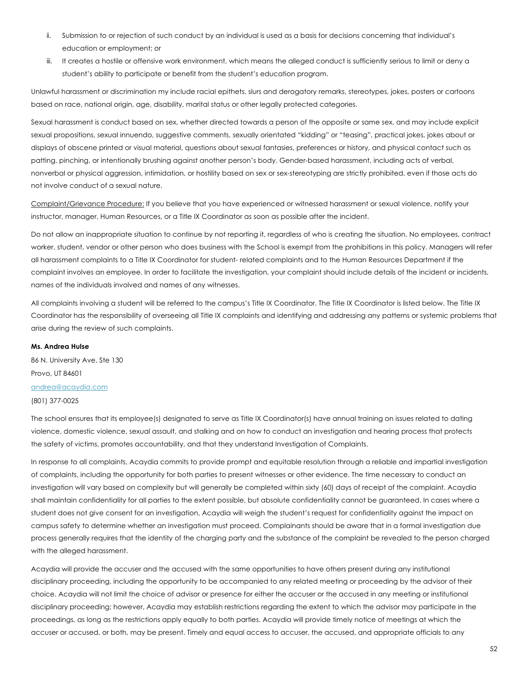- ii. Submission to or rejection of such conduct by an individual is used as a basis for decisions concerning that individual's education or employment; or
- iii. It creates a hostile or offensive work environment, which means the alleged conduct is sufficiently serious to limit or deny a student's ability to participate or benefit from the student's education program.

Unlawful harassment or discrimination my include racial epithets, slurs and derogatory remarks, stereotypes, jokes, posters or cartoons based on race, national origin, age, disability, marital status or other legally protected categories.

Sexual harassment is conduct based on sex, whether directed towards a person of the opposite or same sex, and may include explicit sexual propositions, sexual innuendo, suggestive comments, sexually orientated "kidding" or "teasing", practical jokes, jokes about or displays of obscene printed or visual material, questions about sexual fantasies, preferences or history, and physical contact such as patting, pinching, or intentionally brushing against another person's body. Gender-based harassment, including acts of verbal, nonverbal or physical aggression, intimidation, or hostility based on sex or sex-stereotyping are strictly prohibited, even if those acts do not involve conduct of a sexual nature.

Complaint/Grievance Procedure: If you believe that you have experienced or witnessed harassment or sexual violence, notify your instructor, manager, Human Resources, or a Title IX Coordinator as soon as possible after the incident.

Do not allow an inappropriate situation to continue by not reporting it, regardless of who is creating the situation. No employees, contract worker, student, vendor or other person who does business with the School is exempt from the prohibitions in this policy. Managers will refer all harassment complaints to a Title IX Coordinator for student- related complaints and to the Human Resources Department if the complaint involves an employee. In order to facilitate the investigation, your complaint should include details of the incident or incidents, names of the individuals involved and names of any witnesses.

All complaints involving a student will be referred to the campus's Title IX Coordinator. The Title IX Coordinator is listed below. The Title IX Coordinator has the responsibility of overseeing all Title IX complaints and identifying and addressing any patterns or systemic problems that arise during the review of such complaints.

#### **Ms. Andrea Hulse**

86 N. University Ave, Ste 130 Provo, UT 84601 andrea@acaydia.com (801) 377-0025

The school ensures that its employee(s) designated to serve as Title IX Coordinator(s) have annual training on issues related to dating violence, domestic violence, sexual assault, and stalking and on how to conduct an investigation and hearing process that protects the safety of victims, promotes accountability, and that they understand Investigation of Complaints.

In response to all complaints, Acaydia commits to provide prompt and equitable resolution through a reliable and impartial investigation of complaints, including the opportunity for both parties to present witnesses or other evidence. The time necessary to conduct an investigation will vary based on complexity but will generally be completed within sixty (60) days of receipt of the complaint. Acaydia shall maintain confidentiality for all parties to the extent possible, but absolute confidentiality cannot be guaranteed. In cases where a student does not give consent for an investigation, Acaydia will weigh the student's request for confidentiality against the impact on campus safety to determine whether an investigation must proceed. Complainants should be aware that in a formal investigation due process generally requires that the identity of the charging party and the substance of the complaint be revealed to the person charged with the alleged harassment.

Acaydia will provide the accuser and the accused with the same opportunities to have others present during any institutional disciplinary proceeding, including the opportunity to be accompanied to any related meeting or proceeding by the advisor of their choice. Acaydia will not limit the choice of advisor or presence for either the accuser or the accused in any meeting or institutional disciplinary proceeding; however, Acaydia may establish restrictions regarding the extent to which the advisor may participate in the proceedings, as long as the restrictions apply equally to both parties. Acaydia will provide timely notice of meetings at which the accuser or accused, or both, may be present. Timely and equal access to accuser, the accused, and appropriate officials to any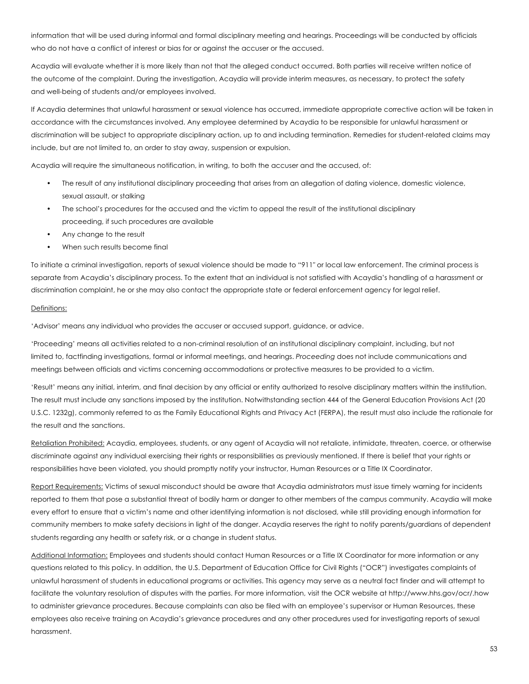information that will be used during informal and formal disciplinary meeting and hearings. Proceedings will be conducted by officials who do not have a conflict of interest or bias for or against the accuser or the accused.

Acaydia will evaluate whether it is more likely than not that the alleged conduct occurred. Both parties will receive written notice of the outcome of the complaint. During the investigation, Acaydia will provide interim measures, as necessary, to protect the safety and well-being of students and/or employees involved.

If Acaydia determines that unlawful harassment or sexual violence has occurred, immediate appropriate corrective action will be taken in accordance with the circumstances involved. Any employee determined by Acaydia to be responsible for unlawful harassment or discrimination will be subject to appropriate disciplinary action, up to and including termination. Remedies for student-related claims may include, but are not limited to, an order to stay away, suspension or expulsion.

Acaydia will require the simultaneous notification, in writing, to both the accuser and the accused, of:

- The result of any institutional disciplinary proceeding that arises from an allegation of dating violence, domestic violence, sexual assault, or stalking
- The school's procedures for the accused and the victim to appeal the result of the institutional disciplinary proceeding, if such procedures are available
- Any change to the result
- When such results become final

To initiate a criminal investigation, reports of sexual violence should be made to "911″ or local law enforcement. The criminal process is separate from Acaydia's disciplinary process. To the extent that an individual is not satisfied with Acaydia's handling of a harassment or discrimination complaint, he or she may also contact the appropriate state or federal enforcement agency for legal relief.

#### Definitions:

'Advisor' means any individual who provides the accuser or accused support, guidance, or advice.

'Proceeding' means all activities related to a non-criminal resolution of an institutional disciplinary complaint, including, but not limited to, factfinding investigations, formal or informal meetings, and hearings. *Proceeding* does not include communications and meetings between officials and victims concerning accommodations or protective measures to be provided to a victim.

'Result' means any initial, interim, and final decision by any official or entity authorized to resolve disciplinary matters within the institution. The result must include any sanctions imposed by the institution. Notwithstanding section 444 of the General Education Provisions Act (20 U.S.C. 1232g), commonly referred to as the Family Educational Rights and Privacy Act (FERPA), the result must also include the rationale for the result and the sanctions.

Retaliation Prohibited: Acaydia, employees, students, or any agent of Acaydia will not retaliate, intimidate, threaten, coerce, or otherwise discriminate against any individual exercising their rights or responsibilities as previously mentioned. If there is belief that your rights or responsibilities have been violated, you should promptly notify your instructor, Human Resources or a Title IX Coordinator.

Report Requirements: Victims of sexual misconduct should be aware that Acaydia administrators must issue timely warning for incidents reported to them that pose a substantial threat of bodily harm or danger to other members of the campus community. Acaydia will make every effort to ensure that a victim's name and other identifying information is not disclosed, while still providing enough information for community members to make safety decisions in light of the danger. Acaydia reserves the right to notify parents/guardians of dependent students regarding any health or safety risk, or a change in student status.

Additional Information: Employees and students should contact Human Resources or a Title IX Coordinator for more information or any questions related to this policy. In addition, the U.S. Department of Education Office for Civil Rights ("OCR") investigates complaints of unlawful harassment of students in educational programs or activities. This agency may serve as a neutral fact finder and will attempt to facilitate the voluntary resolution of disputes with the parties. For more information, visit the OCR website at http://www.hhs.gov/ocr/.how to administer grievance procedures. Because complaints can also be filed with an employee's supervisor or Human Resources, these employees also receive training on Acaydia's grievance procedures and any other procedures used for investigating reports of sexual harassment.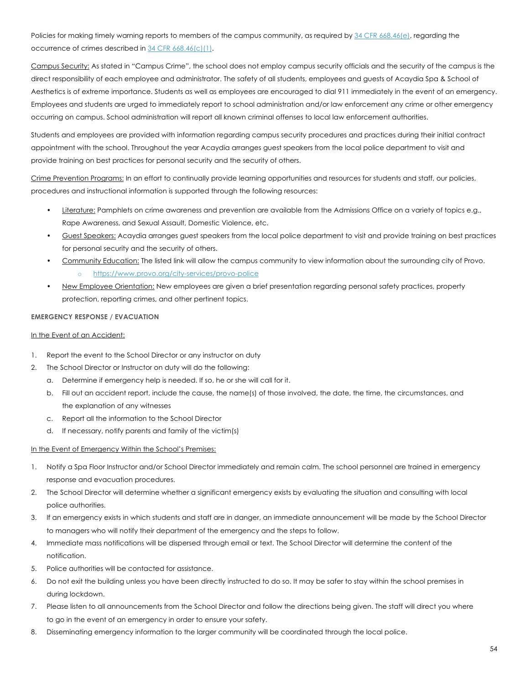Policies for making timely warning reports to members of the campus community, as required by 34 CFR 668.46(e), regarding the occurrence of crimes described in 34 CFR 668.46(c)(1).

Campus Security: As stated in "Campus Crime", the school does not employ campus security officials and the security of the campus is the direct responsibility of each employee and administrator. The safety of all students, employees and guests of Acaydia Spa & School of Aesthetics is of extreme importance. Students as well as employees are encouraged to dial 911 immediately in the event of an emergency. Employees and students are urged to immediately report to school administration and/or law enforcement any crime or other emergency occurring on campus. School administration will report all known criminal offenses to local law enforcement authorities.

Students and employees are provided with information regarding campus security procedures and practices during their initial contract appointment with the school. Throughout the year Acaydia arranges guest speakers from the local police department to visit and provide training on best practices for personal security and the security of others.

Crime Prevention Programs: In an effort to continually provide learning opportunities and resources for students and staff, our policies, procedures and instructional information is supported through the following resources:

- Literature: Pamphlets on crime awareness and prevention are available from the Admissions Office on a variety of topics e.g., Rape Awareness, and Sexual Assault, Domestic Violence, etc.
- Guest Speakers: Acaydia arranges guest speakers from the local police department to visit and provide training on best practices for personal security and the security of others.
- Community Education: The listed link will allow the campus community to view information about the surrounding city of Provo. https://www.provo.org/city-services/provo-police
- New Employee Orientation: New employees are given a brief presentation regarding personal safety practices, property protection, reporting crimes, and other pertinent topics.

#### **EMERGENCY RESPONSE / EVACUATION**

#### In the Event of an Accident:

- 1. Report the event to the School Director or any instructor on duty
- 2. The School Director or Instructor on duty will do the following:
	- a. Determine if emergency help is needed. If so, he or she will call for it.
	- b. Fill out an accident report, include the cause, the name(s) of those involved, the date, the time, the circumstances, and the explanation of any witnesses
	- c. Report all the information to the School Director
	- d. If necessary, notify parents and family of the victim(s)

#### In the Event of Emergency Within the School's Premises:

- 1. Notify a Spa Floor Instructor and/or School Director immediately and remain calm. The school personnel are trained in emergency response and evacuation procedures.
- 2. The School Director will determine whether a significant emergency exists by evaluating the situation and consulting with local police authorities.
- 3. If an emergency exists in which students and staff are in danger, an immediate announcement will be made by the School Director to managers who will notify their department of the emergency and the steps to follow.
- 4. Immediate mass notifications will be dispersed through email or text. The School Director will determine the content of the notification.
- 5. Police authorities will be contacted for assistance.
- 6. Do not exit the building unless you have been directly instructed to do so. It may be safer to stay within the school premises in during lockdown.
- 7. Please listen to all announcements from the School Director and follow the directions being given. The staff will direct you where to go in the event of an emergency in order to ensure your safety.
- 8. Disseminating emergency information to the larger community will be coordinated through the local police.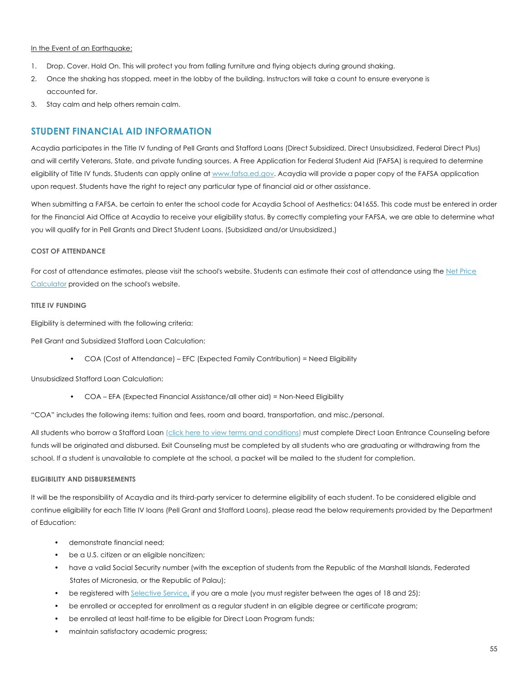#### In the Event of an Earthquake:

- 1. Drop. Cover. Hold On. This will protect you from falling furniture and flying objects during ground shaking.
- 2. Once the shaking has stopped, meet in the lobby of the building. Instructors will take a count to ensure everyone is accounted for.
- 3. Stay calm and help others remain calm.

# **STUDENT FINANCIAL AID INFORMATION**

Acaydia participates in the Title IV funding of Pell Grants and Stafford Loans (Direct Subsidized, Direct Unsubsidized, Federal Direct Plus) and will certify Veterans, State, and private funding sources. A Free Application for Federal Student Aid (FAFSA) is required to determine eligibility of Title IV funds. Students can apply online at www.fafsa.ed.gov. Acaydia will provide a paper copy of the FAFSA application upon request. Students have the right to reject any particular type of financial aid or other assistance.

When submitting a FAFSA, be certain to enter the school code for Acaydia School of Aesthetics: 041655. This code must be entered in order for the Financial Aid Office at Acaydia to receive your eligibility status. By correctly completing your FAFSA, we are able to determine what you will qualify for in Pell Grants and Direct Student Loans. (Subsidized and/or Unsubsidized.)

#### **COST OF ATTENDANCE**

For cost of attendance estimates, please visit the school's website. Students can estimate their cost of attendance using the Net Price Calculator provided on the school's website.

#### **TITLE IV FUNDING**

Eligibility is determined with the following criteria:

Pell Grant and Subsidized Stafford Loan Calculation:

• COA (Cost of Attendance) – EFC (Expected Family Contribution) = Need Eligibility

Unsubsidized Stafford Loan Calculation:

• COA – EFA (Expected Financial Assistance/all other aid) = Non-Need Eligibility

"COA" includes the following items: tuition and fees, room and board, transportation, and misc./personal.

All students who borrow a Stafford Loan (click here to view terms and conditions) must complete Direct Loan Entrance Counseling before funds will be originated and disbursed. Exit Counseling must be completed by all students who are graduating or withdrawing from the school. If a student is unavailable to complete at the school, a packet will be mailed to the student for completion.

#### **ELIGIBILITY AND DISBURSEMENTS**

It will be the responsibility of Acaydia and its third-party servicer to determine eligibility of each student. To be considered eligible and continue eligibility for each Title IV loans (Pell Grant and Stafford Loans), please read the below requirements provided by the Department of Education:

- demonstrate financial need;
- be a U.S. citizen or an eligible noncitizen;
- have a valid Social Security number (with the exception of students from the Republic of the Marshall Islands, Federated States of Micronesia, or the Republic of Palau);
- be registered with Selective Service, if you are a male (you must register between the ages of 18 and 25);
- be enrolled or accepted for enrollment as a regular student in an eligible degree or certificate program;
- be enrolled at least half-time to be eligible for Direct Loan Program funds;
- maintain satisfactory academic progress;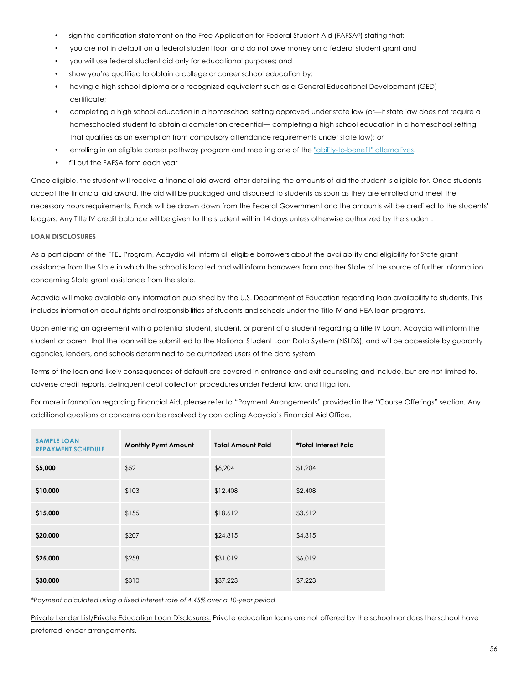- sign the certification statement on the Free Application for Federal Student Aid (FAFSA®) stating that:
- you are not in default on a federal student loan and do not owe money on a federal student grant and
- you will use federal student aid only for educational purposes; and
- show you're qualified to obtain a college or career school education by:
- having a high school diploma or a recognized equivalent such as a General Educational Development (GED) certificate;
- completing a high school education in a homeschool setting approved under state law (or—if state law does not require a homeschooled student to obtain a completion credential— completing a high school education in a homeschool setting that qualifies as an exemption from compulsory attendance requirements under state law); or
- enrolling in an eligible career pathway program and meeting one of the "ability-to-benefit" alternatives.
- fill out the FAFSA form each year

Once eligible, the student will receive a financial aid award letter detailing the amounts of aid the student is eligible for. Once students accept the financial aid award, the aid will be packaged and disbursed to students as soon as they are enrolled and meet the necessary hours requirements. Funds will be drawn down from the Federal Government and the amounts will be credited to the students' ledgers. Any Title IV credit balance will be given to the student within 14 days unless otherwise authorized by the student.

#### **LOAN DISCLOSURES**

As a participant of the FFEL Program, Acaydia will inform all eligible borrowers about the availability and eligibility for State grant assistance from the State in which the school is located and will inform borrowers from another State of the source of further information concerning State grant assistance from the state.

Acaydia will make available any information published by the U.S. Department of Education regarding loan availability to students. This includes information about rights and responsibilities of students and schools under the Title IV and HEA loan programs.

Upon entering an agreement with a potential student, student, or parent of a student regarding a Title IV Loan, Acaydia will inform the student or parent that the loan will be submitted to the National Student Loan Data System (NSLDS), and will be accessible by guaranty agencies, lenders, and schools determined to be authorized users of the data system.

Terms of the loan and likely consequences of default are covered in entrance and exit counseling and include, but are not limited to, adverse credit reports, delinquent debt collection procedures under Federal law, and litigation.

For more information regarding Financial Aid, please refer to "Payment Arrangements" provided in the "Course Offerings" section. Any additional questions or concerns can be resolved by contacting Acaydia's Financial Aid Office.

| <b>SAMPLE LOAN</b><br><b>REPAYMENT SCHEDULE</b> | <b>Monthly Pymt Amount</b> | <b>Total Amount Paid</b> | *Total Interest Paid |
|-------------------------------------------------|----------------------------|--------------------------|----------------------|
| \$5,000                                         | \$52                       | \$6,204                  | \$1,204              |
| \$10,000                                        | \$103                      | \$12,408                 | \$2,408              |
| \$15,000                                        | \$155                      | \$18,612                 | \$3,612              |
| \$20,000                                        | \$207                      | \$24,815                 | \$4,815              |
| \$25,000                                        | \$258                      | \$31,019                 | \$6,019              |
| \$30,000                                        | \$310                      | \$37,223                 | \$7,223              |

*\*Payment calculated using a fixed interest rate of 4.45% over a 10-year period*

Private Lender List/Private Education Loan Disclosures: Private education loans are not offered by the school nor does the school have preferred lender arrangements.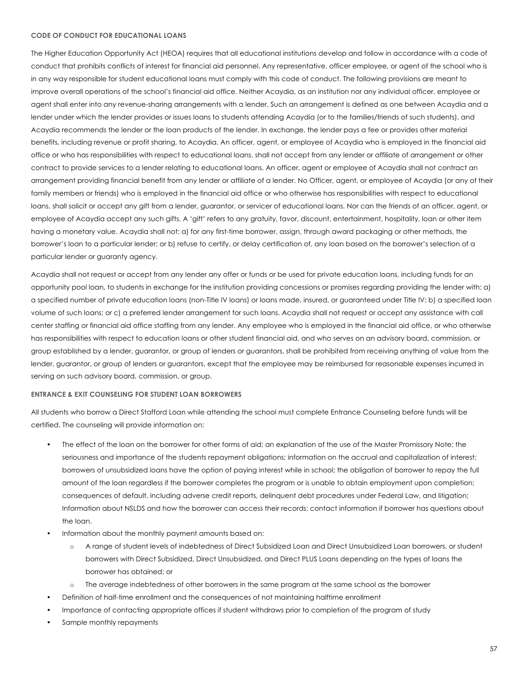#### **CODE OF CONDUCT FOR EDUCATIONAL LOANS**

The Higher Education Opportunity Act (HEOA) requires that all educational institutions develop and follow in accordance with a code of conduct that prohibits conflicts of interest for financial aid personnel. Any representative, officer employee, or agent of the school who is in any way responsible for student educational loans must comply with this code of conduct. The following provisions are meant to improve overall operations of the school's financial aid office. Neither Acaydia, as an institution nor any individual officer, employee or agent shall enter into any revenue-sharing arrangements with a lender. Such an arrangement is defined as one between Acaydia and a lender under which the lender provides or issues loans to students attending Acaydia (or to the families/friends of such students), and Acaydia recommends the lender or the loan products of the lender. In exchange, the lender pays a fee or provides other material benefits, including revenue or profit sharing, to Acaydia. An officer, agent, or employee of Acaydia who is employed in the financial aid office or who has responsibilities with respect to educational loans, shall not accept from any lender or affiliate of arrangement or other contract to provide services to a lender relating to educational loans. An officer, agent or employee of Acaydia shall not contract an arrangement providing financial benefit from any lender or affiliate of a lender. No Officer, agent, or employee of Acaydia (or any of their family members or friends) who is employed in the financial aid office or who otherwise has responsibilities with respect to educational loans, shall solicit or accept any gift from a lender, guarantor, or servicer of educational loans. Nor can the friends of an officer, agent, or employee of Acaydia accept any such gifts. A 'gift' refers to any gratuity, favor, discount, entertainment, hospitality, loan or other item having a monetary value. Acaydia shall not: a) for any first-time borrower, assign, through award packaging or other methods, the borrower's loan to a particular lender; or b) refuse to certify, or delay certification of, any loan based on the borrower's selection of a particular lender or guaranty agency.

Acaydia shall not request or accept from any lender any offer or funds or be used for private education loans, including funds for an opportunity pool loan, to students in exchange for the institution providing concessions or promises regarding providing the lender with: a) a specified number of private education loans (non-Title IV loans) or loans made, insured, or guaranteed under Title IV; b) a specified loan volume of such loans; or c) a preferred lender arrangement for such loans. Acaydia shall not request or accept any assistance with call center staffing or financial aid office staffing from any lender. Any employee who is employed in the financial aid office, or who otherwise has responsibilities with respect to education loans or other student financial aid, and who serves on an advisory board, commission, or group established by a lender, guarantor, or group of lenders or guarantors, shall be prohibited from receiving anything of value from the lender, guarantor, or group of lenders or guarantors, except that the employee may be reimbursed for reasonable expenses incurred in serving on such advisory board, commission, or group.

#### **ENTRANCE & EXIT COUNSELING FOR STUDENT LOAN BORROWERS**

All students who borrow a Direct Stafford Loan while attending the school must complete Entrance Counseling before funds will be certified. The counseling will provide information on:

- The effect of the loan on the borrower for other forms of aid; an explanation of the use of the Master Promissory Note; the seriousness and importance of the students repayment obligations; information on the accrual and capitalization of interest; borrowers of unsubsidized loans have the option of paying interest while in school; the obligation of borrower to repay the full amount of the loan regardless if the borrower completes the program or is unable to obtain employment upon completion; consequences of default, including adverse credit reports, delinquent debt procedures under Federal Law, and litigation; Information about NSLDS and how the borrower can access their records; contact information if borrower has questions about the loan.
- Information about the monthly payment amounts based on:
	- o A range of student levels of indebtedness of Direct Subsidized Loan and Direct Unsubsidized Loan borrowers, or student borrowers with Direct Subsidized, Direct Unsubsidized, and Direct PLUS Loans depending on the types of loans the borrower has obtained; or
	- o The average indebtedness of other borrowers in the same program at the same school as the borrower
- Definition of half-time enrollment and the consequences of not maintaining halftime enrollment
- Importance of contacting appropriate offices if student withdraws prior to completion of the program of study
- Sample monthly repayments